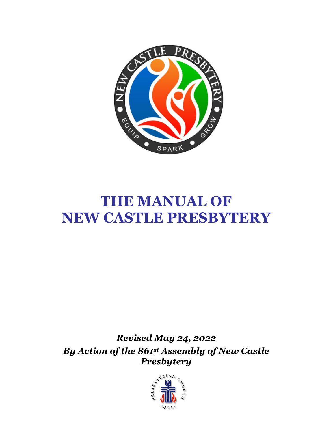

# **THE MANUAL OF NEW CASTLE PRESBYTERY**

*Revised May 24, 2022 By Action of the 861st Assembly of New Castle Presbytery*

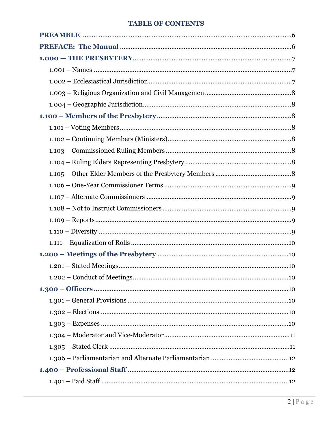#### **TABLE OF CONTENTS**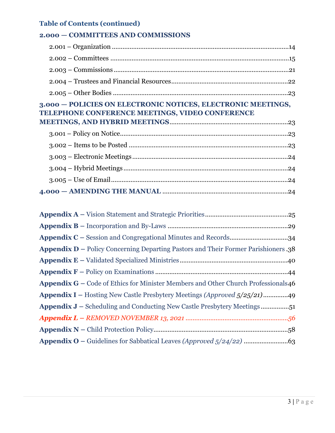# **Table of Contents (continued)**

#### **2.000 — COMMITTEES AND COMMISSIONS**

| 3.000 - POLICIES ON ELECTRONIC NOTICES, ELECTRONIC MEETINGS,<br>TELEPHONE CONFERENCE MEETINGS, VIDEO CONFERENCE |
|-----------------------------------------------------------------------------------------------------------------|
|                                                                                                                 |
|                                                                                                                 |
|                                                                                                                 |
|                                                                                                                 |
|                                                                                                                 |
|                                                                                                                 |
|                                                                                                                 |
|                                                                                                                 |
|                                                                                                                 |
| Appendix D – Policy Concerning Departing Pastors and Their Former Parishioners.38                               |
|                                                                                                                 |
|                                                                                                                 |
|                                                                                                                 |

|  |  | Appendix G – Code of Ethics for Minister Members and Other Church Professionals46 |
|--|--|-----------------------------------------------------------------------------------|
|  |  |                                                                                   |

| <b>Appendix I</b> – Hosting New Castle Presbytery Meetings (Approved 5/25/21)49 |
|---------------------------------------------------------------------------------|
|                                                                                 |
|                                                                                 |
|                                                                                 |
|                                                                                 |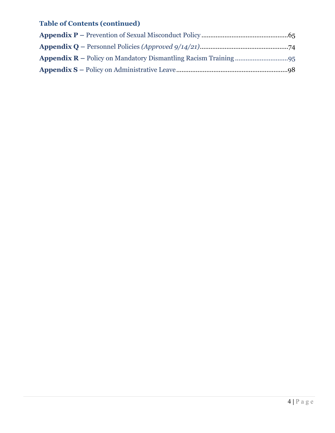# **Table of Contents (continued)**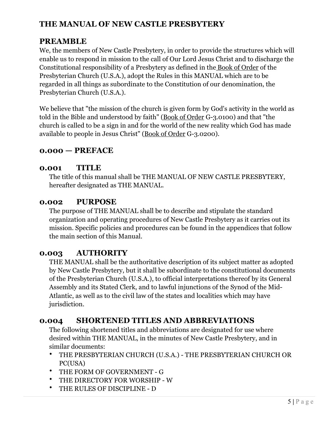# **THE MANUAL OF NEW CASTLE PRESBYTERY**

### **PREAMBLE**

We, the members of New Castle Presbytery, in order to provide the structures which will enable us to respond in mission to the call of Our Lord Jesus Christ and to discharge the Constitutional responsibility of a Presbytery as defined in the Book of Order of the Presbyterian Church (U.S.A.), adopt the Rules in this MANUAL which are to be regarded in all things as subordinate to the Constitution of our denomination, the Presbyterian Church (U.S.A.).

We believe that "the mission of the church is given form by God's activity in the world as told in the Bible and understood by faith" (Book of Order G-3.0100) and that "the church is called to be a sign in and for the world of the new reality which God has made available to people in Jesus Christ" (Book of Order G-3.0200).

#### **0.000 — PREFACE**

#### **0.001 TITLE**

The title of this manual shall be THE MANUAL OF NEW CASTLE PRESBYTERY, hereafter designated as THE MANUAL.

#### **0.002 PURPOSE**

The purpose of THE MANUAL shall be to describe and stipulate the standard organization and operating procedures of New Castle Presbytery as it carries out its mission. Specific policies and procedures can be found in the appendices that follow the main section of this Manual.

#### **0.003 AUTHORITY**

THE MANUAL shall be the authoritative description of its subject matter as adopted by New Castle Presbytery, but it shall be subordinate to the constitutional documents of the Presbyterian Church (U.S.A.), to official interpretations thereof by its General Assembly and its Stated Clerk, and to lawful injunctions of the Synod of the Mid-Atlantic, as well as to the civil law of the states and localities which may have jurisdiction.

#### **0.004 SHORTENED TITLES AND ABBREVIATIONS**

The following shortened titles and abbreviations are designated for use where desired within THE MANUAL, in the minutes of New Castle Presbytery, and in similar documents:

- THE PRESBYTERIAN CHURCH (U.S.A.) THE PRESBYTERIAN CHURCH OR PC(USA)
- THE FORM OF GOVERNMENT G
- THE DIRECTORY FOR WORSHIP W
- THE RULES OF DISCIPLINE D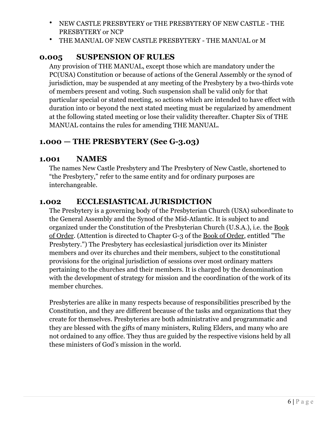- NEW CASTLE PRESBYTERY or THE PRESBYTERY OF NEW CASTLE THE PRESBYTERY or NCP
- THE MANUAL OF NEW CASTLE PRESBYTERY THE MANUAL or M

### **0.005 SUSPENSION OF RULES**

Any provision of THE MANUAL, except those which are mandatory under the PC(USA) Constitution or because of actions of the General Assembly or the synod of jurisdiction, may be suspended at any meeting of the Presbytery by a two-thirds vote of members present and voting. Such suspension shall be valid only for that particular special or stated meeting, so actions which are intended to have effect with duration into or beyond the next stated meeting must be regularized by amendment at the following stated meeting or lose their validity thereafter. Chapter Six of THE MANUAL contains the rules for amending THE MANUAL.

# **1.000 — THE PRESBYTERY (See G-3.03)**

#### **1.001 NAMES**

The names New Castle Presbytery and The Presbytery of New Castle, shortened to "the Presbytery," refer to the same entity and for ordinary purposes are interchangeable.

#### **1.002 ECCLESIASTICAL JURISDICTION**

The Presbytery is a governing body of the Presbyterian Church (USA) subordinate to the General Assembly and the Synod of the Mid-Atlantic. It is subject to and organized under the Constitution of the Presbyterian Church (U.S.A.), i.e. the Book of Order. (Attention is directed to Chapter G-3 of the Book of Order, entitled "The Presbytery.") The Presbytery has ecclesiastical jurisdiction over its Minister members and over its churches and their members, subject to the constitutional provisions for the original jurisdiction of sessions over most ordinary matters pertaining to the churches and their members. It is charged by the denomination with the development of strategy for mission and the coordination of the work of its member churches.

Presbyteries are alike in many respects because of responsibilities prescribed by the Constitution, and they are different because of the tasks and organizations that they create for themselves. Presbyteries are both administrative and programmatic and they are blessed with the gifts of many ministers, Ruling Elders, and many who are not ordained to any office. They thus are guided by the respective visions held by all these ministers of God's mission in the world.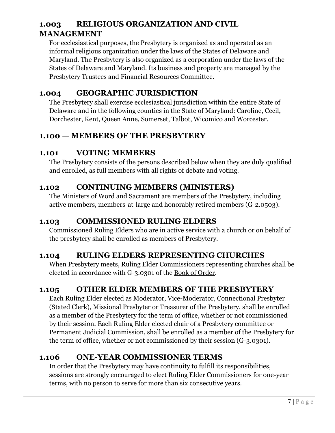# **1.003 RELIGIOUS ORGANIZATION AND CIVIL MANAGEMENT**

For ecclesiastical purposes, the Presbytery is organized as and operated as an informal religious organization under the laws of the States of Delaware and Maryland. The Presbytery is also organized as a corporation under the laws of the States of Delaware and Maryland. Its business and property are managed by the Presbytery Trustees and Financial Resources Committee.

# **1.004 GEOGRAPHIC JURISDICTION**

The Presbytery shall exercise ecclesiastical jurisdiction within the entire State of Delaware and in the following counties in the State of Maryland: Caroline, Cecil, Dorchester, Kent, Queen Anne, Somerset, Talbot, Wicomico and Worcester.

# **1.100 — MEMBERS OF THE PRESBYTERY**

# **1.101 VOTING MEMBERS**

The Presbytery consists of the persons described below when they are duly qualified and enrolled, as full members with all rights of debate and voting.

# **1.102 CONTINUING MEMBERS (MINISTERS)**

The Ministers of Word and Sacrament are members of the Presbytery, including active members, members-at-large and honorably retired members (G-2.0503).

# **1.103 COMMISSIONED RULING ELDERS**

Commissioned Ruling Elders who are in active service with a church or on behalf of the presbytery shall be enrolled as members of Presbytery.

# **1.104 RULING ELDERS REPRESENTING CHURCHES**

When Presbytery meets, Ruling Elder Commissioners representing churches shall be elected in accordance with G-3.0301 of the Book of Order.

# **1.105 OTHER ELDER MEMBERS OF THE PRESBYTERY**

Each Ruling Elder elected as Moderator, Vice-Moderator, Connectional Presbyter (Stated Clerk), Missional Presbyter or Treasurer of the Presbytery, shall be enrolled as a member of the Presbytery for the term of office, whether or not commissioned by their session. Each Ruling Elder elected chair of a Presbytery committee or Permanent Judicial Commission, shall be enrolled as a member of the Presbytery for the term of office, whether or not commissioned by their session (G-3.0301).

# **1.106 ONE-YEAR COMMISSIONER TERMS**

In order that the Presbytery may have continuity to fulfill its responsibilities, sessions are strongly encouraged to elect Ruling Elder Commissioners for one-year terms, with no person to serve for more than six consecutive years.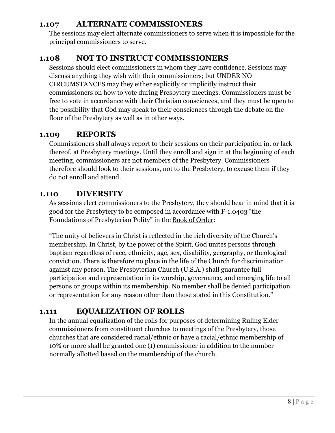#### **1.107 ALTERNATE COMMISSIONERS**

The sessions may elect alternate commissioners to serve when it is impossible for the principal commissioners to serve.

# **1.108 NOT TO INSTRUCT COMMISSIONERS**

Sessions should elect commissioners in whom they have confidence. Sessions may discuss anything they wish with their commissioners; but UNDER NO CIRCUMSTANCES may they either explicitly or implicitly instruct their commissioners on how to vote during Presbytery meetings. Commissioners must be free to vote in accordance with their Christian consciences, and they must be open to the possibility that God may speak to their consciences through the debate on the floor of the Presbytery as well as in other ways.

# **1.109 REPORTS**

Commissioners shall always report to their sessions on their participation in, or lack thereof, at Presbytery meetings. Until they enroll and sign in at the beginning of each meeting, commissioners are not members of the Presbytery. Commissioners therefore should look to their sessions, not to the Presbytery, to excuse them if they do not enroll and attend.

### **1.110 DIVERSITY**

As sessions elect commissioners to the Presbytery, they should bear in mind that it is good for the Presbytery to be composed in accordance with F-1.0403 "the Foundations of Presbyterian Polity" in the Book of Order:

"The unity of believers in Christ is reflected in the rich diversity of the Church's membership. In Christ, by the power of the Spirit, God unites persons through baptism regardless of race, ethnicity, age, sex, disability, geography, or theological conviction. There is therefore no place in the life of the Church for discrimination against any person. The Presbyterian Church (U.S.A.) shall guarantee full participation and representation in its worship, governance, and emerging life to all persons or groups within its membership. No member shall be denied participation or representation for any reason other than those stated in this Constitution."

# **1.111 EQUALIZATION OF ROLLS**

In the annual equalization of the rolls for purposes of determining Ruling Elder commissioners from constituent churches to meetings of the Presbytery, those churches that are considered racial/ethnic or have a racial/ethnic membership of 10% or more shall be granted one (1) commissioner in addition to the number normally allotted based on the membership of the church.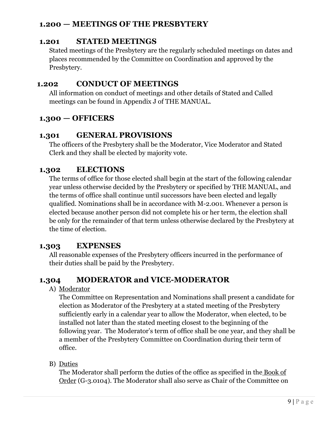### **1.200 — MEETINGS OF THE PRESBYTERY**

# **1.201 STATED MEETINGS**

Stated meetings of the Presbytery are the regularly scheduled meetings on dates and places recommended by the Committee on Coordination and approved by the Presbytery.

# **1.202 CONDUCT OF MEETINGS**

All information on conduct of meetings and other details of Stated and Called meetings can be found in Appendix J of THE MANUAL.

# **1.300 — OFFICERS**

# **1.301 GENERAL PROVISIONS**

The officers of the Presbytery shall be the Moderator, Vice Moderator and Stated Clerk and they shall be elected by majority vote.

# **1.302 ELECTIONS**

The terms of office for those elected shall begin at the start of the following calendar year unless otherwise decided by the Presbytery or specified by THE MANUAL, and the terms of office shall continue until successors have been elected and legally qualified. Nominations shall be in accordance with M-2.001. Whenever a person is elected because another person did not complete his or her term, the election shall be only for the remainder of that term unless otherwise declared by the Presbytery at the time of election.

# **1.303 EXPENSES**

All reasonable expenses of the Presbytery officers incurred in the performance of their duties shall be paid by the Presbytery.

# **1.304 MODERATOR and VICE-MODERATOR**

A) Moderator

The Committee on Representation and Nominations shall present a candidate for election as Moderator of the Presbytery at a stated meeting of the Presbytery sufficiently early in a calendar year to allow the Moderator, when elected, to be installed not later than the stated meeting closest to the beginning of the following year. The Moderator's term of office shall be one year, and they shall be a member of the Presbytery Committee on Coordination during their term of office.

# B) Duties

The Moderator shall perform the duties of the office as specified in the Book of Order (G-3.0104). The Moderator shall also serve as Chair of the Committee on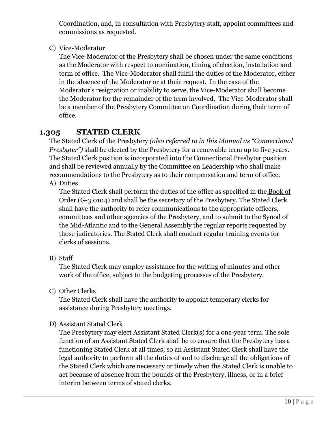Coordination, and, in consultation with Presbytery staff, appoint committees and commissions as requested.

C) Vice-Moderator

The Vice-Moderator of the Presbytery shall be chosen under the same conditions as the Moderator with respect to nomination, timing of election, installation and term of office. The Vice-Moderator shall fulfill the duties of the Moderator, either in the absence of the Moderator or at their request. In the case of the Moderator's resignation or inability to serve, the Vice-Moderator shall become the Moderator for the remainder of the term involved. The Vice-Moderator shall be a member of the Presbytery Committee on Coordination during their term of office.

# **1.305 STATED CLERK**

The Stated Clerk of the Presbytery *(also referred to in this Manual as "Connectional Presbyter")* shall be elected by the Presbytery for a renewable term up to five years. The Stated Clerk position is incorporated into the Connectional Presbyter position and shall be reviewed annually by the Committee on Leadership who shall make recommendations to the Presbytery as to their compensation and term of office.

A) Duties

The Stated Clerk shall perform the duties of the office as specified in the Book of Order (G-3.0104) and shall be the secretary of the Presbytery. The Stated Clerk shall have the authority to refer communications to the appropriate officers, committees and other agencies of the Presbytery, and to submit to the Synod of the Mid-Atlantic and to the General Assembly the regular reports requested by those judicatories. The Stated Clerk shall conduct regular training events for clerks of sessions.

B) Staff

The Stated Clerk may employ assistance for the writing of minutes and other work of the office, subject to the budgeting processes of the Presbytery.

C) Other Clerks

The Stated Clerk shall have the authority to appoint temporary clerks for assistance during Presbytery meetings.

#### D) Assistant Stated Clerk

The Presbytery may elect Assistant Stated Clerk(s) for a one-year term. The sole function of an Assistant Stated Clerk shall be to ensure that the Presbytery has a functioning Stated Clerk at all times; so an Assistant Stated Clerk shall have the legal authority to perform all the duties of and to discharge all the obligations of the Stated Clerk which are necessary or timely when the Stated Clerk is unable to act because of absence from the bounds of the Presbytery, illness, or in a brief interim between terms of stated clerks.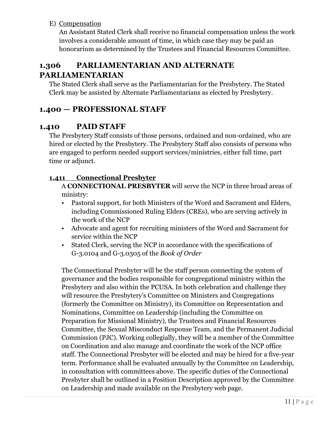E) Compensation

An Assistant Stated Clerk shall receive no financial compensation unless the work involves a considerable amount of time, in which case they may be paid an honorarium as determined by the Trustees and Financial Resources Committee.

# **1.306 PARLIAMENTARIAN AND ALTERNATE PARLIAMENTARIAN**

The Stated Clerk shall serve as the Parliamentarian for the Presbytery. The Stated Clerk may be assisted by Alternate Parliamentarians as elected by Presbytery.

# **1.400 — PROFESSIONAL STAFF**

### **1.410 PAID STAFF**

The Presbytery Staff consists of those persons, ordained and non-ordained, who are hired or elected by the Presbytery. The Presbytery Staff also consists of persons who are engaged to perform needed support services/ministries, either full time, part time or adjunct.

#### **1.411 Connectional Presbyter**

A **CONNECTIONAL PRESBYTER** will serve the NCP in three broad areas of ministry:

- Pastoral support, for both Ministers of the Word and Sacrament and Elders, including Commissioned Ruling Elders (CREs), who are serving actively in the work of the NCP
- Advocate and agent for recruiting ministers of the Word and Sacrament for service within the NCP
- Stated Clerk, serving the NCP in accordance with the specifications of G-3.0104 and G-3.0305 of the *Book of Order*

The Connectional Presbyter will be the staff person connecting the system of governance and the bodies responsible for congregational ministry within the Presbytery and also within the PCUSA. In both celebration and challenge they will resource the Presbytery's Committee on Ministers and Congregations (formerly the Committee on Ministry), its Committee on Representation and Nominations, Committee on Leadership (including the Committee on Preparation for Missional Ministry), the Trustees and Financial Resources Committee, the Sexual Misconduct Response Team, and the Permanent Judicial Commission (PJC). Working collegially, they will be a member of the Committee on Coordination and also manage and coordinate the work of the NCP office staff. The Connectional Presbyter will be elected and may be hired for a five-year term. Performance shall be evaluated annually by the Committee on Leadership, in consultation with committees above. The specific duties of the Connectional Presbyter shall be outlined in a Position Description approved by the Committee on Leadership and made available on the Presbytery web page.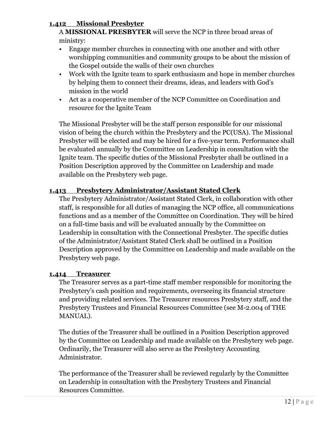#### **1.412 Missional Presbyter**

A **MISSIONAL PRESBYTER** will serve the NCP in three broad areas of ministry:

- Engage member churches in connecting with one another and with other worshipping communities and community groups to be about the mission of the Gospel outside the walls of their own churches
- Work with the Ignite team to spark enthusiasm and hope in member churches by helping them to connect their dreams, ideas, and leaders with God's mission in the world
- Act as a cooperative member of the NCP Committee on Coordination and resource for the Ignite Team

The Missional Presbyter will be the staff person responsible for our missional vision of being the church within the Presbytery and the PC(USA). The Missional Presbyter will be elected and may be hired for a five-year term. Performance shall be evaluated annually by the Committee on Leadership in consultation with the Ignite team. The specific duties of the Missional Presbyter shall be outlined in a Position Description approved by the Committee on Leadership and made available on the Presbytery web page.

#### **1.413 Presbytery Administrator/Assistant Stated Clerk**

The Presbytery Administrator/Assistant Stated Clerk, in collaboration with other staff, is responsible for all duties of managing the NCP office, all communications functions and as a member of the Committee on Coordination. They will be hired on a full-time basis and will be evaluated annually by the Committee on Leadership in consultation with the Connectional Presbyter. The specific duties of the Administrator/Assistant Stated Clerk shall be outlined in a Position Description approved by the Committee on Leadership and made available on the Presbytery web page.

#### **1.414 Treasurer**

The Treasurer serves as a part-time staff member responsible for monitoring the Presbytery's cash position and requirements, overseeing its financial structure and providing related services. The Treasurer resources Presbytery staff, and the Presbytery Trustees and Financial Resources Committee (see M-2.004 of THE MANUAL).

The duties of the Treasurer shall be outlined in a Position Description approved by the Committee on Leadership and made available on the Presbytery web page. Ordinarily, the Treasurer will also serve as the Presbytery Accounting Administrator.

The performance of the Treasurer shall be reviewed regularly by the Committee on Leadership in consultation with the Presbytery Trustees and Financial Resources Committee.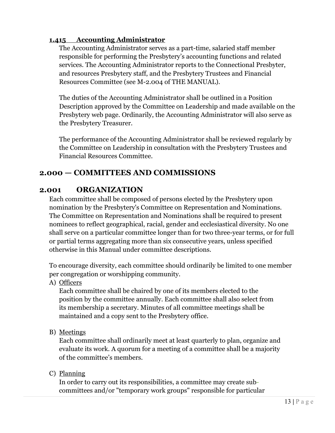#### **1.415 Accounting Administrator**

The Accounting Administrator serves as a part-time, salaried staff member responsible for performing the Presbytery's accounting functions and related services. The Accounting Administrator reports to the Connectional Presbyter, and resources Presbytery staff, and the Presbytery Trustees and Financial Resources Committee (see M-2.004 of THE MANUAL).

The duties of the Accounting Administrator shall be outlined in a Position Description approved by the Committee on Leadership and made available on the Presbytery web page. Ordinarily, the Accounting Administrator will also serve as the Presbytery Treasurer.

The performance of the Accounting Administrator shall be reviewed regularly by the Committee on Leadership in consultation with the Presbytery Trustees and Financial Resources Committee.

### **2.000 — COMMITTEES AND COMMISSIONS**

#### **2.001 ORGANIZATION**

Each committee shall be composed of persons elected by the Presbytery upon nomination by the Presbytery's Committee on Representation and Nominations. The Committee on Representation and Nominations shall be required to present nominees to reflect geographical, racial, gender and ecclesiastical diversity. No one shall serve on a particular committee longer than for two three-year terms, or for full or partial terms aggregating more than six consecutive years, unless specified otherwise in this Manual under committee descriptions.

To encourage diversity, each committee should ordinarily be limited to one member per congregation or worshipping community.

A) Officers

Each committee shall be chaired by one of its members elected to the position by the committee annually. Each committee shall also select from its membership a secretary. Minutes of all committee meetings shall be maintained and a copy sent to the Presbytery office.

B) Meetings

Each committee shall ordinarily meet at least quarterly to plan, organize and evaluate its work. A quorum for a meeting of a committee shall be a majority of the committee's members.

C) Planning

In order to carry out its responsibilities, a committee may create subcommittees and/or "temporary work groups" responsible for particular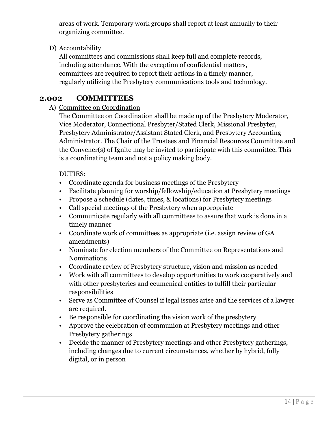areas of work. Temporary work groups shall report at least annually to their organizing committee.

D) Accountability

All committees and commissions shall keep full and complete records, including attendance. With the exception of confidential matters, committees are required to report their actions in a timely manner, regularly utilizing the Presbytery communications tools and technology.

# **2.002 COMMITTEES**

A) Committee on Coordination

The Committee on Coordination shall be made up of the Presbytery Moderator, Vice Moderator, Connectional Presbyter/Stated Clerk, Missional Presbyter, Presbytery Administrator/Assistant Stated Clerk, and Presbytery Accounting Administrator. The Chair of the Trustees and Financial Resources Committee and the Convener(s) of Ignite may be invited to participate with this committee. This is a coordinating team and not a policy making body.

#### DUTIES:

- Coordinate agenda for business meetings of the Presbytery
- Facilitate planning for worship/fellowship/education at Presbytery meetings
- Propose a schedule (dates, times, & locations) for Presbytery meetings
- Call special meetings of the Presbytery when appropriate
- Communicate regularly with all committees to assure that work is done in a timely manner
- Coordinate work of committees as appropriate (i.e. assign review of GA amendments)
- Nominate for election members of the Committee on Representations and Nominations
- Coordinate review of Presbytery structure, vision and mission as needed
- Work with all committees to develop opportunities to work cooperatively and with other presbyteries and ecumenical entities to fulfill their particular responsibilities
- Serve as Committee of Counsel if legal issues arise and the services of a lawyer are required.
- Be responsible for coordinating the vision work of the presbytery
- Approve the celebration of communion at Presbytery meetings and other Presbytery gatherings
- Decide the manner of Presbytery meetings and other Presbytery gatherings, including changes due to current circumstances, whether by hybrid, fully digital, or in person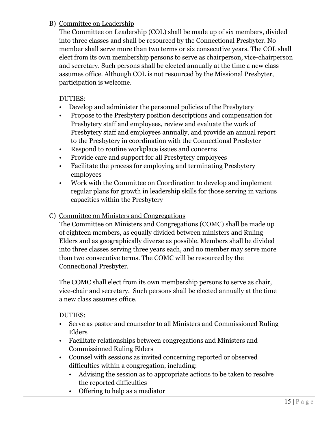#### B) Committee on Leadership

The Committee on Leadership (COL) shall be made up of six members, divided into three classes and shall be resourced by the Connectional Presbyter. No member shall serve more than two terms or six consecutive years. The COL shall elect from its own membership persons to serve as chairperson, vice-chairperson and secretary. Such persons shall be elected annually at the time a new class assumes office. Although COL is not resourced by the Missional Presbyter, participation is welcome.

#### DUTIES:

- Develop and administer the personnel policies of the Presbytery
- Propose to the Presbytery position descriptions and compensation for Presbytery staff and employees, review and evaluate the work of Presbytery staff and employees annually, and provide an annual report to the Presbytery in coordination with the Connectional Presbyter
- Respond to routine workplace issues and concerns
- Provide care and support for all Presbytery employees
- Facilitate the process for employing and terminating Presbytery employees
- Work with the Committee on Coordination to develop and implement regular plans for growth in leadership skills for those serving in various capacities within the Presbytery

#### C) Committee on Ministers and Congregations

The Committee on Ministers and Congregations (COMC) shall be made up of eighteen members, as equally divided between ministers and Ruling Elders and as geographically diverse as possible. Members shall be divided into three classes serving three years each, and no member may serve more than two consecutive terms. The COMC will be resourced by the Connectional Presbyter.

The COMC shall elect from its own membership persons to serve as chair, vice-chair and secretary. Such persons shall be elected annually at the time a new class assumes office.

#### DUTIES:

- Serve as pastor and counselor to all Ministers and Commissioned Ruling Elders
- Facilitate relationships between congregations and Ministers and Commissioned Ruling Elders
- Counsel with sessions as invited concerning reported or observed difficulties within a congregation, including:
	- Advising the session as to appropriate actions to be taken to resolve the reported difficulties
	- Offering to help as a mediator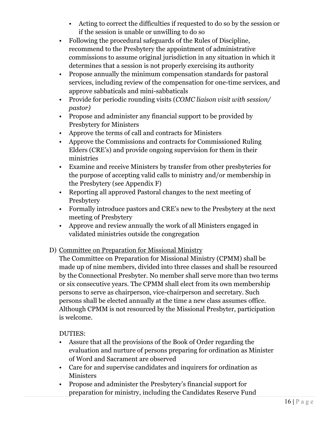- Acting to correct the difficulties if requested to do so by the session or if the session is unable or unwilling to do so
- Following the procedural safeguards of the Rules of Discipline, recommend to the Presbytery the appointment of administrative commissions to assume original jurisdiction in any situation in which it determines that a session is not properly exercising its authority
- Propose annually the minimum compensation standards for pastoral services, including review of the compensation for one-time services, and approve sabbaticals and mini-sabbaticals
- Provide for periodic rounding visits (*COMC liaison visit with session/ pastor)*
- Propose and administer any financial support to be provided by Presbytery for Ministers
- Approve the terms of call and contracts for Ministers
- Approve the Commissions and contracts for Commissioned Ruling Elders (CRE's) and provide ongoing supervision for them in their ministries
- Examine and receive Ministers by transfer from other presbyteries for the purpose of accepting valid calls to ministry and/or membership in the Presbytery (see Appendix F)
- Reporting all approved Pastoral changes to the next meeting of Presbytery
- Formally introduce pastors and CRE's new to the Presbytery at the next meeting of Presbytery
- Approve and review annually the work of all Ministers engaged in validated ministries outside the congregation

#### D) Committee on Preparation for Missional Ministry

The Committee on Preparation for Missional Ministry (CPMM) shall be made up of nine members, divided into three classes and shall be resourced by the Connectional Presbyter. No member shall serve more than two terms or six consecutive years. The CPMM shall elect from its own membership persons to serve as chairperson, vice-chairperson and secretary. Such persons shall be elected annually at the time a new class assumes office. Although CPMM is not resourced by the Missional Presbyter, participation is welcome.

#### DUTIES:

- Assure that all the provisions of the Book of Order regarding the evaluation and nurture of persons preparing for ordination as Minister of Word and Sacrament are observed
- Care for and supervise candidates and inquirers for ordination as Ministers
- Propose and administer the Presbytery's financial support for preparation for ministry, including the Candidates Reserve Fund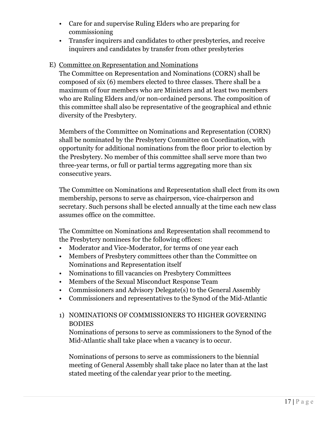- Care for and supervise Ruling Elders who are preparing for commissioning
- Transfer inquirers and candidates to other presbyteries, and receive inquirers and candidates by transfer from other presbyteries

#### E) Committee on Representation and Nominations

The Committee on Representation and Nominations (CORN) shall be composed of six (6) members elected to three classes. There shall be a maximum of four members who are Ministers and at least two members who are Ruling Elders and/or non-ordained persons. The composition of this committee shall also be representative of the geographical and ethnic diversity of the Presbytery.

Members of the Committee on Nominations and Representation (CORN) shall be nominated by the Presbytery Committee on Coordination, with opportunity for additional nominations from the floor prior to election by the Presbytery. No member of this committee shall serve more than two three-year terms, or full or partial terms aggregating more than six consecutive years.

The Committee on Nominations and Representation shall elect from its own membership, persons to serve as chairperson, vice-chairperson and secretary. Such persons shall be elected annually at the time each new class assumes office on the committee.

The Committee on Nominations and Representation shall recommend to the Presbytery nominees for the following offices:

- Moderator and Vice-Moderator, for terms of one year each
- Members of Presbytery committees other than the Committee on Nominations and Representation itself
- Nominations to fill vacancies on Presbytery Committees
- Members of the Sexual Misconduct Response Team
- Commissioners and Advisory Delegate(s) to the General Assembly
- Commissioners and representatives to the Synod of the Mid-Atlantic
- 1) NOMINATIONS OF COMMISSIONERS TO HIGHER GOVERNING BODIES

Nominations of persons to serve as commissioners to the Synod of the Mid-Atlantic shall take place when a vacancy is to occur.

Nominations of persons to serve as commissioners to the biennial meeting of General Assembly shall take place no later than at the last stated meeting of the calendar year prior to the meeting.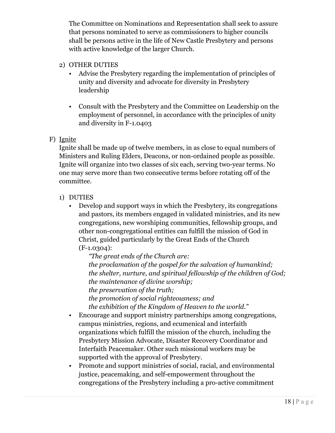The Committee on Nominations and Representation shall seek to assure that persons nominated to serve as commissioners to higher councils shall be persons active in the life of New Castle Presbytery and persons with active knowledge of the larger Church.

- 2) OTHER DUTIES
	- Advise the Presbytery regarding the implementation of principles of unity and diversity and advocate for diversity in Presbytery leadership
	- Consult with the Presbytery and the Committee on Leadership on the employment of personnel, in accordance with the principles of unity and diversity in F-1.0403

#### F) Ignite

Ignite shall be made up of twelve members, in as close to equal numbers of Ministers and Ruling Elders, Deacons, or non-ordained people as possible. Ignite will organize into two classes of six each, serving two-year terms. No one may serve more than two consecutive terms before rotating off of the committee.

- 1) DUTIES
	- Develop and support ways in which the Presbytery, its congregations and pastors, its members engaged in validated ministries, and its new congregations, new worshiping communities, fellowship groups, and other non-congregational entities can fulfill the mission of God in Christ, guided particularly by the Great Ends of the Church (F-1.0304):

*"The great ends of the Church are: the proclamation of the gospel for the salvation of humankind; the shelter, nurture, and spiritual fellowship of the children of God; the maintenance of divine worship; the preservation of the truth; the promotion of social righteousness; and the exhibition of the Kingdom of Heaven to the world."*

- Encourage and support ministry partnerships among congregations, campus ministries, regions, and ecumenical and interfaith organizations which fulfill the mission of the church, including the Presbytery Mission Advocate, Disaster Recovery Coordinator and Interfaith Peacemaker. Other such missional workers may be supported with the approval of Presbytery.
- Promote and support ministries of social, racial, and environmental justice, peacemaking, and self-empowerment throughout the congregations of the Presbytery including a pro-active commitment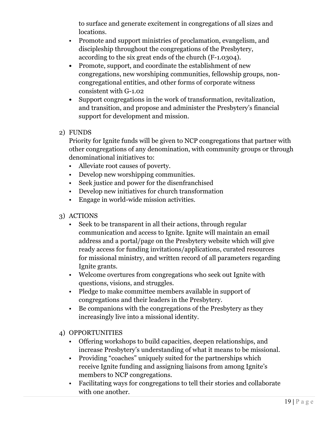to surface and generate excitement in congregations of all sizes and locations.

- Promote and support ministries of proclamation, evangelism, and discipleship throughout the congregations of the Presbytery, according to the six great ends of the church (F-1.0304).
- **•** Promote, support, and coordinate the establishment of new congregations, new worshiping communities, fellowship groups, noncongregational entities, and other forms of corporate witness consistent with G-1.02
- **•** Support congregations in the work of transformation, revitalization, and transition, and propose and administer the Presbytery's financial support for development and mission.
- 2) FUNDS

Priority for Ignite funds will be given to NCP congregations that partner with other congregations of any denomination, with community groups or through denominational initiatives to:

- Alleviate root causes of poverty.
- Develop new worshipping communities.
- Seek justice and power for the disenfranchised
- Develop new initiatives for church transformation
- Engage in world-wide mission activities.
- 3) ACTIONS
	- Seek to be transparent in all their actions, through regular communication and access to Ignite. Ignite will maintain an email address and a portal/page on the Presbytery website which will give ready access for funding invitations/applications, curated resources for missional ministry, and written record of all parameters regarding Ignite grants.
	- Welcome overtures from congregations who seek out Ignite with questions, visions, and struggles.
	- Pledge to make committee members available in support of congregations and their leaders in the Presbytery.
	- Be companions with the congregations of the Presbytery as they increasingly live into a missional identity.
- 4) OPPORTUNITIES
	- Offering workshops to build capacities, deepen relationships, and increase Presbytery's understanding of what it means to be missional.
	- Providing "coaches" uniquely suited for the partnerships which receive Ignite funding and assigning liaisons from among Ignite's members to NCP congregations.
	- Facilitating ways for congregations to tell their stories and collaborate with one another.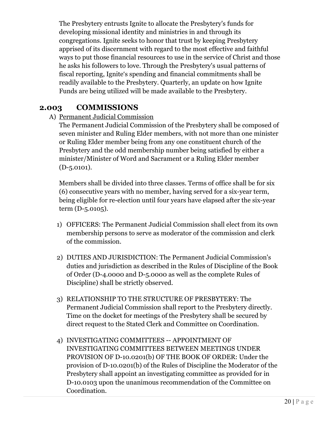The Presbytery entrusts Ignite to allocate the Presbytery's funds for developing missional identity and ministries in and through its congregations. Ignite seeks to honor that trust by keeping Presbytery apprised of its discernment with regard to the most effective and faithful ways to put those financial resources to use in the service of Christ and those he asks his followers to love. Through the Presbytery's usual patterns of fiscal reporting, Ignite's spending and financial commitments shall be readily available to the Presbytery. Quarterly, an update on how Ignite Funds are being utilized will be made available to the Presbytery.

#### **2.003 COMMISSIONS**

A) Permanent Judicial Commission

The Permanent Judicial Commission of the Presbytery shall be composed of seven minister and Ruling Elder members, with not more than one minister or Ruling Elder member being from any one constituent church of the Presbytery and the odd membership number being satisfied by either a minister/Minister of Word and Sacrament or a Ruling Elder member (D-5.0101).

Members shall be divided into three classes. Terms of office shall be for six (6) consecutive years with no member, having served for a six-year term, being eligible for re-election until four years have elapsed after the six-year term (D-5.0105).

- 1) OFFICERS: The Permanent Judicial Commission shall elect from its own membership persons to serve as moderator of the commission and clerk of the commission.
- 2) DUTIES AND JURISDICTION: The Permanent Judicial Commission's duties and jurisdiction as described in the Rules of Discipline of the Book of Order (D-4.0000 and D-5.0000 as well as the complete Rules of Discipline) shall be strictly observed.
- 3) RELATIONSHIP TO THE STRUCTURE OF PRESBYTERY: The Permanent Judicial Commission shall report to the Presbytery directly. Time on the docket for meetings of the Presbytery shall be secured by direct request to the Stated Clerk and Committee on Coordination.
- 4) INVESTIGATING COMMITTEES -- APPOINTMENT OF INVESTIGATING COMMITTEES BETWEEN MEETINGS UNDER PROVISION OF D-10.0201(b) OF THE BOOK OF ORDER: Under the provision of D-10.0201(b) of the Rules of Discipline the Moderator of the Presbytery shall appoint an investigating committee as provided for in D-10.0103 upon the unanimous recommendation of the Committee on Coordination.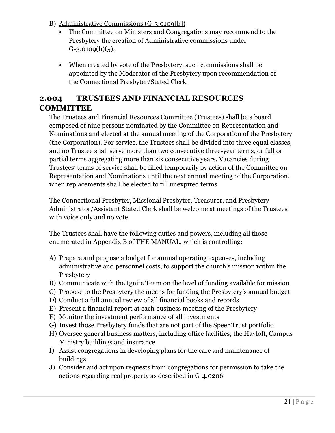- B) Administrative Commissions (G-3.0109[b])
	- The Committee on Ministers and Congregations may recommend to the Presbytery the creation of Administrative commissions under  $G-3.0109(b)(5)$ .
	- When created by vote of the Presbytery, such commissions shall be appointed by the Moderator of the Presbytery upon recommendation of the Connectional Presbyter/Stated Clerk.

# **2.004 TRUSTEES AND FINANCIAL RESOURCES COMMITTEE**

The Trustees and Financial Resources Committee (Trustees) shall be a board composed of nine persons nominated by the Committee on Representation and Nominations and elected at the annual meeting of the Corporation of the Presbytery (the Corporation). For service, the Trustees shall be divided into three equal classes, and no Trustee shall serve more than two consecutive three-year terms, or full or partial terms aggregating more than six consecutive years. Vacancies during Trustees' terms of service shall be filled temporarily by action of the Committee on Representation and Nominations until the next annual meeting of the Corporation, when replacements shall be elected to fill unexpired terms.

The Connectional Presbyter, Missional Presbyter, Treasurer, and Presbytery Administrator/Assistant Stated Clerk shall be welcome at meetings of the Trustees with voice only and no vote.

The Trustees shall have the following duties and powers, including all those enumerated in Appendix B of THE MANUAL, which is controlling:

- A) Prepare and propose a budget for annual operating expenses, including administrative and personnel costs, to support the church's mission within the **Presbytery**
- B) Communicate with the Ignite Team on the level of funding available for mission
- C) Propose to the Presbytery the means for funding the Presbytery's annual budget
- D) Conduct a full annual review of all financial books and records
- E) Present a financial report at each business meeting of the Presbytery
- F) Monitor the investment performance of all investments
- G) Invest those Presbytery funds that are not part of the Speer Trust portfolio
- H) Oversee general business matters, including office facilities, the Hayloft, Campus Ministry buildings and insurance
- I) Assist congregations in developing plans for the care and maintenance of buildings
- J) Consider and act upon requests from congregations for permission to take the actions regarding real property as described in G-4.0206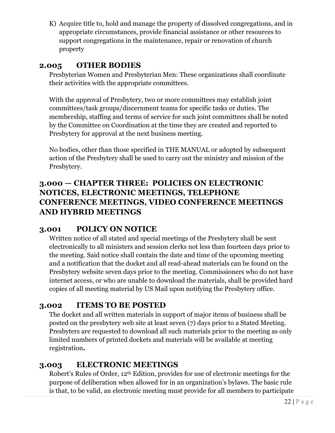K) Acquire title to, hold and manage the property of dissolved congregations, and in appropriate circumstances, provide financial assistance or other resources to support congregations in the maintenance, repair or renovation of church property

# **2.005 OTHER BODIES**

Presbyterian Women and Presbyterian Men: These organizations shall coordinate their activities with the appropriate committees.

With the approval of Presbytery, two or more committees may establish joint committees/task groups/discernment teams for specific tasks or duties. The membership, staffing and terms of service for such joint committees shall be noted by the Committee on Coordination at the time they are created and reported to Presbytery for approval at the next business meeting.

No bodies, other than those specified in THE MANUAL or adopted by subsequent action of the Presbytery shall be used to carry out the ministry and mission of the Presbytery.

# **3.000 — CHAPTER THREE: POLICIES ON ELECTRONIC NOTICES, ELECTRONIC MEETINGS, TELEPHONE CONFERENCE MEETINGS, VIDEO CONFERENCE MEETINGS AND HYBRID MEETINGS**

# **3.001 POLICY ON NOTICE**

Written notice of all stated and special meetings of the Presbytery shall be sent electronically to all ministers and session clerks not less than fourteen days prior to the meeting. Said notice shall contain the date and time of the upcoming meeting and a notification that the docket and all read-ahead materials can be found on the Presbytery website seven days prior to the meeting. Commissioners who do not have internet access, or who are unable to download the materials, shall be provided hard copies of all meeting material by US Mail upon notifying the Presbytery office.

# **3.002 ITEMS TO BE POSTED**

The docket and all written materials in support of major items of business shall be posted on the presbytery web site at least seven (7) days prior to a Stated Meeting. Presbyters are requested to download all such materials prior to the meeting as only limited numbers of printed dockets and materials will be available at meeting registration**.** 

# **3.003 ELECTRONIC MEETINGS**

Robert's Rules of Order, 12th Edition, provides for use of electronic meetings for the purpose of deliberation when allowed for in an organization's bylaws. The basic rule is that, to be valid, an electronic meeting must provide for all members to participate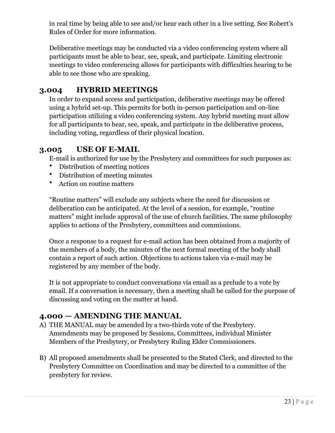in real time by being able to see and/or hear each other in a live setting. See Robert's Rules of Order for more information.

Deliberative meetings may be conducted via a video conferencing system where all participants must be able to hear, see, speak, and participate. Limiting electronic meetings to video conferencing allows for participants with difficulties hearing to be able to see those who are speaking.

### **3.004 HYBRID MEETINGS**

In order to expand access and participation, deliberative meetings may be offered using a hybrid set-up. This permits for both in-person participation and on-line participation utilizing a video conferencing system. Any hybrid meeting must allow for all participants to hear, see, speak, and participate in the deliberative process, including voting, regardless of their physical location.

### **3.005 USE OF E-MAIL**

E-mail is authorized for use by the Presbytery and committees for such purposes as:

- Distribution of meeting notices
- Distribution of meeting minutes
- Action on routine matters

"Routine matters" will exclude any subjects where the need for discussion or deliberation can be anticipated. At the level of a session, for example, "routine matters" might include approval of the use of church facilities. The same philosophy applies to actions of the Presbytery, committees and commissions.

Once a response to a request for e-mail action has been obtained from a majority of the members of a body, the minutes of the next formal meeting of the body shall contain a report of such action. Objections to actions taken via e-mail may be registered by any member of the body.

It is not appropriate to conduct conversations via email as a prelude to a vote by email. If a conversation is necessary, then a meeting shall be called for the purpose of discussing and voting on the matter at hand.

#### **4.000 — AMENDING THE MANUAL**

- A) THE MANUAL may be amended by a two-thirds vote of the Presbytery. Amendments may be proposed by Sessions, Committees, individual Minister Members of the Presbytery, or Presbytery Ruling Elder Commissioners.
- B) All proposed amendments shall be presented to the Stated Clerk, and directed to the Presbytery Committee on Coordination and may be directed to a committee of the presbytery for review.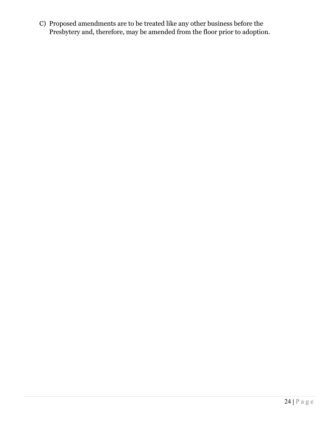C) Proposed amendments are to be treated like any other business before the Presbytery and, therefore, may be amended from the floor prior to adoption.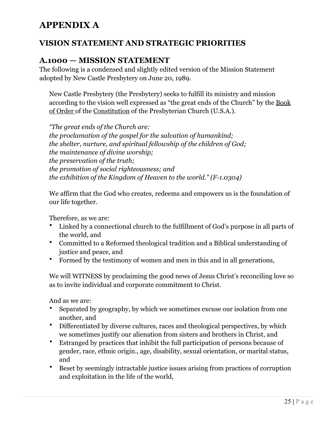# **APPENDIX A**

# **VISION STATEMENT AND STRATEGIC PRIORITIES**

### **A.1000 — MISSION STATEMENT**

The following is a condensed and slightly edited version of the Mission Statement adopted by New Castle Presbytery on June 20, 1989.

New Castle Presbytery (the Presbytery) seeks to fulfill its ministry and mission according to the vision well expressed as "the great ends of the Church" by the Book of Order of the Constitution of the Presbyterian Church (U.S.A.).

*"The great ends of the Church are: the proclamation of the gospel for the salvation of humankind; the shelter, nurture, and spiritual fellowship of the children of God; the maintenance of divine worship; the preservation of the truth; the promotion of social righteousness; and the exhibition of the Kingdom of Heaven to the world." (F-1.0304)* 

We affirm that the God who creates, redeems and empowers us is the foundation of our life together.

Therefore, as we are:

- Linked by a connectional church to the fulfillment of God's purpose in all parts of the world, and
- Committed to a Reformed theological tradition and a Biblical understanding of justice and peace, and
- Formed by the testimony of women and men in this and in all generations,

We will WITNESS by proclaiming the good news of Jesus Christ's reconciling love so as to invite individual and corporate commitment to Christ.

And as we are:

- Separated by geography, by which we sometimes excuse our isolation from one another, and
- Differentiated by diverse cultures, races and theological perspectives, by which we sometimes justify our alienation from sisters and brothers in Christ, and
- Estranged by practices that inhibit the full participation of persons because of gender, race, ethnic origin., age, disability, sexual orientation, or marital status, and
- Beset by seemingly intractable justice issues arising from practices of corruption and exploitation in the life of the world,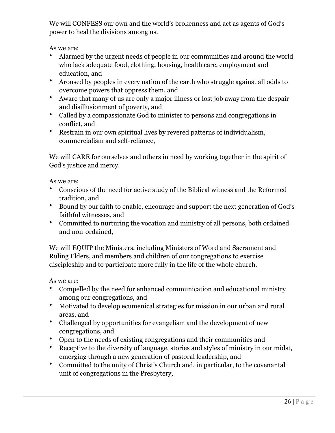We will CONFESS our own and the world's brokenness and act as agents of God's power to heal the divisions among us.

As we are:

- Alarmed by the urgent needs of people in our communities and around the world who lack adequate food, clothing, housing, health care, employment and education, and
- Aroused by peoples in every nation of the earth who struggle against all odds to overcome powers that oppress them, and
- Aware that many of us are only a major illness or lost job away from the despair and disillusionment of poverty, and
- Called by a compassionate God to minister to persons and congregations in conflict, and
- Restrain in our own spiritual lives by revered patterns of individualism, commercialism and self-reliance,

We will CARE for ourselves and others in need by working together in the spirit of God's justice and mercy.

As we are:

- Conscious of the need for active study of the Biblical witness and the Reformed tradition, and
- Bound by our faith to enable, encourage and support the next generation of God's faithful witnesses, and
- Committed to nurturing the vocation and ministry of all persons, both ordained and non-ordained,

We will EQUIP the Ministers, including Ministers of Word and Sacrament and Ruling Elders, and members and children of our congregations to exercise discipleship and to participate more fully in the life of the whole church.

As we are:

- Compelled by the need for enhanced communication and educational ministry among our congregations, and
- Motivated to develop ecumenical strategies for mission in our urban and rural areas, and
- Challenged by opportunities for evangelism and the development of new congregations, and
- Open to the needs of existing congregations and their communities and
- Receptive to the diversity of language, stories and styles of ministry in our midst, emerging through a new generation of pastoral leadership, and
- Committed to the unity of Christ's Church and, in particular, to the covenantal unit of congregations in the Presbytery,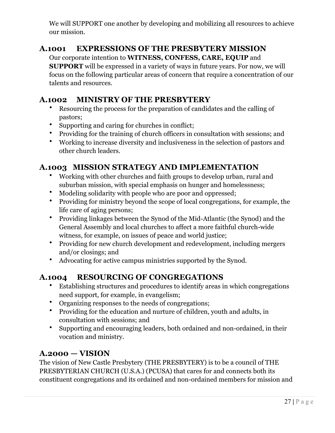We will SUPPORT one another by developing and mobilizing all resources to achieve our mission.

# **A.1001 EXPRESSIONS OF THE PRESBYTERY MISSION**

Our corporate intention to **WITNESS, CONFESS, CARE, EQUIP** and

**SUPPORT** will be expressed in a variety of ways in future years. For now, we will focus on the following particular areas of concern that require a concentration of our talents and resources.

# **A.1002 MINISTRY OF THE PRESBYTERY**

- Resourcing the process for the preparation of candidates and the calling of pastors;
- Supporting and caring for churches in conflict;
- Providing for the training of church officers in consultation with sessions; and
- Working to increase diversity and inclusiveness in the selection of pastors and other church leaders.

# **A.1003 MISSION STRATEGY AND IMPLEMENTATION**

- Working with other churches and faith groups to develop urban, rural and suburban mission, with special emphasis on hunger and homelessness;
- Modeling solidarity with people who are poor and oppressed;
- Providing for ministry beyond the scope of local congregations, for example, the life care of aging persons;
- Providing linkages between the Synod of the Mid-Atlantic (the Synod) and the General Assembly and local churches to affect a more faithful church-wide witness, for example, on issues of peace and world justice;
- Providing for new church development and redevelopment, including mergers and/or closings; and
- Advocating for active campus ministries supported by the Synod.

# **A.1004 RESOURCING OF CONGREGATIONS**

- Establishing structures and procedures to identify areas in which congregations need support, for example, in evangelism;
- Organizing responses to the needs of congregations;
- Providing for the education and nurture of children, youth and adults, in consultation with sessions; and
- Supporting and encouraging leaders, both ordained and non-ordained, in their vocation and ministry.

# **A.2000 — VISION**

The vision of New Castle Presbytery (THE PRESBYTERY) is to be a council of THE PRESBYTERIAN CHURCH (U.S.A.) (PCUSA) that cares for and connects both its constituent congregations and its ordained and non-ordained members for mission and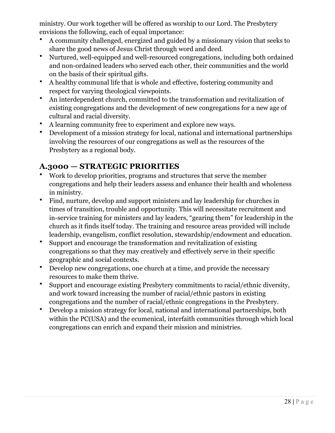ministry. Our work together will be offered as worship to our Lord. The Presbytery envisions the following, each of equal importance:

- A community challenged, energized and guided by a missionary vision that seeks to share the good news of Jesus Christ through word and deed.
- Nurtured, well-equipped and well-resourced congregations, including both ordained and non-ordained leaders who served each other, their communities and the world on the basis of their spiritual gifts.
- A healthy communal life that is whole and effective, fostering community and respect for varying theological viewpoints.
- An interdependent church, committed to the transformation and revitalization of existing congregations and the development of new congregations for a new age of cultural and racial diversity.
- A learning community free to experiment and explore new ways.
- Development of a mission strategy for local, national and international partnerships involving the resources of our congregations as well as the resources of the Presbytery as a regional body.

# **A.3000 — STRATEGIC PRIORITIES**

- Work to develop priorities, programs and structures that serve the member congregations and help their leaders assess and enhance their health and wholeness in ministry.
- Find, nurture, develop and support ministers and lay leadership for churches in times of transition, trouble and opportunity. This will necessitate recruitment and in-service training for ministers and lay leaders, "gearing them" for leadership in the church as it finds itself today. The training and resource areas provided will include leadership, evangelism, conflict resolution, stewardship/endowment and education.
- Support and encourage the transformation and revitalization of existing congregations so that they may creatively and effectively serve in their specific geographic and social contexts.
- Develop new congregations, one church at a time, and provide the necessary resources to make them thrive.
- Support and encourage existing Presbytery commitments to racial/ethnic diversity, and work toward increasing the number of racial/ethnic pastors in existing congregations and the number of racial/ethnic congregations in the Presbytery.
- Develop a mission strategy for local, national and international partnerships, both within the PC(USA) and the ecumenical, interfaith communities through which local congregations can enrich and expand their mission and ministries.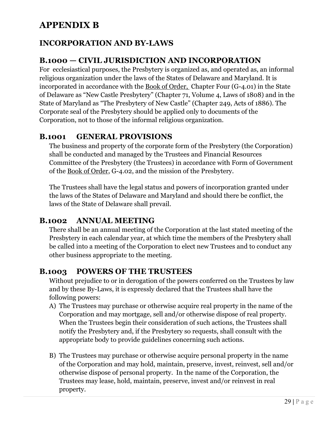# **APPENDIX B**

# **INCORPORATION AND BY-LAWS**

# **B.1000 — CIVIL JURISDICTION AND INCORPORATION**

For ecclesiastical purposes, the Presbytery is organized as, and operated as, an informal religious organization under the laws of the States of Delaware and Maryland. It is incorporated in accordance with the Book of Order, Chapter Four (G-4.01) in the State of Delaware as "New Castle Presbytery" (Chapter 71, Volume 4, Laws of 1808) and in the State of Maryland as "The Presbytery of New Castle" (Chapter 249, Acts of 1886). The Corporate seal of the Presbytery should be applied only to documents of the Corporation, not to those of the informal religious organization.

#### **B.1001 GENERAL PROVISIONS**

The business and property of the corporate form of the Presbytery (the Corporation) shall be conducted and managed by the Trustees and Financial Resources Committee of the Presbytery (the Trustees) in accordance with Form of Government of the Book of Order, G-4.02, and the mission of the Presbytery.

The Trustees shall have the legal status and powers of incorporation granted under the laws of the States of Delaware and Maryland and should there be conflict, the laws of the State of Delaware shall prevail.

### **B.1002 ANNUAL MEETING**

There shall be an annual meeting of the Corporation at the last stated meeting of the Presbytery in each calendar year, at which time the members of the Presbytery shall be called into a meeting of the Corporation to elect new Trustees and to conduct any other business appropriate to the meeting.

#### **B.1003 POWERS OF THE TRUSTEES**

Without prejudice to or in derogation of the powers conferred on the Trustees by law and by these By-Laws, it is expressly declared that the Trustees shall have the following powers:

- A) The Trustees may purchase or otherwise acquire real property in the name of the Corporation and may mortgage, sell and/or otherwise dispose of real property. When the Trustees begin their consideration of such actions, the Trustees shall notify the Presbytery and, if the Presbytery so requests, shall consult with the appropriate body to provide guidelines concerning such actions.
- B) The Trustees may purchase or otherwise acquire personal property in the name of the Corporation and may hold, maintain, preserve, invest, reinvest, sell and/or otherwise dispose of personal property. In the name of the Corporation, the Trustees may lease, hold, maintain, preserve, invest and/or reinvest in real property.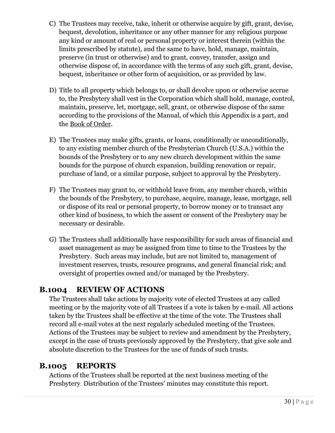- C) The Trustees may receive, take, inherit or otherwise acquire by gift, grant, devise, bequest, devolution, inheritance or any other manner for any religious purpose any kind or amount of real or personal property or interest therein (within the limits prescribed by statute), and the same to have, hold, manage, maintain, preserve (in trust or otherwise) and to grant, convey, transfer, assign and otherwise dispose of, in accordance with the terms of any such gift, grant, devise, bequest, inheritance or other form of acquisition, or as provided by law.
- D) Title to all property which belongs to, or shall devolve upon or otherwise accrue to, the Presbytery shall vest in the Corporation which shall hold, manage, control, maintain, preserve, let, mortgage, sell, grant, or otherwise dispose of the same according to the provisions of the Manual, of which this Appendix is a part, and the Book of Order.
- E) The Trustees may make gifts, grants, or loans, conditionally or unconditionally, to any existing member church of the Presbyterian Church (U.S.A.) within the bounds of the Presbytery or to any new church development within the same bounds for the purpose of church expansion, building renovation or repair, purchase of land, or a similar purpose, subject to approval by the Presbytery.
- F) The Trustees may grant to, or withhold leave from, any member church, within the bounds of the Presbytery, to purchase, acquire, manage, lease, mortgage, sell or dispose of its real or personal property, to borrow money or to transact any other kind of business, to which the assent or consent of the Presbytery may be necessary or desirable.
- G) The Trustees shall additionally have responsibility for such areas of financial and asset management as may be assigned from time to time to the Trustees by the Presbytery. Such areas may include, but are not limited to, management of investment reserves, trusts, resource programs, and general financial risk; and oversight of properties owned and/or managed by the Presbytery.

# **B.1004 REVIEW OF ACTIONS**

The Trustees shall take actions by majority vote of elected Trustees at any called meeting or by the majority vote of all Trustees if a vote is taken by e-mail. All actions taken by the Trustees shall be effective at the time of the vote. The Trustees shall record all e-mail votes at the next regularly scheduled meeting of the Trustees. Actions of the Trustees may be subject to review and amendment by the Presbytery, except in the case of trusts previously approved by the Presbytery, that give sole and absolute discretion to the Trustees for the use of funds of such trusts.

# **B.1005 REPORTS**

Actions of the Trustees shall be reported at the next business meeting of the Presbytery. Distribution of the Trustees' minutes may constitute this report.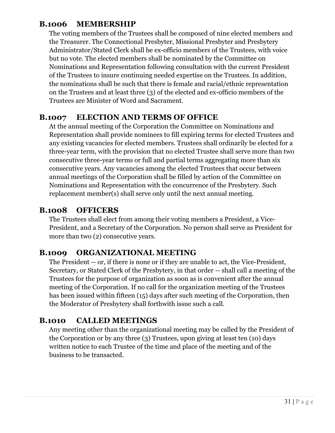### **B.1006 MEMBERSHIP**

The voting members of the Trustees shall be composed of nine elected members and the Treasurer. The Connectional Presbyter, Missional Presbyter and Presbytery Administrator/Stated Clerk shall be ex-officio members of the Trustees, with voice but no vote. The elected members shall be nominated by the Committee on Nominations and Representation following consultation with the current President of the Trustees to insure continuing needed expertise on the Trustees. In addition, the nominations shall be such that there is female and racial/ethnic representation on the Trustees and at least three (3) of the elected and ex-officio members of the Trustees are Minister of Word and Sacrament.

### **B.1007 ELECTION AND TERMS OF OFFICE**

At the annual meeting of the Corporation the Committee on Nominations and Representation shall provide nominees to fill expiring terms for elected Trustees and any existing vacancies for elected members. Trustees shall ordinarily be elected for a three-year term, with the provision that no elected Trustee shall serve more than two consecutive three-year terms or full and partial terms aggregating more than six consecutive years. Any vacancies among the elected Trustees that occur between annual meetings of the Corporation shall be filled by action of the Committee on Nominations and Representation with the concurrence of the Presbytery. Such replacement member(s) shall serve only until the next annual meeting.

### **B.1008 OFFICERS**

The Trustees shall elect from among their voting members a President, a Vice-President, and a Secretary of the Corporation. No person shall serve as President for more than two (2) consecutive years.

# **B.1009 ORGANIZATIONAL MEETING**

The President -- or, if there is none or if they are unable to act, the Vice-President, Secretary, or Stated Clerk of the Presbytery, in that order -- shall call a meeting of the Trustees for the purpose of organization as soon as is convenient after the annual meeting of the Corporation. If no call for the organization meeting of the Trustees has been issued within fifteen (15) days after such meeting of the Corporation, then the Moderator of Presbytery shall forthwith issue such a call.

# **B.1010 CALLED MEETINGS**

Any meeting other than the organizational meeting may be called by the President of the Corporation or by any three (3) Trustees, upon giving at least ten (10) days written notice to each Trustee of the time and place of the meeting and of the business to be transacted.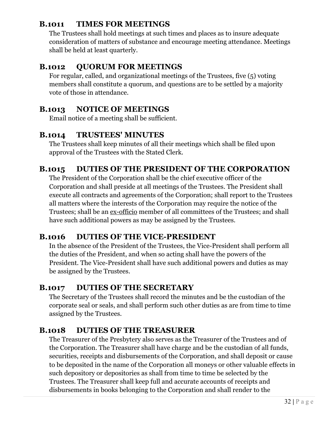# **B.1011 TIMES FOR MEETINGS**

The Trustees shall hold meetings at such times and places as to insure adequate consideration of matters of substance and encourage meeting attendance. Meetings shall be held at least quarterly.

# **B.1012 QUORUM FOR MEETINGS**

For regular, called, and organizational meetings of the Trustees, five (5) voting members shall constitute a quorum, and questions are to be settled by a majority vote of those in attendance.

# **B.1013 NOTICE OF MEETINGS**

Email notice of a meeting shall be sufficient.

# **B.1014 TRUSTEES' MINUTES**

The Trustees shall keep minutes of all their meetings which shall be filed upon approval of the Trustees with the Stated Clerk.

# **B.1015 DUTIES OF THE PRESIDENT OF THE CORPORATION**

The President of the Corporation shall be the chief executive officer of the Corporation and shall preside at all meetings of the Trustees. The President shall execute all contracts and agreements of the Corporation; shall report to the Trustees all matters where the interests of the Corporation may require the notice of the Trustees; shall be an ex-officio member of all committees of the Trustees; and shall have such additional powers as may be assigned by the Trustees.

# **B.1016 DUTIES OF THE VICE-PRESIDENT**

In the absence of the President of the Trustees, the Vice-President shall perform all the duties of the President, and when so acting shall have the powers of the President. The Vice-President shall have such additional powers and duties as may be assigned by the Trustees.

# **B.1017 DUTIES OF THE SECRETARY**

The Secretary of the Trustees shall record the minutes and be the custodian of the corporate seal or seals, and shall perform such other duties as are from time to time assigned by the Trustees.

# **B.1018 DUTIES OF THE TREASURER**

The Treasurer of the Presbytery also serves as the Treasurer of the Trustees and of the Corporation. The Treasurer shall have charge and be the custodian of all funds, securities, receipts and disbursements of the Corporation, and shall deposit or cause to be deposited in the name of the Corporation all moneys or other valuable effects in such depository or depositories as shall from time to time be selected by the Trustees. The Treasurer shall keep full and accurate accounts of receipts and disbursements in books belonging to the Corporation and shall render to the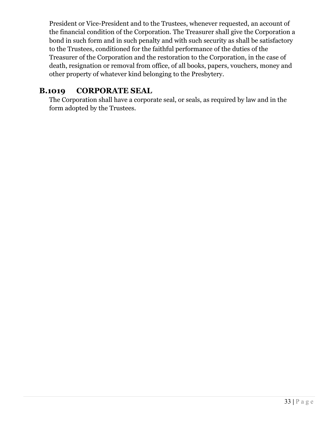President or Vice-President and to the Trustees, whenever requested, an account of the financial condition of the Corporation. The Treasurer shall give the Corporation a bond in such form and in such penalty and with such security as shall be satisfactory to the Trustees, conditioned for the faithful performance of the duties of the Treasurer of the Corporation and the restoration to the Corporation, in the case of death, resignation or removal from office, of all books, papers, vouchers, money and other property of whatever kind belonging to the Presbytery.

# **B.1019 CORPORATE SEAL**

The Corporation shall have a corporate seal, or seals, as required by law and in the form adopted by the Trustees.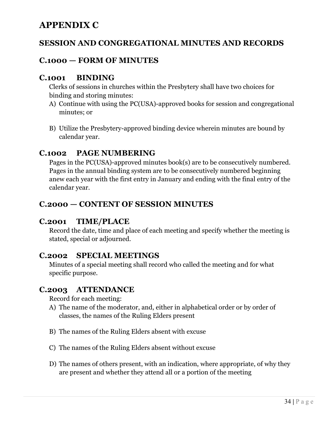# **APPENDIX C**

### **SESSION AND CONGREGATIONAL MINUTES AND RECORDS**

### **C.1000 — FORM OF MINUTES**

#### **C.1001 BINDING**

Clerks of sessions in churches within the Presbytery shall have two choices for binding and storing minutes:

- A) Continue with using the PC(USA)-approved books for session and congregational minutes; or
- B) Utilize the Presbytery-approved binding device wherein minutes are bound by calendar year.

#### **C.1002 PAGE NUMBERING**

Pages in the PC(USA)-approved minutes book(s) are to be consecutively numbered. Pages in the annual binding system are to be consecutively numbered beginning anew each year with the first entry in January and ending with the final entry of the calendar year.

### **C.2000 — CONTENT OF SESSION MINUTES**

#### **C.2001 TIME/PLACE**

Record the date, time and place of each meeting and specify whether the meeting is stated, special or adjourned.

#### **C.2002 SPECIAL MEETINGS**

Minutes of a special meeting shall record who called the meeting and for what specific purpose.

#### **C.2003 ATTENDANCE**

Record for each meeting:

- A) The name of the moderator, and, either in alphabetical order or by order of classes, the names of the Ruling Elders present
- B) The names of the Ruling Elders absent with excuse
- C) The names of the Ruling Elders absent without excuse
- D) The names of others present, with an indication, where appropriate, of why they are present and whether they attend all or a portion of the meeting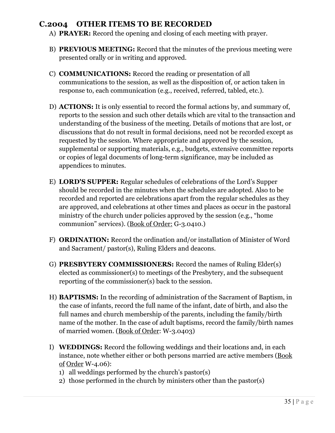#### **C.2004 OTHER ITEMS TO BE RECORDED**

- A) **PRAYER:** Record the opening and closing of each meeting with prayer.
- B) **PREVIOUS MEETING:** Record that the minutes of the previous meeting were presented orally or in writing and approved.
- C) **COMMUNICATIONS:** Record the reading or presentation of all communications to the session, as well as the disposition of, or action taken in response to, each communication (e.g., received, referred, tabled, etc.).
- D) **ACTIONS:** It is only essential to record the formal actions by, and summary of, reports to the session and such other details which are vital to the transaction and understanding of the business of the meeting. Details of motions that are lost, or discussions that do not result in formal decisions, need not be recorded except as requested by the session. Where appropriate and approved by the session, supplemental or supporting materials, e.g., budgets, extensive committee reports or copies of legal documents of long-term significance, may be included as appendices to minutes.
- E) **LORD'S SUPPER:** Regular schedules of celebrations of the Lord's Supper should be recorded in the minutes when the schedules are adopted. Also to be recorded and reported are celebrations apart from the regular schedules as they are approved, and celebrations at other times and places as occur in the pastoral ministry of the church under policies approved by the session (e.g., "home communion" services). (Book of Order: G-3.0410.)
- F) **ORDINATION:** Record the ordination and/or installation of Minister of Word and Sacrament/ pastor(s), Ruling Elders and deacons.
- G) **PRESBYTERY COMMISSIONERS:** Record the names of Ruling Elder(s) elected as commissioner(s) to meetings of the Presbytery, and the subsequent reporting of the commissioner(s) back to the session.
- H) **BAPTISMS:** In the recording of administration of the Sacrament of Baptism, in the case of infants, record the full name of the infant, date of birth, and also the full names and church membership of the parents, including the family/birth name of the mother. In the case of adult baptisms, record the family/birth names of married women. (Book of Order: W-3.0403)
- I) **WEDDINGS:** Record the following weddings and their locations and, in each instance, note whether either or both persons married are active members (Book of Order W-4.06):
	- 1) all weddings performed by the church's pastor(s)
	- 2) those performed in the church by ministers other than the pastor(s)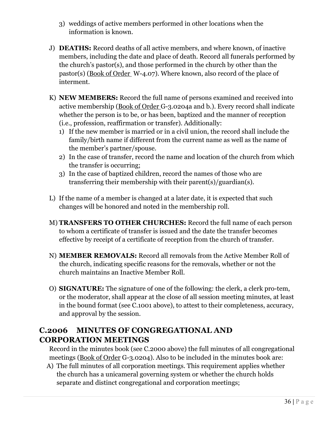- 3) weddings of active members performed in other locations when the information is known.
- J) **DEATHS:** Record deaths of all active members, and where known, of inactive members, including the date and place of death. Record all funerals performed by the church's pastor(s), and those performed in the church by other than the pastor(s) (Book of Order W-4.07). Where known, also record of the place of interment.
- K) **NEW MEMBERS:** Record the full name of persons examined and received into active membership (Book of Order G-3.0204a and b.). Every record shall indicate whether the person is to be, or has been, baptized and the manner of reception (i.e., profession, reaffirmation or transfer). Additionally:
	- 1) If the new member is married or in a civil union, the record shall include the family/birth name if different from the current name as well as the name of the member's partner/spouse.
	- 2) In the case of transfer, record the name and location of the church from which the transfer is occurring;
	- 3) In the case of baptized children, record the names of those who are transferring their membership with their parent(s)/guardian(s).
- L) If the name of a member is changed at a later date, it is expected that such changes will be honored and noted in the membership roll.
- M) **TRANSFERS TO OTHER CHURCHES:** Record the full name of each person to whom a certificate of transfer is issued and the date the transfer becomes effective by receipt of a certificate of reception from the church of transfer.
- N) **MEMBER REMOVALS:** Record all removals from the Active Member Roll of the church, indicating specific reasons for the removals, whether or not the church maintains an Inactive Member Roll.
- O) **SIGNATURE:** The signature of one of the following: the clerk, a clerk pro-tem, or the moderator, shall appear at the close of all session meeting minutes, at least in the bound format (see C.1001 above), to attest to their completeness, accuracy, and approval by the session.

# **C.2006 MINUTES OF CONGREGATIONAL AND CORPORATION MEETINGS**

Record in the minutes book (see C.2000 above) the full minutes of all congregational meetings (Book of Order G-3.0204). Also to be included in the minutes book are:

A) The full minutes of all corporation meetings. This requirement applies whether the church has a unicameral governing system or whether the church holds separate and distinct congregational and corporation meetings;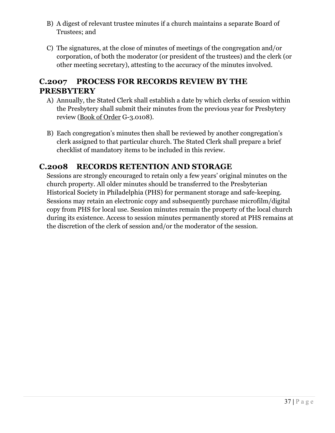- B) A digest of relevant trustee minutes if a church maintains a separate Board of Trustees; and
- C) The signatures, at the close of minutes of meetings of the congregation and/or corporation, of both the moderator (or president of the trustees) and the clerk (or other meeting secretary), attesting to the accuracy of the minutes involved.

#### **C.2007 PROCESS FOR RECORDS REVIEW BY THE PRESBYTERY**

- A) Annually, the Stated Clerk shall establish a date by which clerks of session within the Presbytery shall submit their minutes from the previous year for Presbytery review (Book of Order G-3.0108).
- B) Each congregation's minutes then shall be reviewed by another congregation's clerk assigned to that particular church. The Stated Clerk shall prepare a brief checklist of mandatory items to be included in this review.

#### **C.2008 RECORDS RETENTION AND STORAGE**

Sessions are strongly encouraged to retain only a few years' original minutes on the church property. All older minutes should be transferred to the Presbyterian Historical Society in Philadelphia (PHS) for permanent storage and safe-keeping. Sessions may retain an electronic copy and subsequently purchase microfilm/digital copy from PHS for local use. Session minutes remain the property of the local church during its existence. Access to session minutes permanently stored at PHS remains at the discretion of the clerk of session and/or the moderator of the session.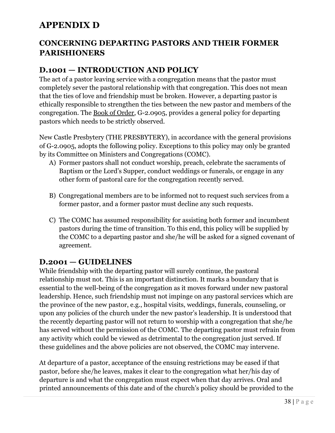# **APPENDIX D**

#### **CONCERNING DEPARTING PASTORS AND THEIR FORMER PARISHIONERS**

## **D.1001 — INTRODUCTION AND POLICY**

The act of a pastor leaving service with a congregation means that the pastor must completely sever the pastoral relationship with that congregation. This does not mean that the ties of love and friendship must be broken. However, a departing pastor is ethically responsible to strengthen the ties between the new pastor and members of the congregation. The Book of Order, G-2.0905, provides a general policy for departing pastors which needs to be strictly observed.

New Castle Presbytery (THE PRESBYTERY), in accordance with the general provisions of G-2.0905, adopts the following policy. Exceptions to this policy may only be granted by its Committee on Ministers and Congregations (COMC).

- A) Former pastors shall not conduct worship, preach, celebrate the sacraments of Baptism or the Lord's Supper, conduct weddings or funerals, or engage in any other form of pastoral care for the congregation recently served.
- B) Congregational members are to be informed not to request such services from a former pastor, and a former pastor must decline any such requests.
- C) The COMC has assumed responsibility for assisting both former and incumbent pastors during the time of transition. To this end, this policy will be supplied by the COMC to a departing pastor and she/he will be asked for a signed covenant of agreement.

#### **D.2001 — GUIDELINES**

While friendship with the departing pastor will surely continue, the pastoral relationship must not. This is an important distinction. It marks a boundary that is essential to the well-being of the congregation as it moves forward under new pastoral leadership. Hence, such friendship must not impinge on any pastoral services which are the province of the new pastor, e.g., hospital visits, weddings, funerals, counseling, or upon any policies of the church under the new pastor's leadership. It is understood that the recently departing pastor will not return to worship with a congregation that she/he has served without the permission of the COMC. The departing pastor must refrain from any activity which could be viewed as detrimental to the congregation just served. If these guidelines and the above policies are not observed, the COMC may intervene.

At departure of a pastor, acceptance of the ensuing restrictions may be eased if that pastor, before she/he leaves, makes it clear to the congregation what her/his day of departure is and what the congregation must expect when that day arrives. Oral and printed announcements of this date and of the church's policy should be provided to the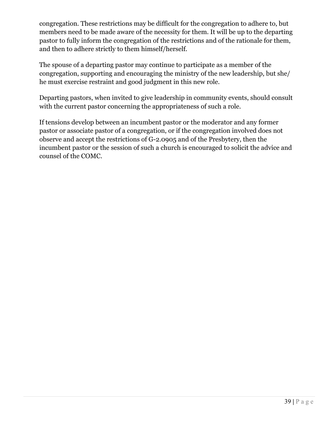congregation. These restrictions may be difficult for the congregation to adhere to, but members need to be made aware of the necessity for them. It will be up to the departing pastor to fully inform the congregation of the restrictions and of the rationale for them, and then to adhere strictly to them himself/herself.

The spouse of a departing pastor may continue to participate as a member of the congregation, supporting and encouraging the ministry of the new leadership, but she/ he must exercise restraint and good judgment in this new role.

Departing pastors, when invited to give leadership in community events, should consult with the current pastor concerning the appropriateness of such a role.

If tensions develop between an incumbent pastor or the moderator and any former pastor or associate pastor of a congregation, or if the congregation involved does not observe and accept the restrictions of G-2.0905 and of the Presbytery, then the incumbent pastor or the session of such a church is encouraged to solicit the advice and counsel of the COMC.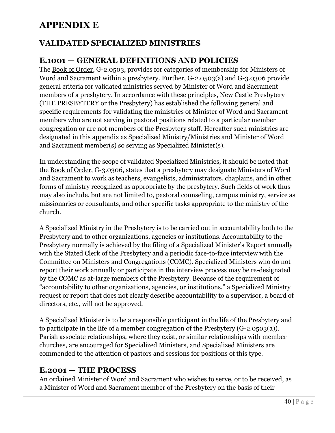# **APPENDIX E**

#### **VALIDATED SPECIALIZED MINISTRIES**

#### **E.1001 — GENERAL DEFINITIONS AND POLICIES**

The Book of Order, G-2.0503, provides for categories of membership for Ministers of Word and Sacrament within a presbytery. Further, G-2.0503(a) and G-3.0306 provide general criteria for validated ministries served by Minister of Word and Sacrament members of a presbytery. In accordance with these principles, New Castle Presbytery (THE PRESBYTERY or the Presbytery) has established the following general and specific requirements for validating the ministries of Minister of Word and Sacrament members who are not serving in pastoral positions related to a particular member congregation or are not members of the Presbytery staff. Hereafter such ministries are designated in this appendix as Specialized Ministry/Ministries and Minister of Word and Sacrament member(s) so serving as Specialized Minister(s).

In understanding the scope of validated Specialized Ministries, it should be noted that the Book of Order, G-3.0306, states that a presbytery may designate Ministers of Word and Sacrament to work as teachers, evangelists, administrators, chaplains, and in other forms of ministry recognized as appropriate by the presbytery. Such fields of work thus may also include, but are not limited to, pastoral counseling, campus ministry, service as missionaries or consultants, and other specific tasks appropriate to the ministry of the church.

A Specialized Ministry in the Presbytery is to be carried out in accountability both to the Presbytery and to other organizations, agencies or institutions. Accountability to the Presbytery normally is achieved by the filing of a Specialized Minister's Report annually with the Stated Clerk of the Presbytery and a periodic face-to-face interview with the Committee on Ministers and Congregations (COMC). Specialized Ministers who do not report their work annually or participate in the interview process may be re-designated by the COMC as at-large members of the Presbytery. Because of the requirement of "accountability to other organizations, agencies, or institutions," a Specialized Ministry request or report that does not clearly describe accountability to a supervisor, a board of directors, etc., will not be approved.

A Specialized Minister is to be a responsible participant in the life of the Presbytery and to participate in the life of a member congregation of the Presbytery (G-2.0503(a)). Parish associate relationships, where they exist, or similar relationships with member churches, are encouraged for Specialized Ministers, and Specialized Ministers are commended to the attention of pastors and sessions for positions of this type.

#### **E.2001 — THE PROCESS**

An ordained Minister of Word and Sacrament who wishes to serve, or to be received, as a Minister of Word and Sacrament member of the Presbytery on the basis of their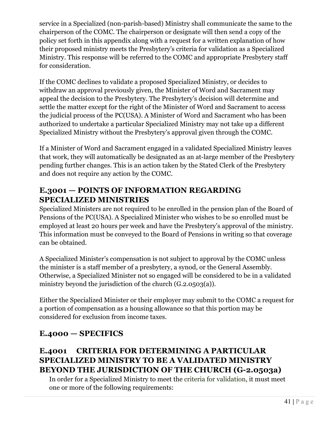service in a Specialized (non-parish-based) Ministry shall communicate the same to the chairperson of the COMC. The chairperson or designate will then send a copy of the policy set forth in this appendix along with a request for a written explanation of how their proposed ministry meets the Presbytery's criteria for validation as a Specialized Ministry. This response will be referred to the COMC and appropriate Presbytery staff for consideration.

If the COMC declines to validate a proposed Specialized Ministry, or decides to withdraw an approval previously given, the Minister of Word and Sacrament may appeal the decision to the Presbytery. The Presbytery's decision will determine and settle the matter except for the right of the Minister of Word and Sacrament to access the judicial process of the PC(USA). A Minister of Word and Sacrament who has been authorized to undertake a particular Specialized Ministry may not take up a different Specialized Ministry without the Presbytery's approval given through the COMC.

If a Minister of Word and Sacrament engaged in a validated Specialized Ministry leaves that work, they will automatically be designated as an at-large member of the Presbytery pending further changes. This is an action taken by the Stated Clerk of the Presbytery and does not require any action by the COMC.

## **E.3001 — POINTS OF INFORMATION REGARDING SPECIALIZED MINISTRIES**

Specialized Ministers are not required to be enrolled in the pension plan of the Board of Pensions of the PC(USA). A Specialized Minister who wishes to be so enrolled must be employed at least 20 hours per week and have the Presbytery's approval of the ministry. This information must be conveyed to the Board of Pensions in writing so that coverage can be obtained.

A Specialized Minister's compensation is not subject to approval by the COMC unless the minister is a staff member of a presbytery, a synod, or the General Assembly. Otherwise, a Specialized Minister not so engaged will be considered to be in a validated ministry beyond the jurisdiction of the church (G.2.0503(a)).

Either the Specialized Minister or their employer may submit to the COMC a request for a portion of compensation as a housing allowance so that this portion may be considered for exclusion from income taxes.

## **E.4000 — SPECIFICS**

## **E.4001 CRITERIA FOR DETERMINING A PARTICULAR SPECIALIZED MINISTRY TO BE A VALIDATED MINISTRY BEYOND THE JURISDICTION OF THE CHURCH (G-2.0503a)**

In order for a Specialized Ministry to meet the criteria for validation, it must meet one or more of the following requirements: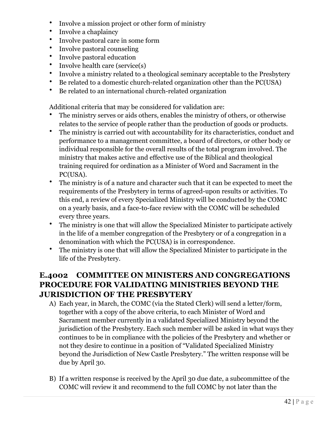- Involve a mission project or other form of ministry
- Involve a chaplaincy
- Involve pastoral care in some form
- Involve pastoral counseling
- Involve pastoral education
- Involve health care (service(s)
- Involve a ministry related to a theological seminary acceptable to the Presbytery
- Be related to a domestic church-related organization other than the PC(USA)
- Be related to an international church-related organization

Additional criteria that may be considered for validation are:

- The ministry serves or aids others, enables the ministry of others, or otherwise relates to the service of people rather than the production of goods or products.
- The ministry is carried out with accountability for its characteristics, conduct and performance to a management committee, a board of directors, or other body or individual responsible for the overall results of the total program involved. The ministry that makes active and effective use of the Biblical and theological training required for ordination as a Minister of Word and Sacrament in the PC(USA).
- The ministry is of a nature and character such that it can be expected to meet the requirements of the Presbytery in terms of agreed-upon results or activities. To this end, a review of every Specialized Ministry will be conducted by the COMC on a yearly basis, and a face-to-face review with the COMC will be scheduled every three years.
- The ministry is one that will allow the Specialized Minister to participate actively in the life of a member congregation of the Presbytery or of a congregation in a denomination with which the PC(USA) is in correspondence.
- The ministry is one that will allow the Specialized Minister to participate in the life of the Presbytery.

## **E.4002 COMMITTEE ON MINISTERS AND CONGREGATIONS PROCEDURE FOR VALIDATING MINISTRIES BEYOND THE JURISDICTION OF THE PRESBYTERY**

- A) Each year, in March, the COMC (via the Stated Clerk) will send a letter/form, together with a copy of the above criteria, to each Minister of Word and Sacrament member currently in a validated Specialized Ministry beyond the jurisdiction of the Presbytery. Each such member will be asked in what ways they continues to be in compliance with the policies of the Presbytery and whether or not they desire to continue in a position of "Validated Specialized Ministry beyond the Jurisdiction of New Castle Presbytery." The written response will be due by April 30.
- B) If a written response is received by the April 30 due date, a subcommittee of the COMC will review it and recommend to the full COMC by not later than the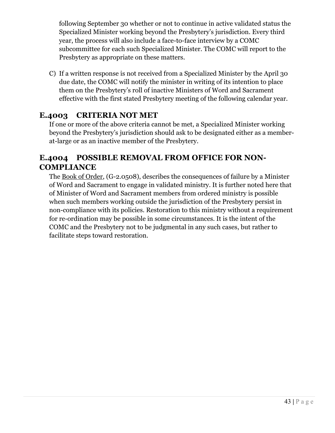following September 30 whether or not to continue in active validated status the Specialized Minister working beyond the Presbytery's jurisdiction. Every third year, the process will also include a face-to-face interview by a COMC subcommittee for each such Specialized Minister. The COMC will report to the Presbytery as appropriate on these matters.

C) If a written response is not received from a Specialized Minister by the April 30 due date, the COMC will notify the minister in writing of its intention to place them on the Presbytery's roll of inactive Ministers of Word and Sacrament effective with the first stated Presbytery meeting of the following calendar year.

## **E.4003 CRITERIA NOT MET**

If one or more of the above criteria cannot be met, a Specialized Minister working beyond the Presbytery's jurisdiction should ask to be designated either as a memberat-large or as an inactive member of the Presbytery.

#### **E.4004 POSSIBLE REMOVAL FROM OFFICE FOR NON-COMPLIANCE**

The Book of Order, (G-2.0508), describes the consequences of failure by a Minister of Word and Sacrament to engage in validated ministry. It is further noted here that of Minister of Word and Sacrament members from ordered ministry is possible when such members working outside the jurisdiction of the Presbytery persist in non-compliance with its policies. Restoration to this ministry without a requirement for re-ordination may be possible in some circumstances. It is the intent of the COMC and the Presbytery not to be judgmental in any such cases, but rather to facilitate steps toward restoration.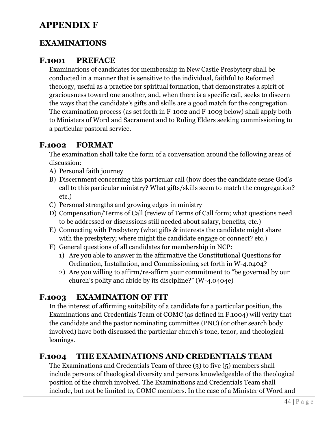## **APPENDIX F**

#### **EXAMINATIONS**

#### **F.1001 PREFACE**

Examinations of candidates for membership in New Castle Presbytery shall be conducted in a manner that is sensitive to the individual, faithful to Reformed theology, useful as a practice for spiritual formation, that demonstrates a spirit of graciousness toward one another, and, when there is a specific call, seeks to discern the ways that the candidate's gifts and skills are a good match for the congregation. The examination process (as set forth in F-1002 and F-1003 below) shall apply both to Ministers of Word and Sacrament and to Ruling Elders seeking commissioning to a particular pastoral service.

#### **F.1002 FORMAT**

The examination shall take the form of a conversation around the following areas of discussion:

- A) Personal faith journey
- B) Discernment concerning this particular call (how does the candidate sense God's call to this particular ministry? What gifts/skills seem to match the congregation? etc.)
- C) Personal strengths and growing edges in ministry
- D) Compensation/Terms of Call (review of Terms of Call form; what questions need to be addressed or discussions still needed about salary, benefits, etc.)
- E) Connecting with Presbytery (what gifts & interests the candidate might share with the presbytery; where might the candidate engage or connect? etc.)
- F) General questions of all candidates for membership in NCP:
	- 1) Are you able to answer in the affirmative the Constitutional Questions for Ordination, Installation, and Commissioning set forth in W-4.0404?
	- 2) Are you willing to affirm/re-affirm your commitment to "be governed by our church's polity and abide by its discipline?" (W-4.0404e)

## **F.1003 EXAMINATION OF FIT**

In the interest of affirming suitability of a candidate for a particular position, the Examinations and Credentials Team of COMC (as defined in F.1004) will verify that the candidate and the pastor nominating committee (PNC) (or other search body involved) have both discussed the particular church's tone, tenor, and theological leanings.

#### **F.1004 THE EXAMINATIONS AND CREDENTIALS TEAM**

The Examinations and Credentials Team of three (3) to five (5) members shall include persons of theological diversity and persons knowledgeable of the theological position of the church involved. The Examinations and Credentials Team shall include, but not be limited to, COMC members. In the case of a Minister of Word and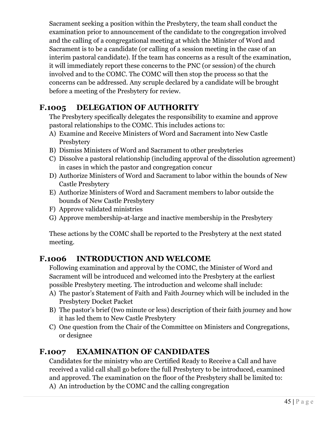Sacrament seeking a position within the Presbytery, the team shall conduct the examination prior to announcement of the candidate to the congregation involved and the calling of a congregational meeting at which the Minister of Word and Sacrament is to be a candidate (or calling of a session meeting in the case of an interim pastoral candidate). If the team has concerns as a result of the examination, it will immediately report these concerns to the PNC (or session) of the church involved and to the COMC. The COMC will then stop the process so that the concerns can be addressed. Any scruple declared by a candidate will be brought before a meeting of the Presbytery for review.

## **F.1005 DELEGATION OF AUTHORITY**

The Presbytery specifically delegates the responsibility to examine and approve pastoral relationships to the COMC. This includes actions to:

- A) Examine and Receive Ministers of Word and Sacrament into New Castle Presbytery
- B) Dismiss Ministers of Word and Sacrament to other presbyteries
- C) Dissolve a pastoral relationship (including approval of the dissolution agreement) in cases in which the pastor and congregation concur
- D) Authorize Ministers of Word and Sacrament to labor within the bounds of New Castle Presbytery
- E) Authorize Ministers of Word and Sacrament members to labor outside the bounds of New Castle Presbytery
- F) Approve validated ministries
- G) Approve membership-at-large and inactive membership in the Presbytery

These actions by the COMC shall be reported to the Presbytery at the next stated meeting.

## **F.1006 INTRODUCTION AND WELCOME**

Following examination and approval by the COMC, the Minister of Word and Sacrament will be introduced and welcomed into the Presbytery at the earliest possible Presbytery meeting. The introduction and welcome shall include:

- A) The pastor's Statement of Faith and Faith Journey which will be included in the Presbytery Docket Packet
- B) The pastor's brief (two minute or less) description of their faith journey and how it has led them to New Castle Presbytery
- C) One question from the Chair of the Committee on Ministers and Congregations, or designee

## **F.1007 EXAMINATION OF CANDIDATES**

Candidates for the ministry who are Certified Ready to Receive a Call and have received a valid call shall go before the full Presbytery to be introduced, examined and approved. The examination on the floor of the Presbytery shall be limited to: A) An introduction by the COMC and the calling congregation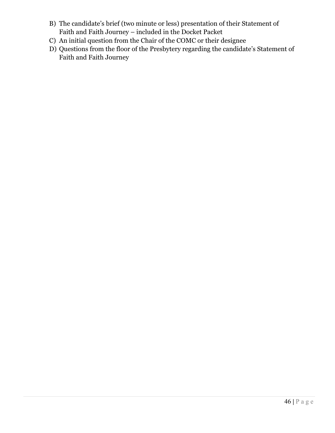- B) The candidate's brief (two minute or less) presentation of their Statement of Faith and Faith Journey – included in the Docket Packet
- C) An initial question from the Chair of the COMC or their designee
- D) Questions from the floor of the Presbytery regarding the candidate's Statement of Faith and Faith Journey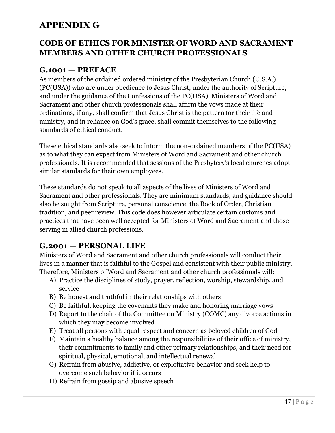# **APPENDIX G**

#### **CODE OF ETHICS FOR MINISTER OF WORD AND SACRAMENT MEMBERS AND OTHER CHURCH PROFESSIONALS**

## **G.1001 — PREFACE**

As members of the ordained ordered ministry of the Presbyterian Church (U.S.A.) (PC(USA)) who are under obedience to Jesus Christ, under the authority of Scripture, and under the guidance of the Confessions of the PC(USA), Ministers of Word and Sacrament and other church professionals shall affirm the vows made at their ordinations, if any, shall confirm that Jesus Christ is the pattern for their life and ministry, and in reliance on God's grace, shall commit themselves to the following standards of ethical conduct.

These ethical standards also seek to inform the non-ordained members of the PC(USA) as to what they can expect from Ministers of Word and Sacrament and other church professionals. It is recommended that sessions of the Presbytery's local churches adopt similar standards for their own employees.

These standards do not speak to all aspects of the lives of Ministers of Word and Sacrament and other professionals. They are minimum standards, and guidance should also be sought from Scripture, personal conscience, the Book of Order, Christian tradition, and peer review. This code does however articulate certain customs and practices that have been well accepted for Ministers of Word and Sacrament and those serving in allied church professions.

#### **G.2001 — PERSONAL LIFE**

Ministers of Word and Sacrament and other church professionals will conduct their lives in a manner that is faithful to the Gospel and consistent with their public ministry. Therefore, Ministers of Word and Sacrament and other church professionals will:

- A) Practice the disciplines of study, prayer, reflection, worship, stewardship, and service
- B) Be honest and truthful in their relationships with others
- C) Be faithful, keeping the covenants they make and honoring marriage vows
- D) Report to the chair of the Committee on Ministry (COMC) any divorce actions in which they may become involved
- E) Treat all persons with equal respect and concern as beloved children of God
- F) Maintain a healthy balance among the responsibilities of their office of ministry, their commitments to family and other primary relationships, and their need for spiritual, physical, emotional, and intellectual renewal
- G) Refrain from abusive, addictive, or exploitative behavior and seek help to overcome such behavior if it occurs
- H) Refrain from gossip and abusive speech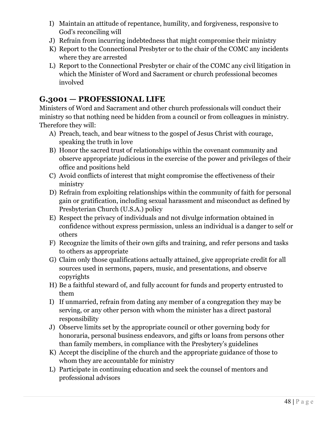- I) Maintain an attitude of repentance, humility, and forgiveness, responsive to God's reconciling will
- J) Refrain from incurring indebtedness that might compromise their ministry
- K) Report to the Connectional Presbyter or to the chair of the COMC any incidents where they are arrested
- L) Report to the Connectional Presbyter or chair of the COMC any civil litigation in which the Minister of Word and Sacrament or church professional becomes involved

## **G.3001 — PROFESSIONAL LIFE**

Ministers of Word and Sacrament and other church professionals will conduct their ministry so that nothing need be hidden from a council or from colleagues in ministry. Therefore they will:

- A) Preach, teach, and bear witness to the gospel of Jesus Christ with courage, speaking the truth in love
- B) Honor the sacred trust of relationships within the covenant community and observe appropriate judicious in the exercise of the power and privileges of their office and positions held
- C) Avoid conflicts of interest that might compromise the effectiveness of their ministry
- D) Refrain from exploiting relationships within the community of faith for personal gain or gratification, including sexual harassment and misconduct as defined by Presbyterian Church (U.S.A.) policy
- E) Respect the privacy of individuals and not divulge information obtained in confidence without express permission, unless an individual is a danger to self or others
- F) Recognize the limits of their own gifts and training, and refer persons and tasks to others as appropriate
- G) Claim only those qualifications actually attained, give appropriate credit for all sources used in sermons, papers, music, and presentations, and observe copyrights
- H) Be a faithful steward of, and fully account for funds and property entrusted to them
- I) If unmarried, refrain from dating any member of a congregation they may be serving, or any other person with whom the minister has a direct pastoral responsibility
- J) Observe limits set by the appropriate council or other governing body for honoraria, personal business endeavors, and gifts or loans from persons other than family members, in compliance with the Presbytery's guidelines
- K) Accept the discipline of the church and the appropriate guidance of those to whom they are accountable for ministry
- L) Participate in continuing education and seek the counsel of mentors and professional advisors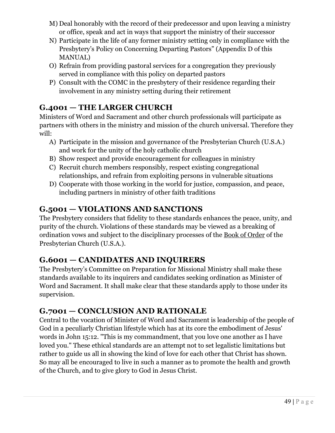- M) Deal honorably with the record of their predecessor and upon leaving a ministry or office, speak and act in ways that support the ministry of their successor
- N) Participate in the life of any former ministry setting only in compliance with the Presbytery's Policy on Concerning Departing Pastors" (Appendix D of this MANUAL)
- O) Refrain from providing pastoral services for a congregation they previously served in compliance with this policy on departed pastors
- P) Consult with the COMC in the presbytery of their residence regarding their involvement in any ministry setting during their retirement

## **G.4001 — THE LARGER CHURCH**

Ministers of Word and Sacrament and other church professionals will participate as partners with others in the ministry and mission of the church universal. Therefore they will:

- A) Participate in the mission and governance of the Presbyterian Church (U.S.A.) and work for the unity of the holy catholic church
- B) Show respect and provide encouragement for colleagues in ministry
- C) Recruit church members responsibly, respect existing congregational relationships, and refrain from exploiting persons in vulnerable situations
- D) Cooperate with those working in the world for justice, compassion, and peace, including partners in ministry of other faith traditions

## **G.5001 — VIOLATIONS AND SANCTIONS**

The Presbytery considers that fidelity to these standards enhances the peace, unity, and purity of the church. Violations of these standards may be viewed as a breaking of ordination vows and subject to the disciplinary processes of the Book of Order of the Presbyterian Church (U.S.A.).

## **G.6001 — CANDIDATES AND INQUIRERS**

The Presbytery's Committee on Preparation for Missional Ministry shall make these standards available to its inquirers and candidates seeking ordination as Minister of Word and Sacrament. It shall make clear that these standards apply to those under its supervision.

## **G.7001 — CONCLUSION AND RATIONALE**

Central to the vocation of Minister of Word and Sacrament is leadership of the people of God in a peculiarly Christian lifestyle which has at its core the embodiment of Jesus' words in John 15:12. "This is my commandment, that you love one another as I have loved you." These ethical standards are an attempt not to set legalistic limitations but rather to guide us all in showing the kind of love for each other that Christ has shown. So may all be encouraged to live in such a manner as to promote the health and growth of the Church, and to give glory to God in Jesus Christ.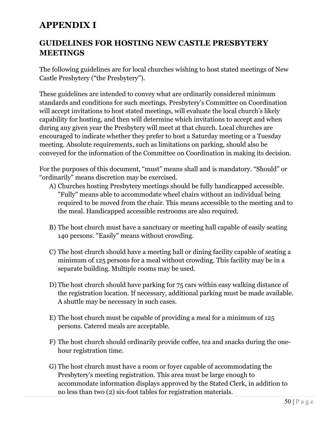# **APPENDIX I**

#### **GUIDELINES FOR HOSTING NEW CASTLE PRESBYTERY MEETINGS**

The following guidelines are for local churches wishing to host stated meetings of New Castle Presbytery ("the Presbytery").

These guidelines are intended to convey what are ordinarily considered minimum standards and conditions for such meetings. Presbytery's Committee on Coordination will accept invitations to host stated meetings, will evaluate the local church's likely capability for hosting, and then will determine which invitations to accept and when during any given year the Presbytery will meet at that church. Local churches are encouraged to indicate whether they prefer to host a Saturday meeting or a Tuesday meeting. Absolute requirements, such as limitations on parking, should also be conveyed for the information of the Committee on Coordination in making its decision.

For the purposes of this document, "must" means shall and is mandatory. "Should" or "ordinarily" means discretion may be exercised.

- A) Churches hosting Presbytery meetings should be fully handicapped accessible. "Fully" means able to accommodate wheel chairs without an individual being required to be moved from the chair. This means accessible to the meeting and to the meal. Handicapped accessible restrooms are also required*.*
- B) The host church must have a sanctuary or meeting hall capable of easily seating 140 persons. "Easily" means without crowding.
- C) The host church should have a meeting hall or dining facility capable of seating a minimum of 125 persons for a meal without crowding. This facility may be in a separate building. Multiple rooms may be used.
- D) The host church should have parking for 75 cars within easy walking distance of the registration location. If necessary, additional parking must be made available. A shuttle may be necessary in such cases.
- E) The host church must be capable of providing a meal for a minimum of 125 persons. Catered meals are acceptable.
- F) The host church should ordinarily provide coffee, tea and snacks during the onehour registration time.
- G) The host church must have a room or foyer capable of accommodating the Presbytery's meeting registration. This area must be large enough to accommodate information displays approved by the Stated Clerk, in addition to no less than two (2) six-foot tables for registration materials.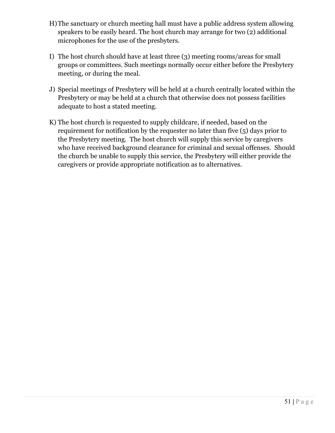- H)The sanctuary or church meeting hall must have a public address system allowing speakers to be easily heard. The host church may arrange for two (2) additional microphones for the use of the presbyters.
- I) The host church should have at least three (3) meeting rooms/areas for small groups or committees. Such meetings normally occur either before the Presbytery meeting, or during the meal.
- J) Special meetings of Presbytery will be held at a church centrally located within the Presbytery or may be held at a church that otherwise does not possess facilities adequate to host a stated meeting.
- K) The host church is requested to supply childcare, if needed, based on the requirement for notification by the requester no later than five (5) days prior to the Presbytery meeting. The host church will supply this service by caregivers who have received background clearance for criminal and sexual offenses. Should the church be unable to supply this service, the Presbytery will either provide the caregivers or provide appropriate notification as to alternatives.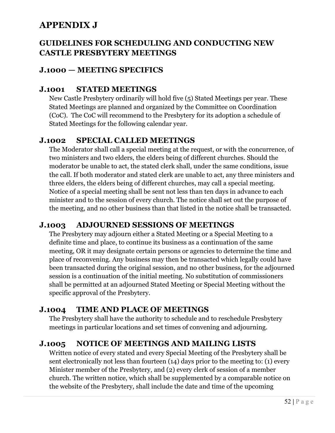# **APPENDIX J**

#### **GUIDELINES FOR SCHEDULING AND CONDUCTING NEW CASTLE PRESBYTERY MEETINGS**

#### **J.1000 — MEETING SPECIFICS**

#### **J.1001 STATED MEETINGS**

New Castle Presbytery ordinarily will hold five (5) Stated Meetings per year. These Stated Meetings are planned and organized by the Committee on Coordination (CoC). The CoC will recommend to the Presbytery for its adoption a schedule of Stated Meetings for the following calendar year.

#### **J.1002 SPECIAL CALLED MEETINGS**

The Moderator shall call a special meeting at the request, or with the concurrence, of two ministers and two elders, the elders being of different churches. Should the moderator be unable to act, the stated clerk shall, under the same conditions, issue the call. If both moderator and stated clerk are unable to act, any three ministers and three elders, the elders being of different churches, may call a special meeting. Notice of a special meeting shall be sent not less than ten days in advance to each minister and to the session of every church. The notice shall set out the purpose of the meeting, and no other business than that listed in the notice shall be transacted.

#### **J.1003 ADJOURNED SESSIONS OF MEETINGS**

The Presbytery may adjourn either a Stated Meeting or a Special Meeting to a definite time and place, to continue its business as a continuation of the same meeting, OR it may designate certain persons or agencies to determine the time and place of reconvening. Any business may then be transacted which legally could have been transacted during the original session, and no other business, for the adjourned session is a continuation of the initial meeting. No substitution of commissioners shall be permitted at an adjourned Stated Meeting or Special Meeting without the specific approval of the Presbytery.

#### **J.1004 TIME AND PLACE OF MEETINGS**

The Presbytery shall have the authority to schedule and to reschedule Presbytery meetings in particular locations and set times of convening and adjourning.

## **J.1005 NOTICE OF MEETINGS AND MAILING LISTS**

Written notice of every stated and every Special Meeting of the Presbytery shall be sent electronically not less than fourteen (14) days prior to the meeting to: (1) every Minister member of the Presbytery, and (2) every clerk of session of a member church. The written notice, which shall be supplemented by a comparable notice on the website of the Presbytery, shall include the date and time of the upcoming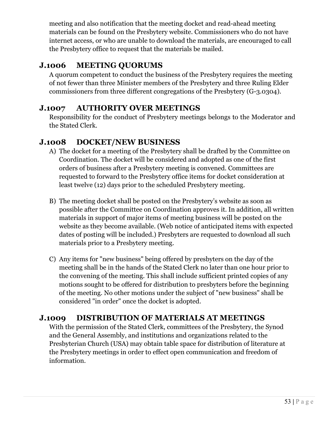meeting and also notification that the meeting docket and read-ahead meeting materials can be found on the Presbytery website. Commissioners who do not have internet access, or who are unable to download the materials, are encouraged to call the Presbytery office to request that the materials be mailed.

## **J.1006 MEETING QUORUMS**

A quorum competent to conduct the business of the Presbytery requires the meeting of not fewer than three Minister members of the Presbytery and three Ruling Elder commissioners from three different congregations of the Presbytery (G-3.0304).

#### **J.1007 AUTHORITY OVER MEETINGS**

Responsibility for the conduct of Presbytery meetings belongs to the Moderator and the Stated Clerk.

## **J.1008 DOCKET/NEW BUSINESS**

- A) The docket for a meeting of the Presbytery shall be drafted by the Committee on Coordination. The docket will be considered and adopted as one of the first orders of business after a Presbytery meeting is convened. Committees are requested to forward to the Presbytery office items for docket consideration at least twelve (12) days prior to the scheduled Presbytery meeting.
- B) The meeting docket shall be posted on the Presbytery's website as soon as possible after the Committee on Coordination approves it. In addition, all written materials in support of major items of meeting business will be posted on the website as they become available. (Web notice of anticipated items with expected dates of posting will be included.) Presbyters are requested to download all such materials prior to a Presbytery meeting.
- C) Any items for "new business" being offered by presbyters on the day of the meeting shall be in the hands of the Stated Clerk no later than one hour prior to the convening of the meeting. This shall include sufficient printed copies of any motions sought to be offered for distribution to presbyters before the beginning of the meeting. No other motions under the subject of "new business" shall be considered "in order" once the docket is adopted.

## **J.1009 DISTRIBUTION OF MATERIALS AT MEETINGS**

With the permission of the Stated Clerk, committees of the Presbytery, the Synod and the General Assembly, and institutions and organizations related to the Presbyterian Church (USA) may obtain table space for distribution of literature at the Presbytery meetings in order to effect open communication and freedom of information.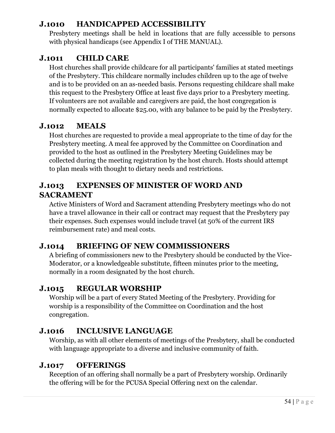#### **J.1010 HANDICAPPED ACCESSIBILITY**

Presbytery meetings shall be held in locations that are fully accessible to persons with physical handicaps (see Appendix I of THE MANUAL).

#### **J.1011 CHILD CARE**

Host churches shall provide childcare for all participants' families at stated meetings of the Presbytery. This childcare normally includes children up to the age of twelve and is to be provided on an as-needed basis. Persons requesting childcare shall make this request to the Presbytery Office at least five days prior to a Presbytery meeting. If volunteers are not available and caregivers are paid, the host congregation is normally expected to allocate \$25.00, with any balance to be paid by the Presbytery.

#### **J.1012 MEALS**

Host churches are requested to provide a meal appropriate to the time of day for the Presbytery meeting. A meal fee approved by the Committee on Coordination and provided to the host as outlined in the Presbytery Meeting Guidelines may be collected during the meeting registration by the host church. Hosts should attempt to plan meals with thought to dietary needs and restrictions.

#### **J.1013 EXPENSES OF MINISTER OF WORD AND SACRAMENT**

Active Ministers of Word and Sacrament attending Presbytery meetings who do not have a travel allowance in their call or contract may request that the Presbytery pay their expenses. Such expenses would include travel (at 50% of the current IRS reimbursement rate) and meal costs.

## **J.1014 BRIEFING OF NEW COMMISSIONERS**

A briefing of commissioners new to the Presbytery should be conducted by the Vice-Moderator, or a knowledgeable substitute, fifteen minutes prior to the meeting, normally in a room designated by the host church.

#### **J.1015 REGULAR WORSHIP**

Worship will be a part of every Stated Meeting of the Presbytery. Providing for worship is a responsibility of the Committee on Coordination and the host congregation.

#### **J.1016 INCLUSIVE LANGUAGE**

Worship, as with all other elements of meetings of the Presbytery, shall be conducted with language appropriate to a diverse and inclusive community of faith.

#### **J.1017 OFFERINGS**

Reception of an offering shall normally be a part of Presbytery worship. Ordinarily the offering will be for the PCUSA Special Offering next on the calendar.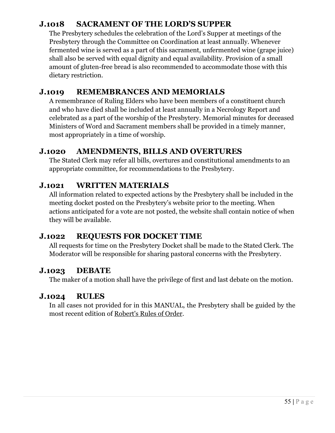#### **J.1018 SACRAMENT OF THE LORD'S SUPPER**

The Presbytery schedules the celebration of the Lord's Supper at meetings of the Presbytery through the Committee on Coordination at least annually. Whenever fermented wine is served as a part of this sacrament, unfermented wine (grape juice) shall also be served with equal dignity and equal availability. Provision of a small amount of gluten-free bread is also recommended to accommodate those with this dietary restriction.

#### **J.1019 REMEMBRANCES AND MEMORIALS**

A remembrance of Ruling Elders who have been members of a constituent church and who have died shall be included at least annually in a Necrology Report and celebrated as a part of the worship of the Presbytery. Memorial minutes for deceased Ministers of Word and Sacrament members shall be provided in a timely manner, most appropriately in a time of worship.

## **J.1020 AMENDMENTS, BILLS AND OVERTURES**

The Stated Clerk may refer all bills, overtures and constitutional amendments to an appropriate committee, for recommendations to the Presbytery.

#### **J.1021 WRITTEN MATERIALS**

All information related to expected actions by the Presbytery shall be included in the meeting docket posted on the Presbytery's website prior to the meeting. When actions anticipated for a vote are not posted, the website shall contain notice of when they will be available.

#### **J***.***1022 REQUESTS FOR DOCKET TIME**

All requests for time on the Presbytery Docket shall be made to the Stated Clerk. The Moderator will be responsible for sharing pastoral concerns with the Presbytery.

#### **J.1023 DEBATE**

The maker of a motion shall have the privilege of first and last debate on the motion.

#### **J.1024 RULES**

In all cases not provided for in this MANUAL, the Presbytery shall be guided by the most recent edition of Robert's Rules of Order.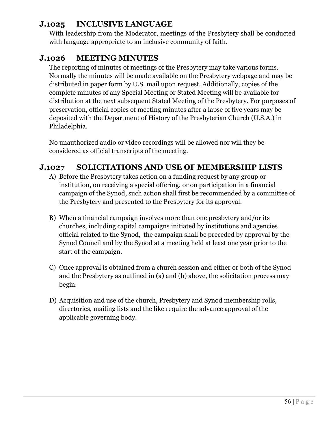#### **J.1025 INCLUSIVE LANGUAGE**

With leadership from the Moderator, meetings of the Presbytery shall be conducted with language appropriate to an inclusive community of faith.

#### **J.1026 MEETING MINUTES**

The reporting of minutes of meetings of the Presbytery may take various forms. Normally the minutes will be made available on the Presbytery webpage and may be distributed in paper form by U.S. mail upon request. Additionally, copies of the complete minutes of any Special Meeting or Stated Meeting will be available for distribution at the next subsequent Stated Meeting of the Presbytery. For purposes of preservation, official copies of meeting minutes after a lapse of five years may be deposited with the Department of History of the Presbyterian Church (U.S.A.) in Philadelphia.

No unauthorized audio or video recordings will be allowed nor will they be considered as official transcripts of the meeting.

## **J.1027 SOLICITATIONS AND USE OF MEMBERSHIP LISTS**

- A) Before the Presbytery takes action on a funding request by any group or institution, on receiving a special offering, or on participation in a financial campaign of the Synod, such action shall first be recommended by a committee of the Presbytery and presented to the Presbytery for its approval.
- B) When a financial campaign involves more than one presbytery and/or its churches, including capital campaigns initiated by institutions and agencies official related to the Synod, the campaign shall be preceded by approval by the Synod Council and by the Synod at a meeting held at least one year prior to the start of the campaign.
- C) Once approval is obtained from a church session and either or both of the Synod and the Presbytery as outlined in (a) and (b) above, the solicitation process may begin.
- D) Acquisition and use of the church, Presbytery and Synod membership rolls, directories, mailing lists and the like require the advance approval of the applicable governing body.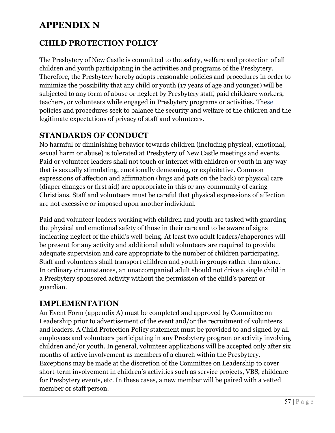# **APPENDIX N**

## **CHILD PROTECTION POLICY**

The Presbytery of New Castle is committed to the safety, welfare and protection of all children and youth participating in the activities and programs of the Presbytery. Therefore, the Presbytery hereby adopts reasonable policies and procedures in order to minimize the possibility that any child or youth (17 years of age and younger) will be subjected to any form of abuse or neglect by Presbytery staff, paid childcare workers, teachers, or volunteers while engaged in Presbytery programs or activities. These policies and procedures seek to balance the security and welfare of the children and the legitimate expectations of privacy of staff and volunteers.

#### **STANDARDS OF CONDUCT**

No harmful or diminishing behavior towards children (including physical, emotional, sexual harm or abuse) is tolerated at Presbytery of New Castle meetings and events. Paid or volunteer leaders shall not touch or interact with children or youth in any way that is sexually stimulating, emotionally demeaning, or exploitative. Common expressions of affection and affirmation (hugs and pats on the back) or physical care (diaper changes or first aid) are appropriate in this or any community of caring Christians. Staff and volunteers must be careful that physical expressions of affection are not excessive or imposed upon another individual.

Paid and volunteer leaders working with children and youth are tasked with guarding the physical and emotional safety of those in their care and to be aware of signs indicating neglect of the child's well-being. At least two adult leaders/chaperones will be present for any activity and additional adult volunteers are required to provide adequate supervision and care appropriate to the number of children participating. Staff and volunteers shall transport children and youth in groups rather than alone. In ordinary circumstances, an unaccompanied adult should not drive a single child in a Presbytery sponsored activity without the permission of the child's parent or guardian.

#### **IMPLEMENTATION**

An Event Form (appendix A) must be completed and approved by Committee on Leadership prior to advertisement of the event and/or the recruitment of volunteers and leaders. A Child Protection Policy statement must be provided to and signed by all employees and volunteers participating in any Presbytery program or activity involving children and/or youth. In general, volunteer applications will be accepted only after six months of active involvement as members of a church within the Presbytery. Exceptions may be made at the discretion of the Committee on Leadership to cover short-term involvement in children's activities such as service projects, VBS, childcare for Presbytery events, etc. In these cases, a new member will be paired with a vetted member or staff person.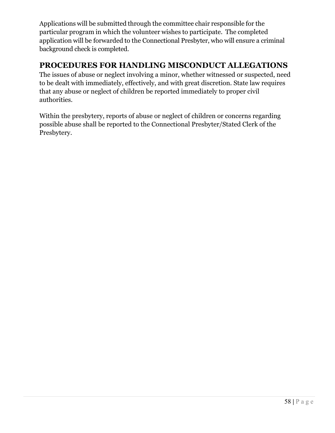Applications will be submitted through the committee chair responsible for the particular program in which the volunteer wishes to participate. The completed application will be forwarded to the Connectional Presbyter, who will ensure a criminal background check is completed.

#### **PROCEDURES FOR HANDLING MISCONDUCT ALLEGATIONS**

The issues of abuse or neglect involving a minor, whether witnessed or suspected, need to be dealt with immediately, effectively, and with great discretion. State law requires that any abuse or neglect of children be reported immediately to proper civil authorities.

Within the presbytery, reports of abuse or neglect of children or concerns regarding possible abuse shall be reported to the Connectional Presbyter/Stated Clerk of the Presbytery.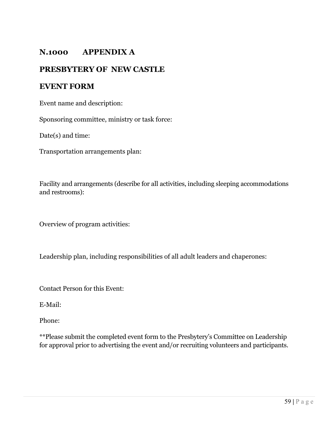#### **N.1000 APPENDIX A**

#### **PRESBYTERY OF NEW CASTLE**

#### **EVENT FORM**

Event name and description:

Sponsoring committee, ministry or task force:

Date(s) and time:

Transportation arrangements plan:

Facility and arrangements (describe for all activities, including sleeping accommodations and restrooms):

Overview of program activities:

Leadership plan, including responsibilities of all adult leaders and chaperones:

Contact Person for this Event:

E-Mail:

Phone:

\*\*Please submit the completed event form to the Presbytery's Committee on Leadership for approval prior to advertising the event and/or recruiting volunteers and participants.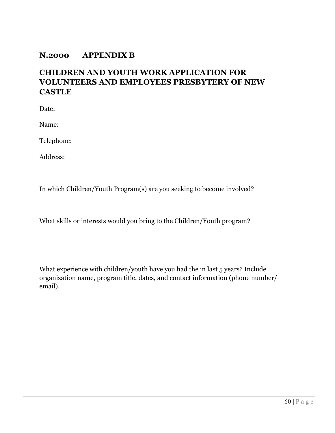#### **N.2000 APPENDIX B**

#### **CHILDREN AND YOUTH WORK APPLICATION FOR VOLUNTEERS AND EMPLOYEES PRESBYTERY OF NEW CASTLE**

Date:

Name:

Telephone:

Address:

In which Children/Youth Program(s) are you seeking to become involved?

What skills or interests would you bring to the Children/Youth program?

What experience with children/youth have you had the in last 5 years? Include organization name, program title, dates, and contact information (phone number/ email).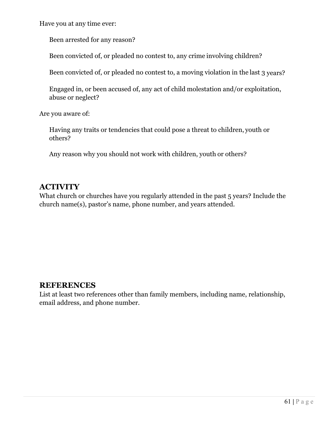Have you at any time ever:

Been arrested for any reason?

Been convicted of, or pleaded no contest to, any crime involving children?

Been convicted of, or pleaded no contest to, a moving violation in the last 3 years?

Engaged in, or been accused of, any act of child molestation and/or exploitation, abuse or neglect?

Are you aware of:

Having any traits or tendencies that could pose a threat to children, youth or others?

Any reason why you should not work with children, youth or others?

#### **ACTIVITY**

What church or churches have you regularly attended in the past 5 years? Include the church name(s), pastor's name, phone number, and years attended.

#### **REFERENCES**

List at least two references other than family members, including name, relationship, email address, and phone number.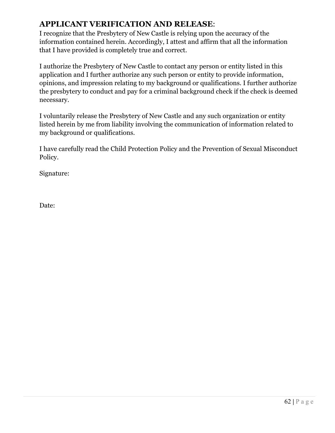#### **APPLICANT VERIFICATION AND RELEASE**:

I recognize that the Presbytery of New Castle is relying upon the accuracy of the information contained herein. Accordingly, I attest and affirm that all the information that I have provided is completely true and correct.

I authorize the Presbytery of New Castle to contact any person or entity listed in this application and I further authorize any such person or entity to provide information, opinions, and impression relating to my background or qualifications. I further authorize the presbytery to conduct and pay for a criminal background check if the check is deemed necessary.

I voluntarily release the Presbytery of New Castle and any such organization or entity listed herein by me from liability involving the communication of information related to my background or qualifications.

I have carefully read the Child Protection Policy and the Prevention of Sexual Misconduct Policy.

Signature:

Date: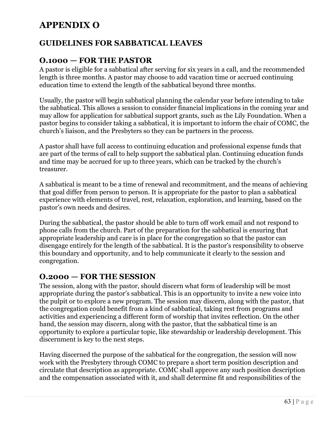# **APPENDIX O**

#### **GUIDELINES FOR SABBATICAL LEAVES**

#### **O.1000 — FOR THE PASTOR**

A pastor is eligible for a sabbatical after serving for six years in a call, and the recommended length is three months. A pastor may choose to add vacation time or accrued continuing education time to extend the length of the sabbatical beyond three months.

Usually, the pastor will begin sabbatical planning the calendar year before intending to take the sabbatical. This allows a session to consider financial implications in the coming year and may allow for application for sabbatical support grants, such as the Lily Foundation. When a pastor begins to consider taking a sabbatical, it is important to inform the chair of COMC, the church's liaison, and the Presbyters so they can be partners in the process.

A pastor shall have full access to continuing education and professional expense funds that are part of the terms of call to help support the sabbatical plan. Continuing education funds and time may be accrued for up to three years, which can be tracked by the church's treasurer.

A sabbatical is meant to be a time of renewal and recommitment, and the means of achieving that goal differ from person to person. It is appropriate for the pastor to plan a sabbatical experience with elements of travel, rest, relaxation, exploration, and learning, based on the pastor's own needs and desires.

During the sabbatical, the pastor should be able to turn off work email and not respond to phone calls from the church. Part of the preparation for the sabbatical is ensuring that appropriate leadership and care is in place for the congregation so that the pastor can disengage entirely for the length of the sabbatical. It is the pastor's responsibility to observe this boundary and opportunity, and to help communicate it clearly to the session and congregation.

#### **O.2000 — FOR THE SESSION**

The session, along with the pastor, should discern what form of leadership will be most appropriate during the pastor's sabbatical. This is an opportunity to invite a new voice into the pulpit or to explore a new program. The session may discern, along with the pastor, that the congregation could benefit from a kind of sabbatical, taking rest from programs and activities and experiencing a different form of worship that invites reflection. On the other hand, the session may discern, along with the pastor, that the sabbatical time is an opportunity to explore a particular topic, like stewardship or leadership development. This discernment is key to the next steps.

Having discerned the purpose of the sabbatical for the congregation, the session will now work with the Presbytery through COMC to prepare a short term position description and circulate that description as appropriate. COMC shall approve any such position description and the compensation associated with it, and shall determine fit and responsibilities of the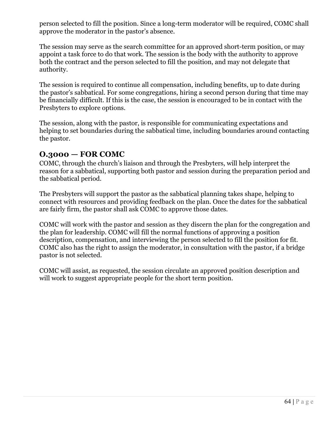person selected to fill the position. Since a long-term moderator will be required, COMC shall approve the moderator in the pastor's absence.

The session may serve as the search committee for an approved short-term position, or may appoint a task force to do that work. The session is the body with the authority to approve both the contract and the person selected to fill the position, and may not delegate that authority.

The session is required to continue all compensation, including benefits, up to date during the pastor's sabbatical. For some congregations, hiring a second person during that time may be financially difficult. If this is the case, the session is encouraged to be in contact with the Presbyters to explore options.

The session, along with the pastor, is responsible for communicating expectations and helping to set boundaries during the sabbatical time, including boundaries around contacting the pastor.

#### **O.3000 — FOR COMC**

COMC, through the church's liaison and through the Presbyters, will help interpret the reason for a sabbatical, supporting both pastor and session during the preparation period and the sabbatical period.

The Presbyters will support the pastor as the sabbatical planning takes shape, helping to connect with resources and providing feedback on the plan. Once the dates for the sabbatical are fairly firm, the pastor shall ask COMC to approve those dates.

COMC will work with the pastor and session as they discern the plan for the congregation and the plan for leadership. COMC will fill the normal functions of approving a position description, compensation, and interviewing the person selected to fill the position for fit. COMC also has the right to assign the moderator, in consultation with the pastor, if a bridge pastor is not selected.

COMC will assist, as requested, the session circulate an approved position description and will work to suggest appropriate people for the short term position.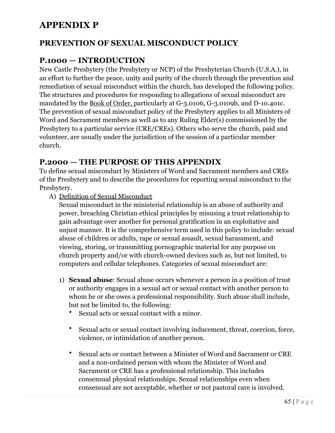# **APPENDIX P**

#### **PREVENTION OF SEXUAL MISCONDUCT POLICY**

#### **P.1000 — INTRODUCTION**

New Castle Presbytery (the Presbytery or NCP) of the Presbyterian Church (U.S.A.), in an effort to further the peace, unity and purity of the church through the prevention and remediation of sexual misconduct within the church, has developed the following policy. The structures and procedures for responding to allegations of sexual misconduct are mandated by the Book of Order, particularly at G-3.0106, G-3.0109b, and D-10.401c. The prevention of sexual misconduct policy of the Presbytery applies to all Ministers of Word and Sacrament members as well as to any Ruling Elder(s) commissioned by the Presbytery to a particular service (CRE/CREs). Others who serve the church, paid and volunteer, are usually under the jurisdiction of the session of a particular member church.

#### **P.2000 — THE PURPOSE OF THIS APPENDIX**

To define sexual misconduct by Ministers of Word and Sacrament members and CREs of the Presbytery and to describe the procedures for reporting sexual misconduct to the Presbytery.

A) Definition of Sexual Misconduct

Sexual misconduct in the ministerial relationship is an abuse of authority and power, breaching Christian ethical principles by misusing a trust relationship to gain advantage over another for personal gratification in an exploitative and unjust manner. It is the comprehensive term used in this policy to include: sexual abuse of children or adults, rape or sexual assault, sexual harassment, and viewing, storing, or transmitting pornographic material for any purpose on church property and/or with church-owned devices such as, but not limited, to computers and cellular telephones. Categories of sexual misconduct are:

- 1) **Sexual abuse**: Sexual abuse occurs whenever a person in a position of trust or authority engages in a sexual act or sexual contact with another person to whom he or she owes a professional responsibility. Such abuse shall include, but not be limited to, the following:
	- Sexual acts or sexual contact with a minor.
	- Sexual acts or sexual contact involving inducement, threat, coercion, force, violence, or intimidation of another person.
	- Sexual acts or contact between a Minister of Word and Sacrament or CRE and a non-ordained person with whom the Minister of Word and Sacrament or CRE has a professional relationship. This includes consensual physical relationships. Sexual relationships even when consensual are not acceptable, whether or not pastoral care is involved.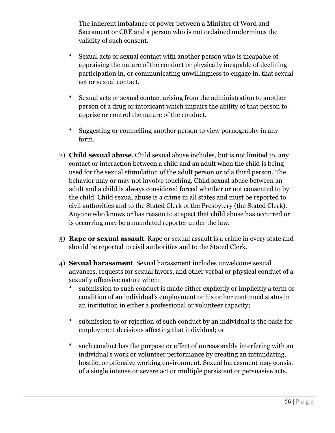The inherent imbalance of power between a Minister of Word and Sacrament or CRE and a person who is not ordained undermines the validity of such consent.

- Sexual acts or sexual contact with another person who is incapable of appraising the nature of the conduct or physically incapable of declining participation in, or communicating unwillingness to engage in, that sexual act or sexual contact.
- Sexual acts or sexual contact arising from the administration to another person of a drug or intoxicant which impairs the ability of that person to apprize or control the nature of the conduct.
- Suggesting or compelling another person to view pornography in any form.
- 2) **Child sexual abuse**. Child sexual abuse includes, but is not limited to, any contact or interaction between a child and an adult when the child is being used for the sexual stimulation of the adult person or of a third person. The behavior may or may not involve touching. Child sexual abuse between an adult and a child is always considered forced whether or not consented to by the child. Child sexual abuse is a crime in all states and must be reported to civil authorities and to the Stated Clerk of the Presbytery (the Stated Clerk). Anyone who knows or has reason to suspect that child abuse has occurred or is occurring may be a mandated reporter under the law.
- 3) **Rape or sexual assault**. Rape or sexual assault is a crime in every state and should be reported to civil authorities and to the Stated Clerk.
- 4) **Sexual harassment**. Sexual harassment includes unwelcome sexual advances, requests for sexual favors, and other verbal or physical conduct of a sexually offensive nature when:
	- submission to such conduct is made either explicitly or implicitly a term or condition of an individual's employment or his or her continued status in an institution in either a professional or volunteer capacity;
	- submission to or rejection of such conduct by an individual is the basis for employment decisions affecting that individual; or
	- such conduct has the purpose or effect of unreasonably interfering with an individual's work or volunteer performance by creating an intimidating, hostile, or offensive working environment. Sexual harassment may consist of a single intense or severe act or multiple persistent or persuasive acts.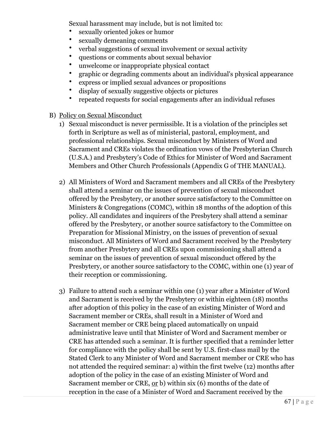Sexual harassment may include, but is not limited to:

- sexually oriented jokes or humor
- sexually demeaning comments
- verbal suggestions of sexual involvement or sexual activity
- questions or comments about sexual behavior
- unwelcome or inappropriate physical contact
- graphic or degrading comments about an individual's physical appearance
- express or implied sexual advances or propositions
- display of sexually suggestive objects or pictures
- repeated requests for social engagements after an individual refuses
- B) Policy on Sexual Misconduct
	- 1) Sexual misconduct is never permissible. It is a violation of the principles set forth in Scripture as well as of ministerial, pastoral, employment, and professional relationships. Sexual misconduct by Ministers of Word and Sacrament and CREs violates the ordination vows of the Presbyterian Church (U.S.A.) and Presbytery's Code of Ethics for Minister of Word and Sacrament Members and Other Church Professionals (Appendix G of THE MANUAL).
	- 2) All Ministers of Word and Sacrament members and all CREs of the Presbytery shall attend a seminar on the issues of prevention of sexual misconduct offered by the Presbytery, or another source satisfactory to the Committee on Ministers & Congregations (COMC), within 18 months of the adoption of this policy. All candidates and inquirers of the Presbytery shall attend a seminar offered by the Presbytery, or another source satisfactory to the Committee on Preparation for Missional Ministry, on the issues of prevention of sexual misconduct. All Ministers of Word and Sacrament received by the Presbytery from another Presbytery and all CREs upon commissioning shall attend a seminar on the issues of prevention of sexual misconduct offered by the Presbytery, or another source satisfactory to the COMC, within one (1) year of their reception or commissioning.
	- 3) Failure to attend such a seminar within one (1) year after a Minister of Word and Sacrament is received by the Presbytery or within eighteen (18) months after adoption of this policy in the case of an existing Minister of Word and Sacrament member or CREs, shall result in a Minister of Word and Sacrament member or CRE being placed automatically on unpaid administrative leave until that Minister of Word and Sacrament member or CRE has attended such a seminar. It is further specified that a reminder letter for compliance with the policy shall be sent by U.S. first-class mail by the Stated Clerk to any Minister of Word and Sacrament member or CRE who has not attended the required seminar: a) within the first twelve (12) months after adoption of the policy in the case of an existing Minister of Word and Sacrament member or CRE, or b) within six (6) months of the date of reception in the case of a Minister of Word and Sacrament received by the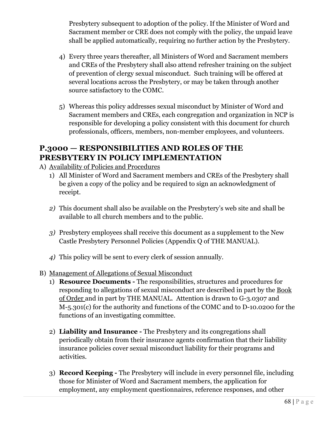Presbytery subsequent to adoption of the policy. If the Minister of Word and Sacrament member or CRE does not comply with the policy, the unpaid leave shall be applied automatically, requiring no further action by the Presbytery.

- 4) Every three years thereafter, all Ministers of Word and Sacrament members and CREs of the Presbytery shall also attend refresher training on the subject of prevention of clergy sexual misconduct. Such training will be offered at several locations across the Presbytery, or may be taken through another source satisfactory to the COMC.
- 5) Whereas this policy addresses sexual misconduct by Minister of Word and Sacrament members and CREs, each congregation and organization in NCP is responsible for developing a policy consistent with this document for church professionals, officers, members, non-member employees, and volunteers.

#### **P.3000 — RESPONSIBILITIES AND ROLES OF THE PRESBYTERY IN POLICY IMPLEMENTATION**

- A) Availability of Policies and Procedures
	- 1) All Minister of Word and Sacrament members and CREs of the Presbytery shall be given a copy of the policy and be required to sign an acknowledgment of receipt.
	- *2)* This document shall also be available on the Presbytery's web site and shall be available to all church members and to the public.
	- *3)* Presbytery employees shall receive this document as a supplement to the New Castle Presbytery Personnel Policies (Appendix Q of THE MANUAL).
	- *4)* This policy will be sent to every clerk of session annually.
- B) Management of Allegations of Sexual Misconduct
	- 1) **Resource Documents** The responsibilities, structures and procedures for responding to allegations of sexual misconduct are described in part by the Book of Order and in part by THE MANUAL.Attention is drawn to G-3.0307 and M-5.301(c) for the authority and functions of the COMC and to D-10.0200 for the functions of an investigating committee.
	- 2) **Liability and Insurance -** The Presbytery and its congregations shall periodically obtain from their insurance agents confirmation that their liability insurance policies cover sexual misconduct liability for their programs and activities.
	- 3) **Record Keeping** The Presbytery will include in every personnel file, including those for Minister of Word and Sacrament members, the application for employment, any employment questionnaires, reference responses, and other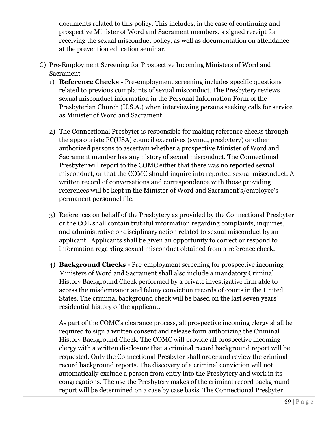documents related to this policy. This includes, in the case of continuing and prospective Minister of Word and Sacrament members, a signed receipt for receiving the sexual misconduct policy, as well as documentation on attendance at the prevention education seminar.

- C) Pre-Employment Screening for Prospective Incoming Ministers of Word and Sacrament
	- 1) **Reference Checks** Pre-employment screening includes specific questions related to previous complaints of sexual misconduct. The Presbytery reviews sexual misconduct information in the Personal Information Form of the Presbyterian Church (U.S.A.) when interviewing persons seeking calls for service as Minister of Word and Sacrament.
	- 2) The Connectional Presbyter is responsible for making reference checks through the appropriate PC(USA) council executives (synod, presbytery) or other authorized persons to ascertain whether a prospective Minister of Word and Sacrament member has any history of sexual misconduct. The Connectional Presbyter will report to the COMC either that there was no reported sexual misconduct, or that the COMC should inquire into reported sexual misconduct. A written record of conversations and correspondence with those providing references will be kept in the Minister of Word and Sacrament's/employee's permanent personnel file.
	- 3) References on behalf of the Presbytery as provided by the Connectional Presbyter or the COL shall contain truthful information regarding complaints, inquiries, and administrative or disciplinary action related to sexual misconduct by an applicant. Applicants shall be given an opportunity to correct or respond to information regarding sexual misconduct obtained from a reference check.
	- 4) **Background Checks** Pre-employment screening for prospective incoming Ministers of Word and Sacrament shall also include a mandatory Criminal History Background Check performed by a private investigative firm able to access the misdemeanor and felony conviction records of courts in the United States. The criminal background check will be based on the last seven years' residential history of the applicant.

As part of the COMC's clearance process, all prospective incoming clergy shall be required to sign a written consent and release form authorizing the Criminal History Background Check. The COMC will provide all prospective incoming clergy with a written disclosure that a criminal record background report will be requested. Only the Connectional Presbyter shall order and review the criminal record background reports. The discovery of a criminal conviction will not automatically exclude a person from entry into the Presbytery and work in its congregations. The use the Presbytery makes of the criminal record background report will be determined on a case by case basis. The Connectional Presbyter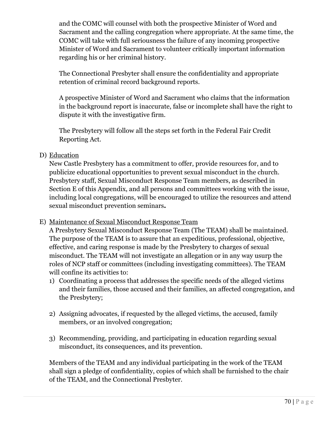and the COMC will counsel with both the prospective Minister of Word and Sacrament and the calling congregation where appropriate. At the same time, the COMC will take with full seriousness the failure of any incoming prospective Minister of Word and Sacrament to volunteer critically important information regarding his or her criminal history.

The Connectional Presbyter shall ensure the confidentiality and appropriate retention of criminal record background reports.

A prospective Minister of Word and Sacrament who claims that the information in the background report is inaccurate, false or incomplete shall have the right to dispute it with the investigative firm.

The Presbytery will follow all the steps set forth in the Federal Fair Credit Reporting Act.

#### D) Education

New Castle Presbytery has a commitment to offer, provide resources for, and to publicize educational opportunities to prevent sexual misconduct in the church. Presbytery staff, Sexual Misconduct Response Team members, as described in Section E of this Appendix, and all persons and committees working with the issue, including local congregations, will be encouraged to utilize the resources and attend sexual misconduct prevention seminars**.**

#### E) Maintenance of Sexual Misconduct Response Team

A Presbytery Sexual Misconduct Response Team (The TEAM) shall be maintained. The purpose of the TEAM is to assure that an expeditious, professional, objective, effective, and caring response is made by the Presbytery to charges of sexual misconduct. The TEAM will not investigate an allegation or in any way usurp the roles of NCP staff or committees (including investigating committees). The TEAM will confine its activities to:

- 1) Coordinating a process that addresses the specific needs of the alleged victims and their families, those accused and their families, an affected congregation, and the Presbytery;
- 2) Assigning advocates, if requested by the alleged victims, the accused, family members, or an involved congregation;
- 3) Recommending, providing, and participating in education regarding sexual misconduct, its consequences, and its prevention.

Members of the TEAM and any individual participating in the work of the TEAM shall sign a pledge of confidentiality, copies of which shall be furnished to the chair of the TEAM, and the Connectional Presbyter.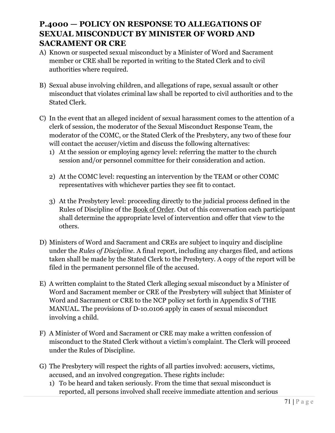#### **P.4000 — POLICY ON RESPONSE TO ALLEGATIONS OF SEXUAL MISCONDUCT BY MINISTER OF WORD AND SACRAMENT OR CRE**

- A) Known or suspected sexual misconduct by a Minister of Word and Sacrament member or CRE shall be reported in writing to the Stated Clerk and to civil authorities where required.
- B) Sexual abuse involving children, and allegations of rape, sexual assault or other misconduct that violates criminal law shall be reported to civil authorities and to the Stated Clerk.
- C) In the event that an alleged incident of sexual harassment comes to the attention of a clerk of session, the moderator of the Sexual Misconduct Response Team, the moderator of the COMC, or the Stated Clerk of the Presbytery, any two of these four will contact the accuser/victim and discuss the following alternatives:
	- 1) At the session or employing agency level: referring the matter to the church session and/or personnel committee for their consideration and action.
	- 2) At the COMC level: requesting an intervention by the TEAM or other COMC representatives with whichever parties they see fit to contact.
	- 3) At the Presbytery level: proceeding directly to the judicial process defined in the Rules of Discipline of the Book of Order. Out of this conversation each participant shall determine the appropriate level of intervention and offer that view to the others.
- D) Ministers of Word and Sacrament and CREs are subject to inquiry and discipline under the *Rules of Discipline*. A final report, including any charges filed, and actions taken shall be made by the Stated Clerk to the Presbytery. A copy of the report will be filed in the permanent personnel file of the accused.
- E) A written complaint to the Stated Clerk alleging sexual misconduct by a Minister of Word and Sacrament member or CRE of the Presbytery will subject that Minister of Word and Sacrament or CRE to the NCP policy set forth in Appendix S of THE MANUAL. The provisions of D-10.0106 apply in cases of sexual misconduct involving a child.
- F) A Minister of Word and Sacrament or CRE may make a written confession of misconduct to the Stated Clerk without a victim's complaint. The Clerk will proceed under the Rules of Discipline.
- G) The Presbytery will respect the rights of all parties involved: accusers, victims, accused, and an involved congregation. These rights include:
	- 1) To be heard and taken seriously. From the time that sexual misconduct is reported, all persons involved shall receive immediate attention and serious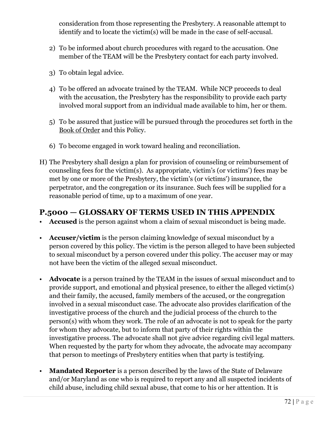consideration from those representing the Presbytery. A reasonable attempt to identify and to locate the victim(s) will be made in the case of self-accusal.

- 2) To be informed about church procedures with regard to the accusation. One member of the TEAM will be the Presbytery contact for each party involved.
- 3) To obtain legal advice.
- 4) To be offered an advocate trained by the TEAM. While NCP proceeds to deal with the accusation, the Presbytery has the responsibility to provide each party involved moral support from an individual made available to him, her or them.
- 5) To be assured that justice will be pursued through the procedures set forth in the Book of Order and this Policy.
- 6) To become engaged in work toward healing and reconciliation.
- H) The Presbytery shall design a plan for provision of counseling or reimbursement of counseling fees for the victim(s). As appropriate, victim's (or victims') fees may be met by one or more of the Presbytery, the victim's (or victims') insurance, the perpetrator, and the congregation or its insurance. Such fees will be supplied for a reasonable period of time, up to a maximum of one year.

#### **P.5000 — GLOSSARY OF TERMS USED IN THIS APPENDIX**

- Accused is the person against whom a claim of sexual misconduct is being made.
- **Accuser/victim** is the person claiming knowledge of sexual misconduct by a person covered by this policy. The victim is the person alleged to have been subjected to sexual misconduct by a person covered under this policy. The accuser may or may not have been the victim of the alleged sexual misconduct.
- **Advocate** is a person trained by the TEAM in the issues of sexual misconduct and to provide support, and emotional and physical presence, to either the alleged victim(s) and their family, the accused, family members of the accused, or the congregation involved in a sexual misconduct case. The advocate also provides clarification of the investigative process of the church and the judicial process of the church to the person(s) with whom they work. The role of an advocate is not to speak for the party for whom they advocate, but to inform that party of their rights within the investigative process. The advocate shall not give advice regarding civil legal matters. When requested by the party for whom they advocate, the advocate may accompany that person to meetings of Presbytery entities when that party is testifying.
- **Mandated Reporter** is a person described by the laws of the State of Delaware and/or Maryland as one who is required to report any and all suspected incidents of child abuse, including child sexual abuse, that come to his or her attention. It is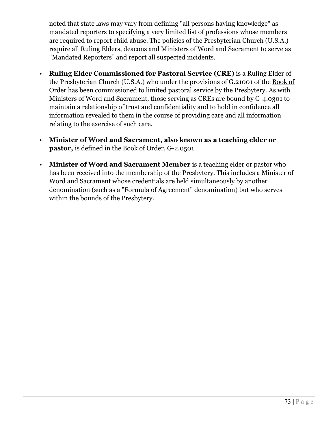noted that state laws may vary from defining "all persons having knowledge" as mandated reporters to specifying a very limited list of professions whose members are required to report child abuse. The policies of the Presbyterian Church (U.S.A.) require all Ruling Elders, deacons and Ministers of Word and Sacrament to serve as "Mandated Reporters" and report all suspected incidents.

- **Ruling Elder Commissioned for Pastoral Service (CRE)** is a Ruling Elder of the Presbyterian Church (U.S.A.) who under the provisions of G.21001 of the Book of Order has been commissioned to limited pastoral service by the Presbytery. As with Ministers of Word and Sacrament, those serving as CREs are bound by G-4.0301 to maintain a relationship of trust and confidentiality and to hold in confidence all information revealed to them in the course of providing care and all information relating to the exercise of such care.
- **Minister of Word and Sacrament, also known as a teaching elder or pastor,** is defined in the Book of Order, G-2.0501.
- **Minister of Word and Sacrament Member** is a teaching elder or pastor who has been received into the membership of the Presbytery. This includes a Minister of Word and Sacrament whose credentials are held simultaneously by another denomination (such as a "Formula of Agreement" denomination) but who serves within the bounds of the Presbytery.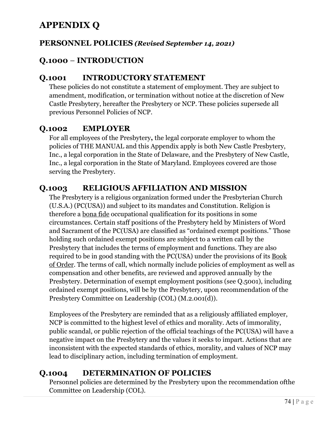# **APPENDIX Q**

### **PERSONNEL POLICIES** *(Revised September 14, 2021)*

# **Q.1000** *–* **INTRODUCTION**

### **Q.1001 INTRODUCTORY STATEMENT**

These policies do not constitute a statement of employment. They are subject to amendment, modification, or termination without notice at the discretion of New Castle Presbytery, hereafter the Presbytery or NCP. These policies supersede all previous Personnel Policies of NCP.

# **Q.1002 EMPLOYER**

For all employees of the Presbytery**,** the legal corporate employer to whom the policies of THE MANUAL and this Appendix apply is both New Castle Presbytery, Inc., a legal corporation in the State of Delaware, and the Presbytery of New Castle, Inc., a legal corporation in the State of Maryland. Employees covered are those serving the Presbytery.

## **Q.1003 RELIGIOUS AFFILIATION AND MISSION**

The Presbytery is a religious organization formed under the Presbyterian Church (U.S.A.) (PC(USA)) and subject to its mandates and Constitution. Religion is therefore a bona fide occupational qualification for its positions in some circumstances. Certain staff positions of the Presbytery held by Ministers of Word and Sacrament of the PC(USA) are classified as "ordained exempt positions." Those holding such ordained exempt positions are subject to a written call by the Presbytery that includes the terms of employment and functions. They are also required to be in good standing with the PC(USA) under the provisions of its Book of Order. The terms of call, which normally include policies of employment as well as compensation and other benefits, are reviewed and approved annually by the Presbytery. Determination of exempt employment positions (see Q.5001), including ordained exempt positions, will be by the Presbytery, upon recommendation of the Presbytery Committee on Leadership (COL) (M.2.001(d)).

Employees of the Presbytery are reminded that as a religiously affiliated employer, NCP is committed to the highest level of ethics and morality. Acts of immorality, public scandal, or public rejection of the official teachings of the PC(USA) will have a negative impact on the Presbytery and the values it seeks to impart. Actions that are inconsistent with the expected standards of ethics, morality, and values of NCP may lead to disciplinary action, including termination of employment.

## **Q.1004 DETERMINATION OF POLICIES**

Personnel policies are determined by the Presbytery upon the recommendation ofthe Committee on Leadership (COL).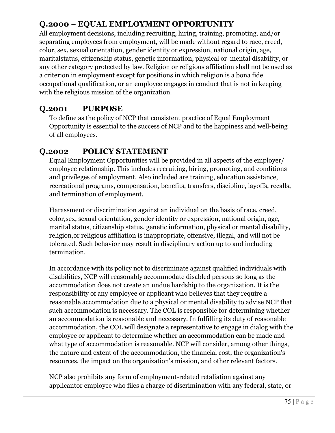# **Q.2000** *–* **EQUAL EMPLOYMENT OPPORTUNITY**

All employment decisions, including recruiting, hiring, training, promoting, and/or separating employees from employment, will be made without regard to race, creed, color, sex, sexual orientation, gender identity or expression, national origin, age, maritalstatus, citizenship status, genetic information, physical or mental disability, or any other category protected by law. Religion or religious affiliation shall not be used as a criterion in employment except for positions in which religion is a bona fide occupational qualification, or an employee engages in conduct that is not in keeping with the religious mission of the organization.

## **Q.2001 PURPOSE**

To define as the policy of NCP that consistent practice of Equal Employment Opportunity is essential to the success of NCP and to the happiness and well-being of all employees.

## **Q.2002 POLICY STATEMENT**

Equal Employment Opportunities will be provided in all aspects of the employer/ employee relationship. This includes recruiting, hiring, promoting, and conditions and privileges of employment. Also included are training, education assistance, recreational programs, compensation, benefits, transfers, discipline, layoffs, recalls, and termination of employment.

Harassment or discrimination against an individual on the basis of race, creed, color,sex, sexual orientation, gender identity or expression, national origin, age, marital status, citizenship status, genetic information, physical or mental disability, religion,or religious affiliation is inappropriate, offensive, illegal, and will not be tolerated. Such behavior may result in disciplinary action up to and including termination.

In accordance with its policy not to discriminate against qualified individuals with disabilities, NCP will reasonably accommodate disabled persons so long as the accommodation does not create an undue hardship to the organization. It is the responsibility of any employee or applicant who believes that they require a reasonable accommodation due to a physical or mental disability to advise NCP that such accommodation is necessary. The COL is responsible for determining whether an accommodation is reasonable and necessary. In fulfilling its duty of reasonable accommodation, the COL will designate a representative to engage in dialog with the employee or applicant to determine whether an accommodation can be made and what type of accommodation is reasonable. NCP will consider, among other things, the nature and extent of the accommodation, the financial cost, the organization's resources, the impact on the organization's mission, and other relevant factors.

NCP also prohibits any form of employment-related retaliation against any applicantor employee who files a charge of discrimination with any federal, state, or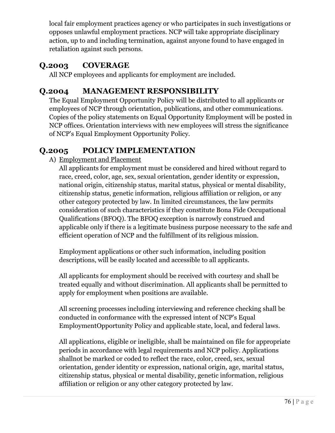local fair employment practices agency or who participates in such investigations or opposes unlawful employment practices. NCP will take appropriate disciplinary action, up to and including termination, against anyone found to have engaged in retaliation against such persons.

# **Q.2003 COVERAGE**

All NCP employees and applicants for employment are included.

## **Q.2004 MANAGEMENT RESPONSIBILITY**

The Equal Employment Opportunity Policy will be distributed to all applicants or employees of NCP through orientation, publications, and other communications. Copies of the policy statements on Equal Opportunity Employment will be posted in NCP offices. Orientation interviews with new employees will stress the significance of NCP's Equal Employment Opportunity Policy.

# **Q.2005 POLICY IMPLEMENTATION**

### A) Employment and Placement

All applicants for employment must be considered and hired without regard to race, creed, color, age, sex, sexual orientation, gender identity or expression, national origin, citizenship status, marital status, physical or mental disability, citizenship status, genetic information, religious affiliation or religion, or any other category protected by law. In limited circumstances, the law permits consideration of such characteristics if they constitute Bona Fide Occupational Qualifications (BFOQ). The BFOQ exception is narrowly construed and applicable only if there is a legitimate business purpose necessary to the safe and efficient operation of NCP and the fulfillment of its religious mission.

Employment applications or other such information, including position descriptions, will be easily located and accessible to all applicants.

All applicants for employment should be received with courtesy and shall be treated equally and without discrimination. All applicants shall be permitted to apply for employment when positions are available.

All screening processes including interviewing and reference checking shall be conducted in conformance with the expressed intent of NCP's Equal EmploymentOpportunity Policy and applicable state, local, and federal laws.

All applications, eligible or ineligible, shall be maintained on file for appropriate periods in accordance with legal requirements and NCP policy. Applications shallnot be marked or coded to reflect the race, color, creed, sex, sexual orientation, gender identity or expression, national origin, age, marital status, citizenship status, physical or mental disability, genetic information, religious affiliation or religion or any other category protected by law.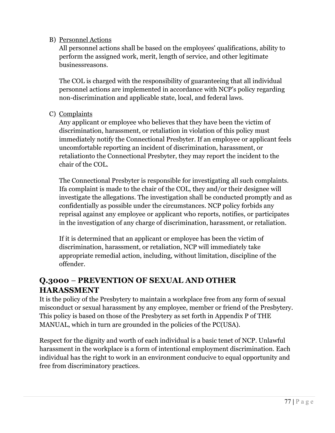#### B) Personnel Actions

All personnel actions shall be based on the employees' qualifications, ability to perform the assigned work, merit, length of service, and other legitimate businessreasons.

The COL is charged with the responsibility of guaranteeing that all individual personnel actions are implemented in accordance with NCP's policy regarding non-discrimination and applicable state, local, and federal laws.

#### C) Complaints

Any applicant or employee who believes that they have been the victim of discrimination, harassment, or retaliation in violation of this policy must immediately notify the Connectional Presbyter. If an employee or applicant feels uncomfortable reporting an incident of discrimination, harassment, or retaliationto the Connectional Presbyter, they may report the incident to the chair of the COL.

The Connectional Presbyter is responsible for investigating all such complaints. Ifa complaint is made to the chair of the COL, they and/or their designee will investigate the allegations. The investigation shall be conducted promptly and as confidentially as possible under the circumstances. NCP policy forbids any reprisal against any employee or applicant who reports, notifies, or participates in the investigation of any charge of discrimination, harassment, or retaliation.

If it is determined that an applicant or employee has been the victim of discrimination, harassment, or retaliation, NCP will immediately take appropriate remedial action, including, without limitation, discipline of the offender.

## **Q.3000** *–* **PREVENTION OF SEXUAL AND OTHER HARASSMENT**

It is the policy of the Presbytery to maintain a workplace free from any form of sexual misconduct or sexual harassment by any employee, member or friend of the Presbytery. This policy is based on those of the Presbytery as set forth in Appendix P of THE MANUAL, which in turn are grounded in the policies of the PC(USA).

Respect for the dignity and worth of each individual is a basic tenet of NCP. Unlawful harassment in the workplace is a form of intentional employment discrimination. Each individual has the right to work in an environment conducive to equal opportunity and free from discriminatory practices.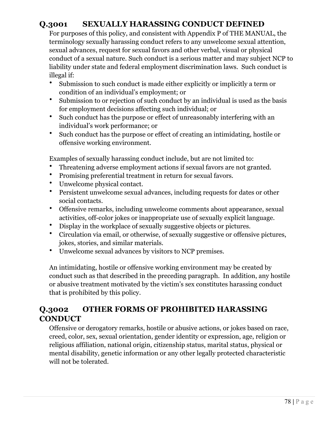# **Q.3001 SEXUALLY HARASSING CONDUCT DEFINED**

For purposes of this policy, and consistent with Appendix P of THE MANUAL, the terminology sexually harassing conduct refers to any unwelcome sexual attention, sexual advances, request for sexual favors and other verbal, visual or physical conduct of a sexual nature. Such conduct is a serious matter and may subject NCP to liability under state and federal employment discrimination laws. Such conduct is illegal if:

- Submission to such conduct is made either explicitly or implicitly a term or condition of an individual's employment; or
- Submission to or rejection of such conduct by an individual is used as the basis for employment decisions affecting such individual; or
- Such conduct has the purpose or effect of unreasonably interfering with an individual's work performance; or
- Such conduct has the purpose or effect of creating an intimidating, hostile or offensive working environment.

Examples of sexually harassing conduct include, but are not limited to:

- Threatening adverse employment actions if sexual favors are not granted.
- Promising preferential treatment in return for sexual favors.
- Unwelcome physical contact.
- Persistent unwelcome sexual advances, including requests for dates or other social contacts.
- Offensive remarks, including unwelcome comments about appearance, sexual activities, off-color jokes or inappropriate use of sexually explicit language.
- Display in the workplace of sexually suggestive objects or pictures.
- Circulation via email, or otherwise, of sexually suggestive or offensive pictures, jokes, stories, and similar materials.
- Unwelcome sexual advances by visitors to NCP premises.

An intimidating, hostile or offensive working environment may be created by conduct such as that described in the preceding paragraph. In addition, any hostile or abusive treatment motivated by the victim's sex constitutes harassing conduct that is prohibited by this policy.

## **Q.3002 OTHER FORMS OF PROHIBITED HARASSING CONDUCT**

Offensive or derogatory remarks, hostile or abusive actions, or jokes based on race, creed, color, sex, sexual orientation, gender identity or expression, age, religion or religious affiliation, national origin, citizenship status, marital status, physical or mental disability, genetic information or any other legally protected characteristic will not be tolerated.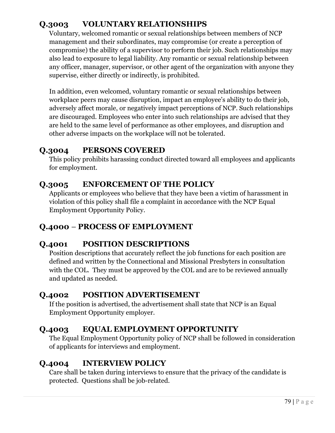# **Q.3003 VOLUNTARY RELATIONSHIPS**

Voluntary, welcomed romantic or sexual relationships between members of NCP management and their subordinates, may compromise (or create a perception of compromise) the ability of a supervisor to perform their job. Such relationships may also lead to exposure to legal liability. Any romantic or sexual relationship between any officer, manager, supervisor, or other agent of the organization with anyone they supervise, either directly or indirectly, is prohibited.

In addition, even welcomed, voluntary romantic or sexual relationships between workplace peers may cause disruption, impact an employee's ability to do their job, adversely affect morale, or negatively impact perceptions of NCP. Such relationships are discouraged. Employees who enter into such relationships are advised that they are held to the same level of performance as other employees, and disruption and other adverse impacts on the workplace will not be tolerated.

## **Q.3004 PERSONS COVERED**

This policy prohibits harassing conduct directed toward all employees and applicants for employment.

### **Q.3005 ENFORCEMENT OF THE POLICY**

Applicants or employees who believe that they have been a victim of harassment in violation of this policy shall file a complaint in accordance with the NCP Equal Employment Opportunity Policy.

### **Q.4000** *–* **PROCESS OF EMPLOYMENT**

### **Q.4001 POSITION DESCRIPTIONS**

Position descriptions that accurately reflect the job functions for each position are defined and written by the Connectional and Missional Presbyters in consultation with the COL. They must be approved by the COL and are to be reviewed annually and updated as needed.

### **Q.4002 POSITION ADVERTISEMENT**

If the position is advertised, the advertisement shall state that NCP is an Equal Employment Opportunity employer.

### **Q.4003 EQUAL EMPLOYMENT OPPORTUNITY**

The Equal Employment Opportunity policy of NCP shall be followed in consideration of applicants for interviews and employment.

### **Q.4004 INTERVIEW POLICY**

Care shall be taken during interviews to ensure that the privacy of the candidate is protected. Questions shall be job-related.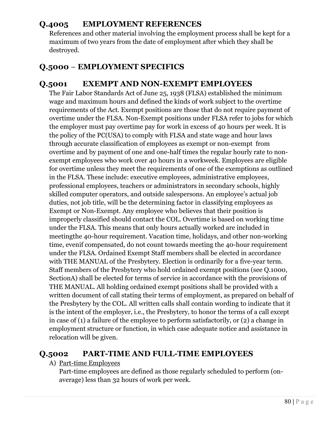### **Q.4005 EMPLOYMENT REFERENCES**

References and other material involving the employment process shall be kept for a maximum of two years from the date of employment after which they shall be destroyed.

### **Q.5000** *–* **EMPLOYMENT SPECIFICS**

### **Q.5001 EXEMPT AND NON-EXEMPT EMPLOYEES**

The Fair Labor Standards Act of June 25, 1938 (FLSA) established the minimum wage and maximum hours and defined the kinds of work subject to the overtime requirements of the Act. Exempt positions are those that do not require payment of overtime under the FLSA. Non-Exempt positions under FLSA refer to jobs for which the employer must pay overtime pay for work in excess of 40 hours per week. It is the policy of the PC(USA) to comply with FLSA and state wage and hour laws through accurate classification of employees as exempt or non-exempt from overtime and by payment of one and one-half times the regular hourly rate to nonexempt employees who work over 40 hours in a workweek. Employees are eligible for overtime unless they meet the requirements of one of the exemptions as outlined in the FLSA. These include: executive employees, administrative employees, professional employees, teachers or administrators in secondary schools, highly skilled computer operators, and outside salespersons. An employee's actual job duties, not job title, will be the determining factor in classifying employees as Exempt or Non-Exempt. Any employee who believes that their position is improperly classified should contact the COL. Overtime is based on working time under the FLSA. This means that only hours actually worked are included in meetingthe 40-hour requirement. Vacation time, holidays, and other non-working time, evenif compensated, do not count towards meeting the 40-hour requirement under the FLSA. Ordained Exempt Staff members shall be elected in accordance with THE MANUAL of the Presbytery. Election is ordinarily for a five-year term. Staff members of the Presbytery who hold ordained exempt positions (see Q.1000, SectionA) shall be elected for terms of service in accordance with the provisions of THE MANUAL. All holding ordained exempt positions shall be provided with a written document of call stating their terms of employment, as prepared on behalf of the Presbytery by the COL. All written calls shall contain wording to indicate that it is the intent of the employer, i.e., the Presbytery, to honor the terms of a call except in case of (1) a failure of the employee to perform satisfactorily, or (2) a change in employment structure or function, in which case adequate notice and assistance in relocation will be given.

### **Q.5002 PART-TIME AND FULL-TIME EMPLOYEES**

#### A) Part-time Employees

Part-time employees are defined as those regularly scheduled to perform (onaverage) less than 32 hours of work per week.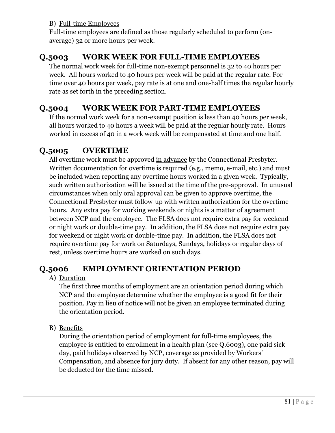### B) Full-time Employees

Full-time employees are defined as those regularly scheduled to perform (onaverage) 32 or more hours per week.

### **Q.5003 WORK WEEK FOR FULL-TIME EMPLOYEES**

The normal work week for full-time non-exempt personnel is 32 to 40 hours per week. All hours worked to 40 hours per week will be paid at the regular rate. For time over 40 hours per week, pay rate is at one and one-half times the regular hourly rate as set forth in the preceding section.

### **Q.5004 WORK WEEK FOR PART-TIME EMPLOYEES**

If the normal work week for a non-exempt position is less than 40 hours per week, all hours worked to 40 hours a week will be paid at the regular hourly rate. Hours worked in excess of 40 in a work week will be compensated at time and one half.

## **Q.5005 OVERTIME**

All overtime work must be approved in advance by the Connectional Presbyter. Written documentation for overtime is required (e.g., memo, e-mail, etc.) and must be included when reporting any overtime hours worked in a given week. Typically, such written authorization will be issued at the time of the pre-approval. In unusual circumstances when only oral approval can be given to approve overtime, the Connectional Presbyter must follow-up with written authorization for the overtime hours. Any extra pay for working weekends or nights is a matter of agreement between NCP and the employee. The FLSA does not require extra pay for weekend or night work or double-time pay. In addition, the FLSA does not require extra pay for weekend or night work or double-time pay. In addition, the FLSA does not require overtime pay for work on Saturdays, Sundays, holidays or regular days of rest, unless overtime hours are worked on such days.

### **Q.5006 EMPLOYMENT ORIENTATION PERIOD**

#### A) Duration

The first three months of employment are an orientation period during which NCP and the employee determine whether the employee is a good fit for their position. Pay in lieu of notice will not be given an employee terminated during the orientation period.

B) Benefits

During the orientation period of employment for full-time employees, the employee is entitled to enrollment in a health plan (see Q.6003), one paid sick day, paid holidays observed by NCP, coverage as provided by Workers' Compensation, and absence for jury duty. If absent for any other reason, pay will be deducted for the time missed.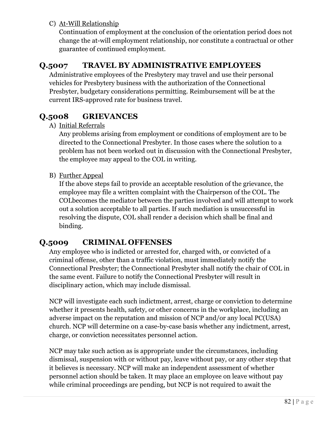### C) At-Will Relationship

Continuation of employment at the conclusion of the orientation period does not change the at-will employment relationship, nor constitute a contractual or other guarantee of continued employment.

## **Q.5007 TRAVEL BY ADMINISTRATIVE EMPLOYEES**

Administrative employees of the Presbytery may travel and use their personal vehicles for Presbytery business with the authorization of the Connectional Presbyter, budgetary considerations permitting. Reimbursement will be at the current IRS-approved rate for business travel.

## **Q.5008 GRIEVANCES**

#### A) Initial Referrals

Any problems arising from employment or conditions of employment are to be directed to the Connectional Presbyter. In those cases where the solution to a problem has not been worked out in discussion with the Connectional Presbyter, the employee may appeal to the COL in writing.

#### B) Further Appeal

If the above steps fail to provide an acceptable resolution of the grievance, the employee may file a written complaint with the Chairperson of the COL. The COLbecomes the mediator between the parties involved and will attempt to work out a solution acceptable to all parties. If such mediation is unsuccessful in resolving the dispute, COL shall render a decision which shall be final and binding.

### **Q.5009 CRIMINAL OFFENSES**

Any employee who is indicted or arrested for, charged with, or convicted of a criminal offense, other than a traffic violation, must immediately notify the Connectional Presbyter; the Connectional Presbyter shall notify the chair of COL in the same event. Failure to notify the Connectional Presbyter will result in disciplinary action, which may include dismissal.

NCP will investigate each such indictment, arrest, charge or conviction to determine whether it presents health, safety, or other concerns in the workplace, including an adverse impact on the reputation and mission of NCP and/or any local PC(USA) church. NCP will determine on a case-by-case basis whether any indictment, arrest, charge, or conviction necessitates personnel action.

NCP may take such action as is appropriate under the circumstances, including dismissal, suspension with or without pay, leave without pay, or any other step that it believes is necessary. NCP will make an independent assessment of whether personnel action should be taken. It may place an employee on leave without pay while criminal proceedings are pending, but NCP is not required to await the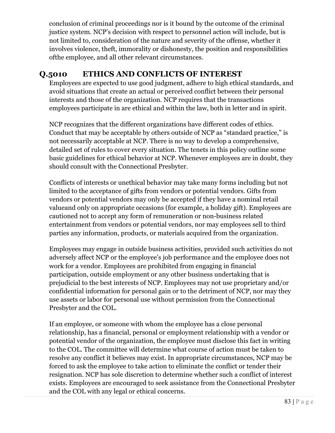conclusion of criminal proceedings nor is it bound by the outcome of the criminal justice system. NCP's decision with respect to personnel action will include, but is not limited to, consideration of the nature and severity of the offense, whether it involves violence, theft, immorality or dishonesty, the position and responsibilities ofthe employee, and all other relevant circumstances.

# **Q.5010 ETHICS AND CONFLICTS OF INTEREST**

Employees are expected to use good judgment, adhere to high ethical standards, and avoid situations that create an actual or perceived conflict between their personal interests and those of the organization. NCP requires that the transactions employees participate in are ethical and within the law, both in letter and in spirit.

NCP recognizes that the different organizations have different codes of ethics. Conduct that may be acceptable by others outside of NCP as "standard practice," is not necessarily acceptable at NCP. There is no way to develop a comprehensive, detailed set of rules to cover every situation. The tenets in this policy outline some basic guidelines for ethical behavior at NCP. Whenever employees are in doubt, they should consult with the Connectional Presbyter.

Conflicts of interests or unethical behavior may take many forms including but not limited to the acceptance of gifts from vendors or potential vendors. Gifts from vendors or potential vendors may only be accepted if they have a nominal retail valueand only on appropriate occasions (for example, a holiday gift). Employees are cautioned not to accept any form of remuneration or non-business related entertainment from vendors or potential vendors, nor may employees sell to third parties any information, products, or materials acquired from the organization.

Employees may engage in outside business activities, provided such activities do not adversely affect NCP or the employee's job performance and the employee does not work for a vendor. Employees are prohibited from engaging in financial participation, outside employment or any other business undertaking that is prejudicial to the best interests of NCP. Employees may not use proprietary and/or confidential information for personal gain or to the detriment of NCP, nor may they use assets or labor for personal use without permission from the Connectional Presbyter and the COL.

If an employee, or someone with whom the employee has a close personal relationship, has a financial, personal or employment relationship with a vendor or potential vendor of the organization, the employee must disclose this fact in writing to the COL. The committee will determine what course of action must be taken to resolve any conflict it believes may exist. In appropriate circumstances, NCP may be forced to ask the employee to take action to eliminate the conflict or tender their resignation. NCP has sole discretion to determine whether such a conflict of interest exists. Employees are encouraged to seek assistance from the Connectional Presbyter and the COL with any legal or ethical concerns.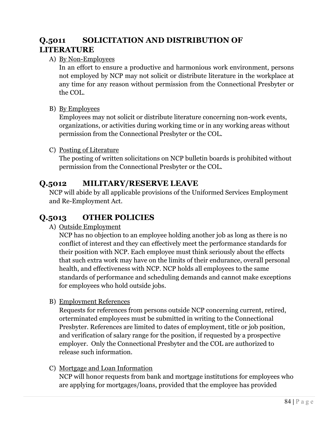# **Q.5011 SOLICITATION AND DISTRIBUTION OF LITERATURE**

#### A) By Non-Employees

In an effort to ensure a productive and harmonious work environment, persons not employed by NCP may not solicit or distribute literature in the workplace at any time for any reason without permission from the Connectional Presbyter or the COL.

#### B) By Employees

Employees may not solicit or distribute literature concerning non-work events, organizations, or activities during working time or in any working areas without permission from the Connectional Presbyter or the COL.

#### C) Posting of Literature

The posting of written solicitations on NCP bulletin boards is prohibited without permission from the Connectional Presbyter or the COL.

### **Q.5012 MILITARY/RESERVE LEAVE**

NCP will abide by all applicable provisions of the Uniformed Services Employment and Re-Employment Act.

### **Q.5013 OTHER POLICIES**

A) Outside Employment

NCP has no objection to an employee holding another job as long as there is no conflict of interest and they can effectively meet the performance standards for their position with NCP. Each employee must think seriously about the effects that such extra work may have on the limits of their endurance, overall personal health, and effectiveness with NCP. NCP holds all employees to the same standards of performance and scheduling demands and cannot make exceptions for employees who hold outside jobs.

B) Employment References

Requests for references from persons outside NCP concerning current, retired, orterminated employees must be submitted in writing to the Connectional Presbyter. References are limited to dates of employment, title or job position, and verification of salary range for the position, if requested by a prospective employer. Only the Connectional Presbyter and the COL are authorized to release such information.

#### C) Mortgage and Loan Information

NCP will honor requests from bank and mortgage institutions for employees who are applying for mortgages/loans, provided that the employee has provided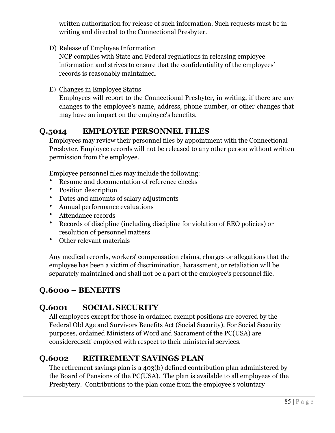written authorization for release of such information. Such requests must be in writing and directed to the Connectional Presbyter.

D) Release of Employee Information

NCP complies with State and Federal regulations in releasing employee information and strives to ensure that the confidentiality of the employees' records is reasonably maintained.

E) Changes in Employee Status

Employees will report to the Connectional Presbyter, in writing, if there are any changes to the employee's name, address, phone number, or other changes that may have an impact on the employee's benefits.

## **Q.5014 EMPLOYEE PERSONNEL FILES**

Employees may review their personnel files by appointment with the Connectional Presbyter. Employee records will not be released to any other person without written permission from the employee.

Employee personnel files may include the following:

- Resume and documentation of reference checks
- Position description
- Dates and amounts of salary adjustments
- Annual performance evaluations
- Attendance records
- Records of discipline (including discipline for violation of EEO policies) or resolution of personnel matters
- Other relevant materials

Any medical records, workers' compensation claims, charges or allegations that the employee has been a victim of discrimination, harassment, or retaliation will be separately maintained and shall not be a part of the employee's personnel file.

## **Q.6000 – BENEFITS**

# **Q.6001 SOCIAL SECURITY**

All employees except for those in ordained exempt positions are covered by the Federal Old Age and Survivors Benefits Act (Social Security). For Social Security purposes, ordained Ministers of Word and Sacrament of the PC(USA) are consideredself-employed with respect to their ministerial services.

# **Q.6002 RETIREMENT SAVINGS PLAN**

The retirement savings plan is a 403(b) defined contribution plan administered by the Board of Pensions of the PC(USA). The plan is available to all employees of the Presbytery. Contributions to the plan come from the employee's voluntary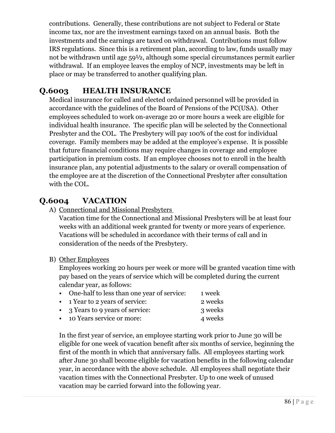contributions. Generally, these contributions are not subject to Federal or State income tax, nor are the investment earnings taxed on an annual basis. Both the investments and the earnings are taxed on withdrawal. Contributions must follow IRS regulations. Since this is a retirement plan, according to law, funds usually may not be withdrawn until age 59½, although some special circumstances permit earlier withdrawal. If an employee leaves the employ of NCP, investments may be left in place or may be transferred to another qualifying plan.

# **Q.6003 HEALTH INSURANCE**

Medical insurance for called and elected ordained personnel will be provided in accordance with the guidelines of the Board of Pensions of the PC(USA).Other employees scheduled to work on-average 20 or more hours a week are eligible for individual health insurance. The specific plan will be selected by the Connectional Presbyter and the COL. The Presbytery will pay 100% of the cost for individual coverage. Family members may be added at the employee's expense. It is possible that future financial conditions may require changes in coverage and employee participation in premium costs. If an employee chooses not to enroll in the health insurance plan, any potential adjustments to the salary or overall compensation of the employee are at the discretion of the Connectional Presbyter after consultation with the COL.

## **Q.6004 VACATION**

A) Connectional and Missional Presbyters

Vacation time for the Connectional and Missional Presbyters will be at least four weeks with an additional week granted for twenty or more years of experience. Vacations will be scheduled in accordance with their terms of call and in consideration of the needs of the Presbytery.

#### B) Other Employees

Employees working 20 hours per week or more will be granted vacation time with pay based on the years of service which will be completed during the current calendar year, as follows:

| • One-half to less than one year of service: | 1 week  |
|----------------------------------------------|---------|
| • 1 Year to 2 years of service:              | 2 weeks |
| • 3 Years to 9 years of service:             | 3 weeks |

• 10 Years service or more: 4 weeks

In the first year of service, an employee starting work prior to June 30 will be eligible for one week of vacation benefit after six months of service, beginning the first of the month in which that anniversary falls. All employees starting work after June 30 shall become eligible for vacation benefits in the following calendar year, in accordance with the above schedule. All employees shall negotiate their vacation times with the Connectional Presbyter. Up to one week of unused vacation may be carried forward into the following year.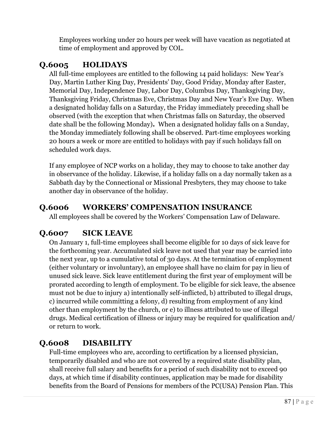Employees working under 20 hours per week will have vacation as negotiated at time of employment and approved by COL.

# **Q.6005 HOLIDAYS**

All full-time employees are entitled to the following 14 paid holidays: New Year's Day, Martin Luther King Day, Presidents' Day, Good Friday, Monday after Easter, Memorial Day, Independence Day, Labor Day, Columbus Day, Thanksgiving Day, Thanksgiving Friday, Christmas Eve, Christmas Day and New Year's Eve Day. When a designated holiday falls on a Saturday, the Friday immediately preceding shall be observed (with the exception that when Christmas falls on Saturday, the observed date shall be the following Monday)**.** When a designated holiday falls on a Sunday, the Monday immediately following shall be observed. Part-time employees working 20 hours a week or more are entitled to holidays with pay if such holidays fall on scheduled work days.

If any employee of NCP works on a holiday, they may to choose to take another day in observance of the holiday. Likewise, if a holiday falls on a day normally taken as a Sabbath day by the Connectional or Missional Presbyters, they may choose to take another day in observance of the holiday.

## **Q.6006 WORKERS' COMPENSATION INSURANCE**

All employees shall be covered by the Workers' Compensation Law of Delaware.

# **Q.6007 SICK LEAVE**

On January 1, full-time employees shall become eligible for 10 days of sick leave for the forthcoming year. Accumulated sick leave not used that year may be carried into the next year, up to a cumulative total of 30 days. At the termination of employment (either voluntary or involuntary), an employee shall have no claim for pay in lieu of unused sick leave. Sick leave entitlement during the first year of employment will be prorated according to length of employment. To be eligible for sick leave, the absence must not be due to injury a) intentionally self-inflicted, b) attributed to illegal drugs, c) incurred while committing a felony, d) resulting from employment of any kind other than employment by the church, or e) to illness attributed to use of illegal drugs. Medical certification of illness or injury may be required for qualification and/ or return to work.

# **Q.6008 DISABILITY**

Full-time employees who are, according to certification by a licensed physician, temporarily disabled and who are not covered by a required state disability plan, shall receive full salary and benefits for a period of such disability not to exceed 90 days, at which time if disability continues, application may be made for disability benefits from the Board of Pensions for members of the PC(USA) Pension Plan. This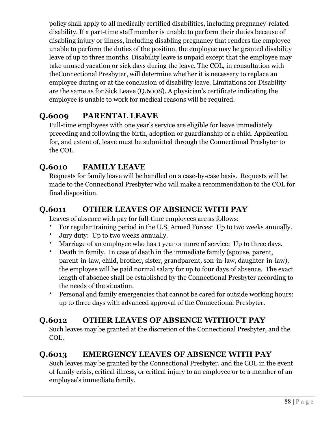policy shall apply to all medically certified disabilities, including pregnancy-related disability. If a part-time staff member is unable to perform their duties because of disabling injury or illness, including disabling pregnancy that renders the employee unable to perform the duties of the position, the employee may be granted disability leave of up to three months. Disability leave is unpaid except that the employee may take unused vacation or sick days during the leave. The COL, in consultation with theConnectional Presbyter, will determine whether it is necessary to replace an employee during or at the conclusion of disability leave. Limitations for Disability are the same as for Sick Leave (Q.6008). A physician's certificate indicating the employee is unable to work for medical reasons will be required.

# **Q.6009 PARENTAL LEAVE**

Full-time employees with one year's service are eligible for leave immediately preceding and following the birth, adoption or guardianship of a child. Application for, and extent of, leave must be submitted through the Connectional Presbyter to the COL.

# **Q.6010 FAMILY LEAVE**

Requests for family leave will be handled on a case-by-case basis. Requests will be made to the Connectional Presbyter who will make a recommendation to the COL for final disposition.

## **Q.6011 OTHER LEAVES OF ABSENCE WITH PAY**

Leaves of absence with pay for full-time employees are as follows:

- For regular training period in the U.S. Armed Forces: Up to two weeks annually.
- Jury duty: Up to two weeks annually.
- Marriage of an employee who has 1 year or more of service: Up to three days.
- Death in family. In case of death in the immediate family (spouse, parent, parent-in-law, child, brother, sister, grandparent, son-in-law, daughter-in-law), the employee will be paid normal salary for up to four days of absence. The exact length of absence shall be established by the Connectional Presbyter according to the needs of the situation.
- Personal and family emergencies that cannot be cared for outside working hours: up to three days with advanced approval of the Connectional Presbyter.

## **Q.6012 OTHER LEAVES OF ABSENCE WITHOUT PAY**

Such leaves may be granted at the discretion of the Connectional Presbyter, and the COL.

# **Q.6013 EMERGENCY LEAVES OF ABSENCE WITH PAY**

Such leaves may be granted by the Connectional Presbyter, and the COL in the event of family crisis, critical illness, or critical injury to an employee or to a member of an employee's immediate family.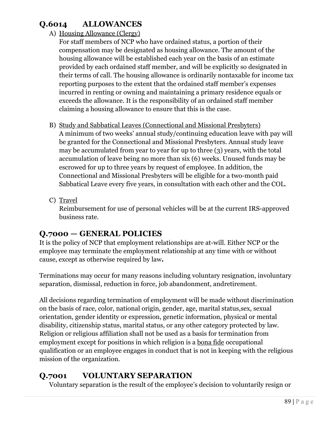# **Q.6014 ALLOWANCES**

### A) Housing Allowance (Clergy)

For staff members of NCP who have ordained status, a portion of their compensation may be designated as housing allowance. The amount of the housing allowance will be established each year on the basis of an estimate provided by each ordained staff member, and will be explicitly so designated in their terms of call. The housing allowance is ordinarily nontaxable for income tax reporting purposes to the extent that the ordained staff member's expenses incurred in renting or owning and maintaining a primary residence equals or exceeds the allowance. It is the responsibility of an ordained staff member claiming a housing allowance to ensure that this is the case.

- B) Study and Sabbatical Leaves (Connectional and Missional Presbyters) A minimum of two weeks' annual study/continuing education leave with pay will be granted for the Connectional and Missional Presbyters. Annual study leave may be accumulated from year to year for up to three (3) years, with the total accumulation of leave being no more than six (6) weeks. Unused funds may be escrowed for up to three years by request of employee. In addition, the Connectional and Missional Presbyters will be eligible for a two-month paid Sabbatical Leave every five years, in consultation with each other and the COL.
- C) Travel

Reimbursement for use of personal vehicles will be at the current IRS-approved business rate.

## **Q.7000 — GENERAL POLICIES**

It is the policy of NCP that employment relationships are at-will. Either NCP or the employee may terminate the employment relationship at any time with or without cause, except as otherwise required by law**.**

Terminations may occur for many reasons including voluntary resignation, involuntary separation, dismissal, reduction in force, job abandonment, andretirement.

All decisions regarding termination of employment will be made without discrimination on the basis of race, color, national origin, gender, age, marital status,sex, sexual orientation, gender identity or expression, genetic information, physical or mental disability, citizenship status, marital status, or any other category protected by law. Religion or religious affiliation shall not be used as a basis for termination from employment except for positions in which religion is a bona fide occupational qualification or an employee engages in conduct that is not in keeping with the religious mission of the organization.

# **Q.7001 VOLUNTARY SEPARATION**

Voluntary separation is the result of the employee's decision to voluntarily resign or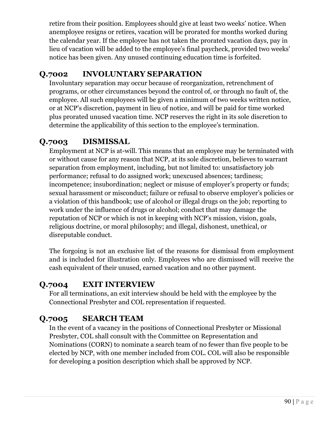retire from their position. Employees should give at least two weeks' notice. When anemployee resigns or retires, vacation will be prorated for months worked during the calendar year. If the employee has not taken the prorated vacation days, pay in lieu of vacation will be added to the employee's final paycheck, provided two weeks' notice has been given. Any unused continuing education time is forfeited.

# **Q.7002 INVOLUNTARY SEPARATION**

Involuntary separation may occur because of reorganization, retrenchment of programs, or other circumstances beyond the control of, or through no fault of, the employee. All such employees will be given a minimum of two weeks written notice, or at NCP's discretion, payment in lieu of notice, and will be paid for time worked plus prorated unused vacation time. NCP reserves the right in its sole discretion to determine the applicability of this section to the employee's termination.

# **Q.7003 DISMISSAL**

Employment at NCP is at-will. This means that an employee may be terminated with or without cause for any reason that NCP, at its sole discretion, believes to warrant separation from employment, including, but not limited to: unsatisfactory job performance; refusal to do assigned work; unexcused absences; tardiness; incompetence; insubordination; neglect or misuse of employer's property or funds; sexual harassment or misconduct; failure or refusal to observe employer's policies or a violation of this handbook; use of alcohol or illegal drugs on the job; reporting to work under the influence of drugs or alcohol; conduct that may damage the reputation of NCP or which is not in keeping with NCP's mission, vision, goals, religious doctrine, or moral philosophy; and illegal, dishonest, unethical, or disreputable conduct.

The forgoing is not an exclusive list of the reasons for dismissal from employment and is included for illustration only. Employees who are dismissed will receive the cash equivalent of their unused, earned vacation and no other payment.

# **Q.7004 EXIT INTERVIEW**

For all terminations, an exit interview should be held with the employee by the Connectional Presbyter and COL representation if requested.

# **Q.7005 SEARCH TEAM**

In the event of a vacancy in the positions of Connectional Presbyter or Missional Presbyter, COL shall consult with the Committee on Representation and Nominations (CORN) to nominate a search team of no fewer than five people to be elected by NCP, with one member included from COL. COL will also be responsible for developing a position description which shall be approved by NCP.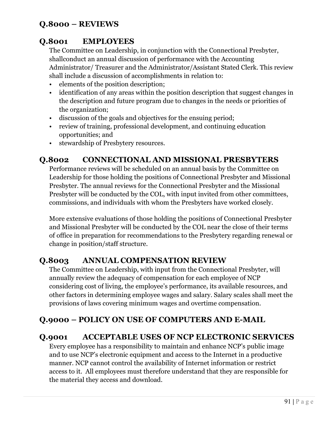# **Q.8000 – REVIEWS**

# **Q.8001 EMPLOYEES**

The Committee on Leadership, in conjunction with the Connectional Presbyter, shallconduct an annual discussion of performance with the Accounting Administrator/ Treasurer and the Administrator/Assistant Stated Clerk. This review shall include a discussion of accomplishments in relation to:

- elements of the position description;
- identification of any areas within the position description that suggest changes in the description and future program due to changes in the needs or priorities of the organization;
- discussion of the goals and objectives for the ensuing period;
- review of training, professional development, and continuing education opportunities; and
- stewardship of Presbytery resources.

### **Q.8002 CONNECTIONAL AND MISSIONAL PRESBYTERS**

Performance reviews will be scheduled on an annual basis by the Committee on Leadership for those holding the positions of Connectional Presbyter and Missional Presbyter. The annual reviews for the Connectional Presbyter and the Missional Presbyter will be conducted by the COL, with input invited from other committees, commissions, and individuals with whom the Presbyters have worked closely.

More extensive evaluations of those holding the positions of Connectional Presbyter and Missional Presbyter will be conducted by the COL near the close of their terms of office in preparation for recommendations to the Presbytery regarding renewal or change in position/staff structure.

### **Q.8003 ANNUAL COMPENSATION REVIEW**

The Committee on Leadership, with input from the Connectional Presbyter, will annually review the adequacy of compensation for each employee of NCP considering cost of living, the employee's performance, its available resources, and other factors in determining employee wages and salary. Salary scales shall meet the provisions of laws covering minimum wages and overtime compensation.

## **Q.9000 – POLICY ON USE OF COMPUTERS AND E-MAIL**

### **Q.9001 ACCEPTABLE USES OF NCP ELECTRONIC SERVICES**

Every employee has a responsibility to maintain and enhance NCP's public image and to use NCP's electronic equipment and access to the Internet in a productive manner. NCP cannot control the availability of Internet information or restrict access to it. All employees must therefore understand that they are responsible for the material they access and download.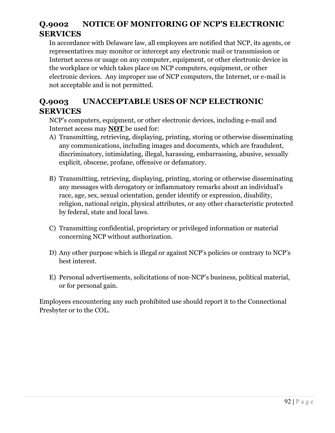# **Q.9002 NOTICE OF MONITORING OF NCP'S ELECTRONIC SERVICES**

In accordance with Delaware law, all employees are notified that NCP, its agents, or representatives may monitor or intercept any electronic mail or transmission or Internet access or usage on any computer, equipment, or other electronic device in the workplace or which takes place on NCP computers, equipment, or other electronic devices. Any improper use of NCP computers, the Internet, or e-mail is not acceptable and is not permitted.

# **Q.9003 UNACCEPTABLE USES OF NCP ELECTRONIC SERVICES**

NCP's computers, equipment, or other electronic devices, including e-mail and Internet access may **NOT** be used for:

- A) Transmitting, retrieving, displaying, printing, storing or otherwise disseminating any communications, including images and documents, which are fraudulent, discriminatory, intimidating, illegal, harassing, embarrassing, abusive, sexually explicit, obscene, profane, offensive or defamatory.
- B) Transmitting, retrieving, displaying, printing, storing or otherwise disseminating any messages with derogatory or inflammatory remarks about an individual's race, age, sex, sexual orientation, gender identify or expression, disability, religion, national origin, physical attributes, or any other characteristic protected by federal, state and local laws.
- C) Transmitting confidential, proprietary or privileged information or material concerning NCP without authorization.
- D) Any other purpose which is illegal or against NCP's policies or contrary to NCP's best interest.
- E) Personal advertisements, solicitations of non-NCP's business, political material, or for personal gain.

Employees encountering any such prohibited use should report it to the Connectional Presbyter or to the COL.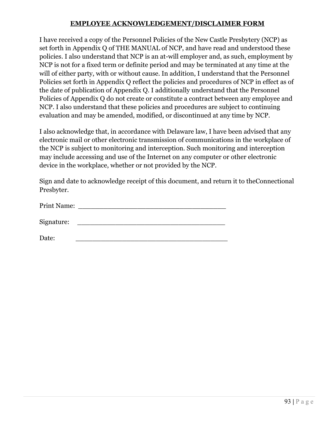#### **EMPLOYEE ACKNOWLEDGEMENT/DISCLAIMER FORM**

I have received a copy of the Personnel Policies of the New Castle Presbytery (NCP) as set forth in Appendix Q of THE MANUAL of NCP, and have read and understood these policies. I also understand that NCP is an at-will employer and, as such, employment by NCP is not for a fixed term or definite period and may be terminated at any time at the will of either party, with or without cause. In addition, I understand that the Personnel Policies set forth in Appendix Q reflect the policies and procedures of NCP in effect as of the date of publication of Appendix Q. I additionally understand that the Personnel Policies of Appendix Q do not create or constitute a contract between any employee and NCP. I also understand that these policies and procedures are subject to continuing evaluation and may be amended, modified, or discontinued at any time by NCP.

I also acknowledge that, in accordance with Delaware law, I have been advised that any electronic mail or other electronic transmission of communications in the workplace of the NCP is subject to monitoring and interception. Such monitoring and interception may include accessing and use of the Internet on any computer or other electronic device in the workplace, whether or not provided by the NCP.

Sign and date to acknowledge receipt of this document, and return it to theConnectional Presbyter.

Print Name: Signature:

Date: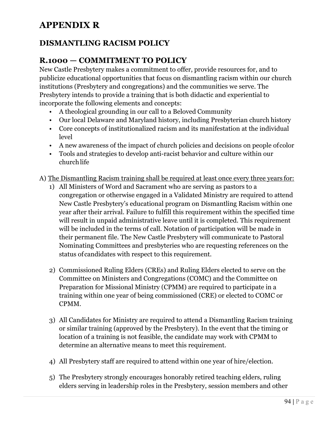# **APPENDIX R**

## **DISMANTLING RACISM POLICY**

## **R.1000 — COMMITMENT TO POLICY**

New Castle Presbytery makes a commitment to offer, provide resources for, and to publicize educational opportunities that focus on dismantling racism within our church institutions (Presbytery and congregations) and the communities we serve. The Presbytery intends to provide a training that is both didactic and experiential to incorporate the following elements and concepts:

- A theological grounding in our call to a Beloved Community
- Our local Delaware and Maryland history, including Presbyterian church history
- Core concepts of institutionalized racism and its manifestation at the individual level
- A new awareness of the impact of church policies and decisions on people ofcolor
- Tools and strategies to develop anti-racist behavior and culture within our churchlife

A) The Dismantling Racism training shall be required at least once every three years for:

- 1) All Ministers of Word and Sacrament who are serving as pastors to a congregation or otherwise engaged in a Validated Ministry are required to attend New Castle Presbytery's educational program on Dismantling Racism within one year after their arrival. Failure to fulfill this requirement within the specified time will result in unpaid administrative leave until it is completed. This requirement will be included in the terms of call. Notation of participation will be made in their permanent file. The New Castle Presbytery will communicate to Pastoral Nominating Committees and presbyteries who are requesting references on the status ofcandidates with respect to this requirement.
- 2) Commissioned Ruling Elders (CREs) and Ruling Elders elected to serve on the Committee on Ministers and Congregations (COMC) and the Committee on Preparation for Missional Ministry (CPMM) are required to participate in a training within one year of being commissioned (CRE) or elected to COMC or CPMM.
- 3) All Candidates for Ministry are required to attend a Dismantling Racism training or similar training (approved by the Presbytery). In the event that the timing or location of a training is not feasible, the candidate may work with CPMM to determine an alternative means to meet this requirement.
- 4) All Presbytery staff are required to attend within one year of hire/election.
- 5) The Presbytery strongly encourages honorably retired teaching elders, ruling elders serving in leadership roles in the Presbytery, session members and other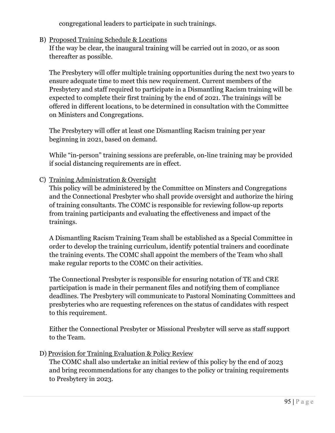congregational leaders to participate in such trainings.

#### B) Proposed Training Schedule & Locations

If the way be clear, the inaugural training will be carried out in 2020, or as soon thereafter as possible.

The Presbytery will offer multiple training opportunities during the next two years to ensure adequate time to meet this new requirement. Current members of the Presbytery and staff required to participate in a Dismantling Racism training will be expected to complete their first training by the end of 2021. The trainings will be offered in different locations, to be determined in consultation with the Committee on Ministers and Congregations.

The Presbytery will offer at least one Dismantling Racism training per year beginning in 2021, based on demand.

While "in-person" training sessions are preferable, on-line training may be provided if social distancing requirements are in effect.

#### C) Training Administration & Oversight

This policy will be administered by the Committee on Minsters and Congregations and the Connectional Presbyter who shall provide oversight and authorize the hiring of training consultants. The COMC is responsible for reviewing follow-up reports from training participants and evaluating the effectiveness and impact of the trainings.

A Dismantling Racism Training Team shall be established as a Special Committee in order to develop the training curriculum, identify potential trainers and coordinate the training events. The COMC shall appoint the members of the Team who shall make regular reports to the COMC on their activities.

The Connectional Presbyter is responsible for ensuring notation of TE and CRE participation is made in their permanent files and notifying them of compliance deadlines. The Presbytery will communicate to Pastoral Nominating Committees and presbyteries who are requesting references on the status of candidates with respect to this requirement.

Either the Connectional Presbyter or Missional Presbyter will serve as staff support to the Team.

#### D) Provision for Training Evaluation & Policy Review

The COMC shall also undertake an initial review of this policy by the end of 2023 and bring recommendations for any changes to the policy or training requirements to Presbytery in 2023.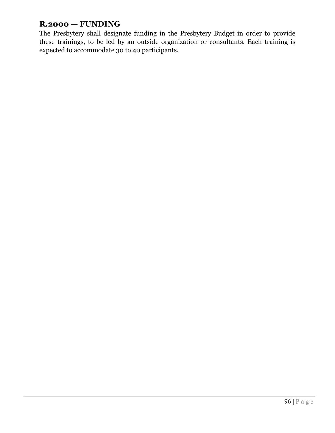# **R.2000 — FUNDING**

The Presbytery shall designate funding in the Presbytery Budget in order to provide these trainings, to be led by an outside organization or consultants. Each training is expected to accommodate 30 to 40 participants.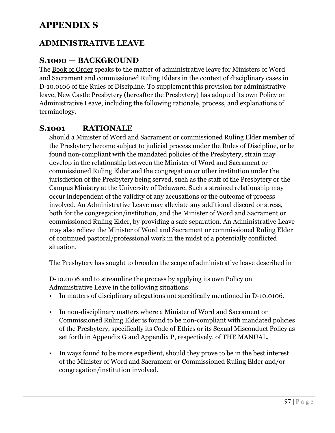# **APPENDIX S**

### **ADMINISTRATIVE LEAVE**

### **S.1000 — BACKGROUND**

The Book of Order speaks to the matter of administrative leave for Ministers of Word and Sacrament and commissioned Ruling Elders in the context of disciplinary cases in D-10.0106 of the Rules of Discipline. To supplement this provision for administrative leave, New Castle Presbytery (hereafter the Presbytery) has adopted its own Policy on Administrative Leave, including the following rationale, process, and explanations of terminology.

### **S.1001 RATIONALE**

Should a Minister of Word and Sacrament or commissioned Ruling Elder member of the Presbytery become subject to judicial process under the Rules of Discipline, or be found non-compliant with the mandated policies of the Presbytery, strain may develop in the relationship between the Minister of Word and Sacrament or commissioned Ruling Elder and the congregation or other institution under the jurisdiction of the Presbytery being served, such as the staff of the Presbytery or the Campus Ministry at the University of Delaware. Such a strained relationship may occur independent of the validity of any accusations or the outcome of process involved. An Administrative Leave may alleviate any additional discord or stress, both for the congregation/institution, and the Minister of Word and Sacrament or commissioned Ruling Elder, by providing a safe separation. An Administrative Leave may also relieve the Minister of Word and Sacrament or commissioned Ruling Elder of continued pastoral/professional work in the midst of a potentially conflicted situation.

The Presbytery has sought to broaden the scope of administrative leave described in

D-10.0106 and to streamline the process by applying its own Policy on Administrative Leave in the following situations:

- In matters of disciplinary allegations not specifically mentioned in D-10.0106.
- In non-disciplinary matters where a Minister of Word and Sacrament or Commissioned Ruling Elder is found to be non-compliant with mandated policies of the Presbytery, specifically its Code of Ethics or its Sexual Misconduct Policy as set forth in Appendix G and Appendix P, respectively, of THE MANUAL.
- In ways found to be more expedient, should they prove to be in the best interest of the Minister of Word and Sacrament or Commissioned Ruling Elder and/or congregation/institution involved.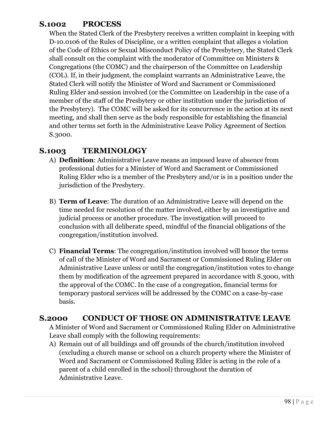### **S.1002 PROCESS**

When the Stated Clerk of the Presbytery receives a written complaint in keeping with D-10.0106 of the Rules of Discipline, or a written complaint that alleges a violation of the Code of Ethics or Sexual Misconduct Policy of the Presbytery, the Stated Clerk shall consult on the complaint with the moderator of Committee on Ministers & Congregations (the COMC) and the chairperson of the Committee on Leadership (COL). If, in their judgment, the complaint warrants an Administrative Leave, the Stated Clerk will notify the Minister of Word and Sacrament or Commissioned Ruling Elder and session involved (or the Committee on Leadership in the case of a member of the staff of the Presbytery or other institution under the jurisdiction of the Presbytery). The COMC will be asked for its concurrence in the action at its next meeting, and shall then serve as the body responsible for establishing the financial and other terms set forth in the Administrative Leave Policy Agreement of Section S.3000.

## **S.1003 TERMINOLOGY**

- A) **Definition**: Administrative Leave means an imposed leave of absence from professional duties for a Minister of Word and Sacrament or Commissioned Ruling Elder who is a member of the Presbytery and/or is in a position under the jurisdiction of the Presbytery.
- B) **Term of Leave**: The duration of an Administrative Leave will depend on the time needed for resolution of the matter involved, either by an investigative and judicial process or another procedure. The investigation will proceed to conclusion with all deliberate speed, mindful of the financial obligations of the congregation/institution involved.
- C) **Financial Terms**: The congregation/institution involved will honor the terms of call of the Minister of Word and Sacrament or Commissioned Ruling Elder on Administrative Leave unless or until the congregation/institution votes to change them by modification of the agreement prepared in accordance with S.3000, with the approval of the COMC. In the case of a congregation, financial terms for temporary pastoral services will be addressed by the COMC on a case-by-case basis.

### **S.2000 CONDUCT OF THOSE ON ADMINISTRATIVE LEAVE**

A Minister of Word and Sacrament or Commissioned Ruling Elder on Administrative Leave shall comply with the following requirements:

A) Remain out of all buildings and off grounds of the church/institution involved (excluding a church manse or school on a church property where the Minister of Word and Sacrament or Commissioned Ruling Elder is acting in the role of a parent of a child enrolled in the school) throughout the duration of Administrative Leave.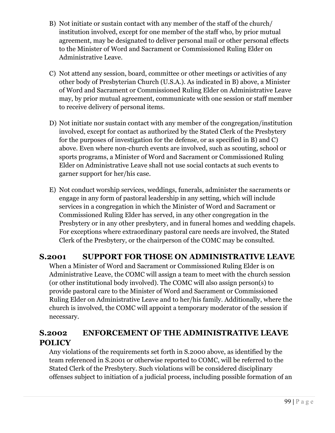- B) Not initiate or sustain contact with any member of the staff of the church/ institution involved, except for one member of the staff who, by prior mutual agreement, may be designated to deliver personal mail or other personal effects to the Minister of Word and Sacrament or Commissioned Ruling Elder on Administrative Leave.
- C) Not attend any session, board, committee or other meetings or activities of any other body of Presbyterian Church (U.S.A.). As indicated in B) above, a Minister of Word and Sacrament or Commissioned Ruling Elder on Administrative Leave may, by prior mutual agreement, communicate with one session or staff member to receive delivery of personal items.
- D) Not initiate nor sustain contact with any member of the congregation/institution involved, except for contact as authorized by the Stated Clerk of the Presbytery for the purposes of investigation for the defense, or as specified in B) and C) above. Even where non-church events are involved, such as scouting, school or sports programs, a Minister of Word and Sacrament or Commissioned Ruling Elder on Administrative Leave shall not use social contacts at such events to garner support for her/his case.
- E) Not conduct worship services, weddings, funerals, administer the sacraments or engage in any form of pastoral leadership in any setting, which will include services in a congregation in which the Minister of Word and Sacrament or Commissioned Ruling Elder has served, in any other congregation in the Presbytery or in any other presbytery, and in funeral homes and wedding chapels. For exceptions where extraordinary pastoral care needs are involved, the Stated Clerk of the Presbytery, or the chairperson of the COMC may be consulted.

### **S.2001 SUPPORT FOR THOSE ON ADMINISTRATIVE LEAVE**

When a Minister of Word and Sacrament or Commissioned Ruling Elder is on Administrative Leave, the COMC will assign a team to meet with the church session (or other institutional body involved). The COMC will also assign person(s) to provide pastoral care to the Minister of Word and Sacrament or Commissioned Ruling Elder on Administrative Leave and to her/his family. Additionally, where the church is involved, the COMC will appoint a temporary moderator of the session if necessary.

## **S.2002 ENFORCEMENT OF THE ADMINISTRATIVE LEAVE POLICY**

Any violations of the requirements set forth in S.2000 above, as identified by the team referenced in S.2001 or otherwise reported to COMC, will be referred to the Stated Clerk of the Presbytery. Such violations will be considered disciplinary offenses subject to initiation of a judicial process, including possible formation of an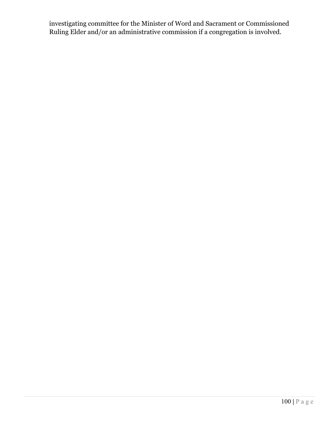investigating committee for the Minister of Word and Sacrament or Commissioned Ruling Elder and/or an administrative commission if a congregation is involved.